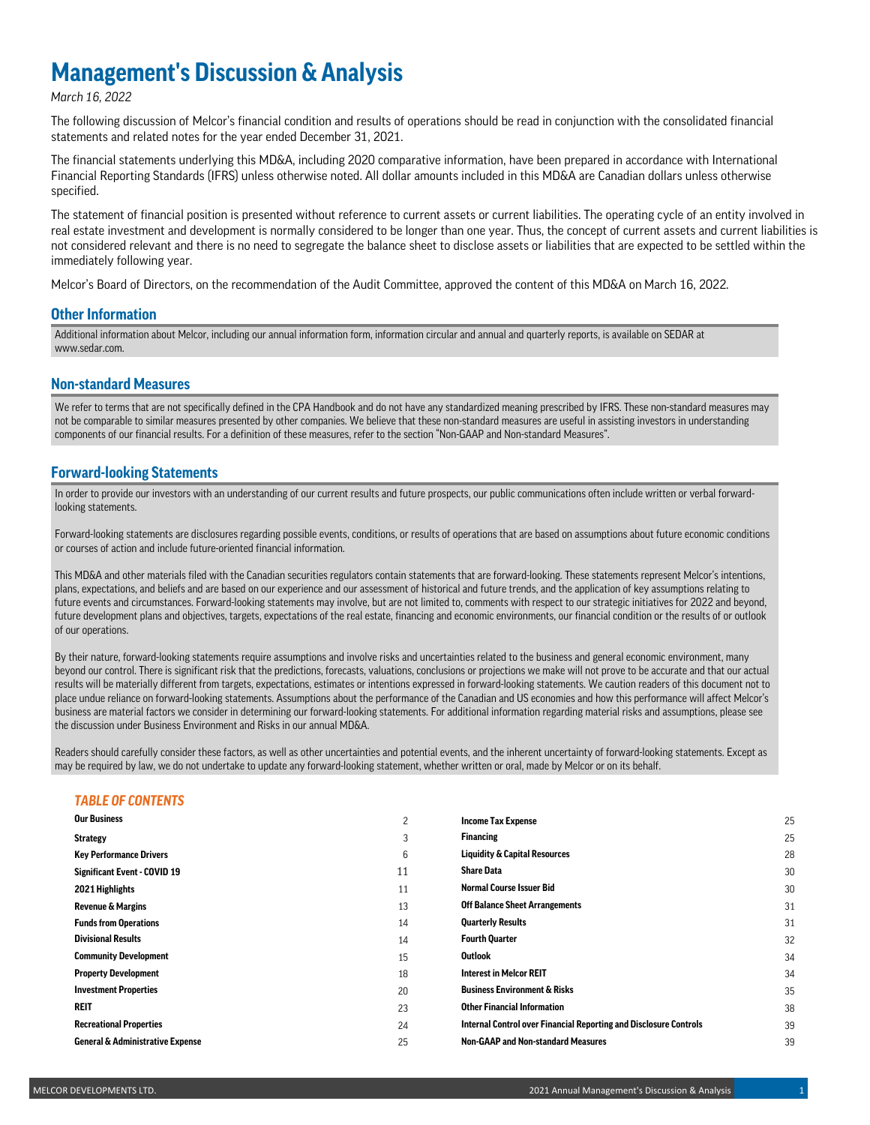# **Management's Discussion & Analysis**

### *March 16, 2022*

The following discussion of Melcor's financial condition and results of operations should be read in conjunction with the consolidated financial statements and related notes for the year ended December 31, 2021.

The financial statements underlying this MD&A, including 2020 comparative information, have been prepared in accordance with International Financial Reporting Standards (IFRS) unless otherwise noted. All dollar amounts included in this MD&A are Canadian dollars unless otherwise specified.

The statement of financial position is presented without reference to current assets or current liabilities. The operating cycle of an entity involved in real estate investment and development is normally considered to be longer than one year. Thus, the concept of current assets and current liabilities is not considered relevant and there is no need to segregate the balance sheet to disclose assets or liabilities that are expected to be settled within the immediately following year.

Melcor's Board of Directors, on the recommendation of the Audit Committee, approved the content of this MD&A on March 16, 2022.

### **Other Information**

Additional information about Melcor, including our annual information form, information circular and annual and quarterly reports, is available on SEDAR at www.sedar.com.

### **Non-standard Measures**

We refer to terms that are not specifically defined in the CPA Handbook and do not have any standardized meaning prescribed by IFRS. These non-standard measures may not be comparable to similar measures presented by other companies. We believe that these non-standard measures are useful in assisting investors in understanding components of our financial results. For a definition of these measures, refer to the section "Non-GAAP and Non-standard Measures".

### **Forward-looking Statements**

In order to provide our investors with an understanding of our current results and future prospects, our public communications often include written or verbal forwardlooking statements.

Forward-looking statements are disclosures regarding possible events, conditions, or results of operations that are based on assumptions about future economic conditions or courses of action and include future-oriented financial information.

This MD&A and other materials filed with the Canadian securities regulators contain statements that are forward-looking. These statements represent Melcor's intentions, plans, expectations, and beliefs and are based on our experience and our assessment of historical and future trends, and the application of key assumptions relating to future events and circumstances. Forward-looking statements may involve, but are not limited to, comments with respect to our strategic initiatives for 2022 and beyond, future development plans and objectives, targets, expectations of the real estate, financing and economic environments, our financial condition or the results of or outlook of our operations.

By their nature, forward-looking statements require assumptions and involve risks and uncertainties related to the business and general economic environment, many beyond our control. There is significant risk that the predictions, forecasts, valuations, conclusions or projections we make will not prove to be accurate and that our actual results will be materially different from targets, expectations, estimates or intentions expressed in forward-looking statements. We caution readers of this document not to place undue reliance on forward-looking statements. Assumptions about the performance of the Canadian and US economies and how this performance will affect Melcor's business are material factors we consider in determining our forward-looking statements. For additional information regarding material risks and assumptions, please see the discussion under Business Environment and Risks in our annual MD&A.

Readers should carefully consider these factors, as well as other uncertainties and potential events, and the inherent uncertainty of forward-looking statements. Except as may be required by law, we do not undertake to update any forward-looking statement, whether written or oral, made by Melcor or on its behalf.

### *TABLE OF CONTENTS*

| <b>Our Business</b>                         | $\overline{c}$ | <b>Income Tax Expense</b>                                                | 25 |
|---------------------------------------------|----------------|--------------------------------------------------------------------------|----|
| <b>Strategy</b>                             | 3              | <b>Financing</b>                                                         | 25 |
| <b>Key Performance Drivers</b>              | 6              | <b>Liquidity &amp; Capital Resources</b>                                 | 28 |
| <b>Significant Event - COVID 19</b>         | 11             | <b>Share Data</b>                                                        | 30 |
| 2021 Highlights                             | 11             | <b>Normal Course Issuer Bid</b>                                          | 30 |
| <b>Revenue &amp; Margins</b>                | 13             | <b>Off Balance Sheet Arrangements</b>                                    | 31 |
| <b>Funds from Operations</b>                | 14             | <b>Quarterly Results</b>                                                 | 31 |
| <b>Divisional Results</b>                   | 14             | <b>Fourth Quarter</b>                                                    | 32 |
| <b>Community Development</b>                | 15             | <b>Outlook</b>                                                           | 34 |
| <b>Property Development</b>                 | 18             | <b>Interest in Melcor REIT</b>                                           | 34 |
| <b>Investment Properties</b>                | 20             | <b>Business Environment &amp; Risks</b>                                  | 35 |
| <b>REIT</b>                                 | 23             | <b>Other Financial Information</b>                                       | 38 |
| <b>Recreational Properties</b>              | 24             | <b>Internal Control over Financial Reporting and Disclosure Controls</b> | 39 |
| <b>General &amp; Administrative Expense</b> | 25             | <b>Non-GAAP and Non-standard Measures</b>                                | 39 |
|                                             |                |                                                                          |    |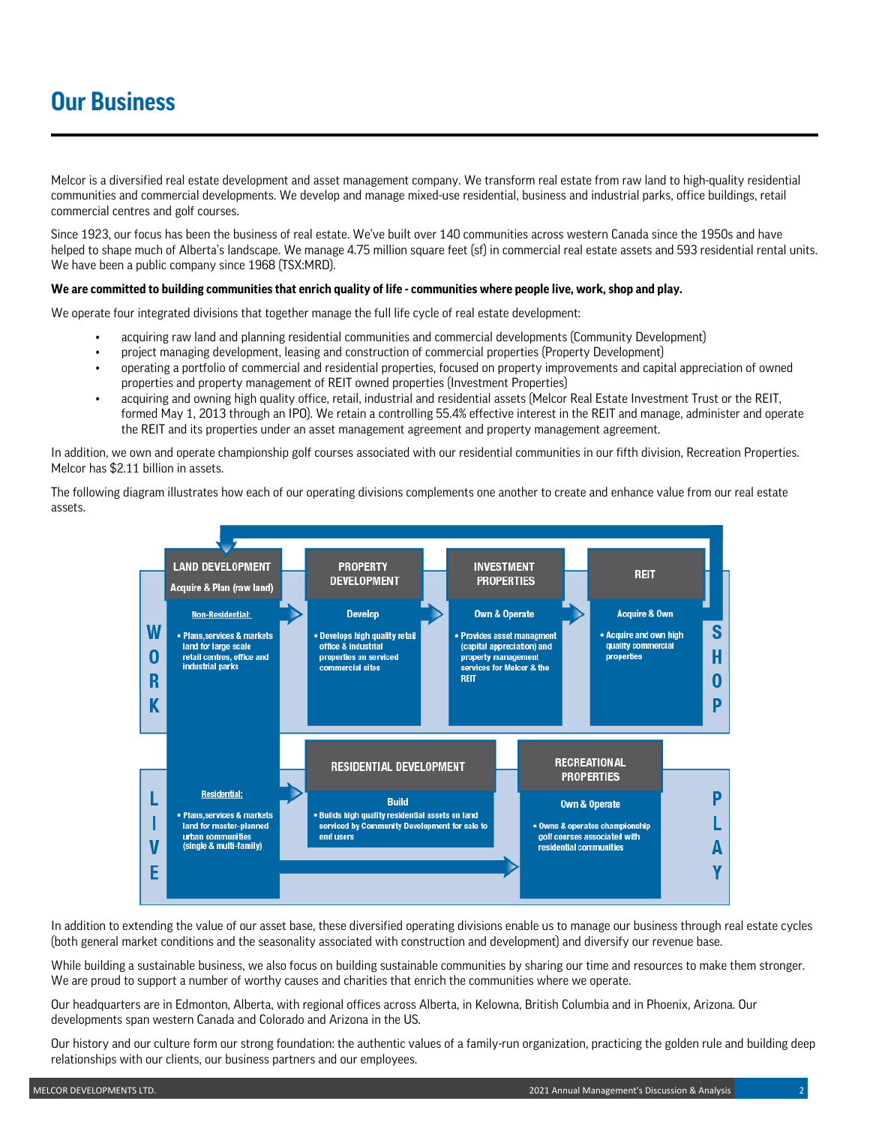Melcor is a diversified real estate development and asset management company. We transform real estate from raw land to high-quality residential communities and commercial developments. We develop and manage mixed-use residential, business and industrial parks, office buildings, retail commercial centres and golf courses.

Since 1923, our focus has been the business of real estate. We've built over 140 communities across western Canada since the 1950s and have helped to shape much of Alberta's landscape. We manage 4.75 million square feet (sf) in commercial real estate assets and 593 residential rental units. We have been a public company since 1968 (TSX:MRD).

### **We are committed to building communities that enrich quality of life - communities where people live, work, shop and play.**

We operate four integrated divisions that together manage the full life cycle of real estate development:

- acquiring raw land and planning residential communities and commercial developments (Community Development)
- project managing development, leasing and construction of commercial properties (Property Development)
- operating a portfolio of commercial and residential properties, focused on property improvements and capital appreciation of owned properties and property management of REIT owned properties (Investment Properties)
- acquiring and owning high quality office, retail, industrial and residential assets (Melcor Real Estate Investment Trust or the REIT, formed May 1, 2013 through an IPO). We retain a controlling 55.4% effective interest in the REIT and manage, administer and operate the REIT and its properties under an asset management agreement and property management agreement.

In addition, we own and operate championship golf courses associated with our residential communities in our fifth division, Recreation Properties. Melcor has \$2.11 billion in assets.

The following diagram illustrates how each of our operating divisions complements one another to create and enhance value from our real estate assets.



In addition to extending the value of our asset base, these diversified operating divisions enable us to manage our business through real estate cycles (both general market conditions and the seasonality associated with construction and development) and diversify our revenue base.

While building a sustainable business, we also focus on building sustainable communities by sharing our time and resources to make them stronger. We are proud to support a number of worthy causes and charities that enrich the communities where we operate.

Our headquarters are in Edmonton, Alberta, with regional offices across Alberta, in Kelowna, British Columbia and in Phoenix, Arizona. Our developments span western Canada and Colorado and Arizona in the US.

Our history and our culture form our strong foundation: the authentic values of a family-run organization, practicing the golden rule and building deep relationships with our clients, our business partners and our employees.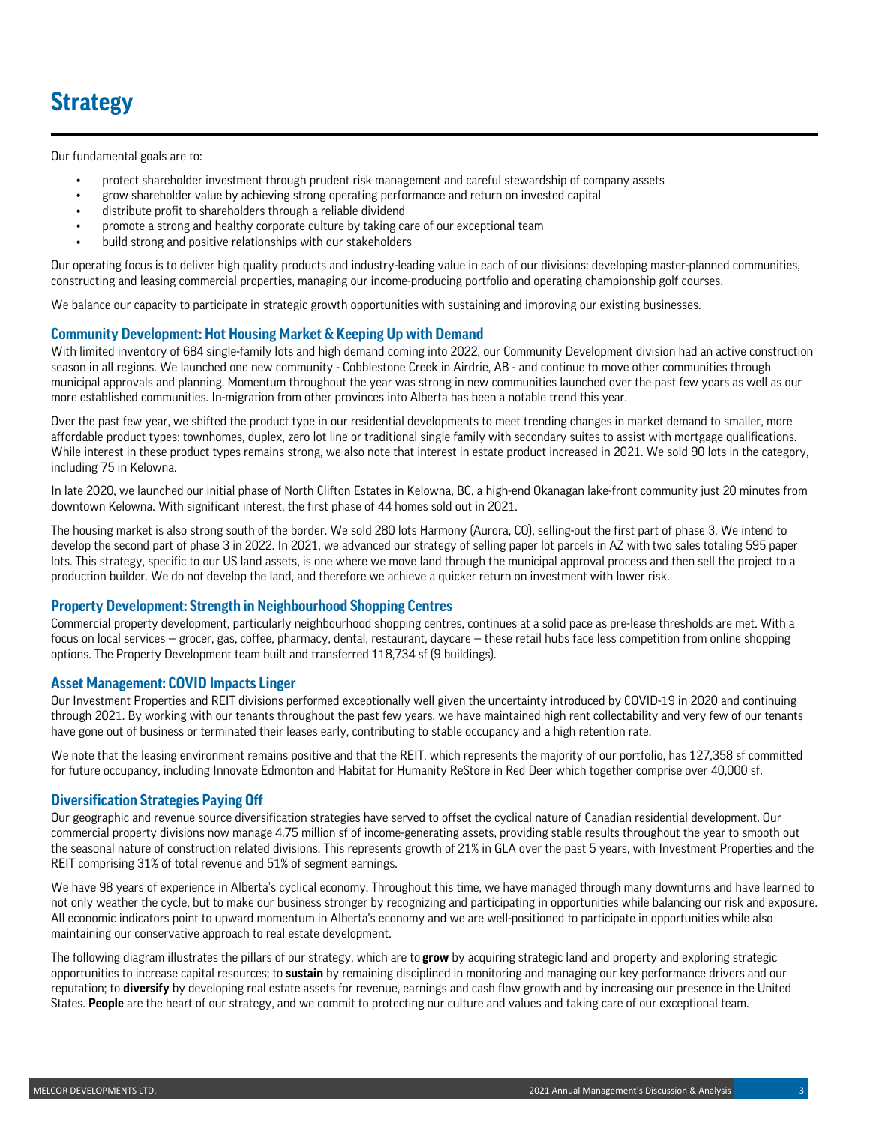# **Strategy**

Our fundamental goals are to:

- protect shareholder investment through prudent risk management and careful stewardship of company assets
- grow shareholder value by achieving strong operating performance and return on invested capital
- distribute profit to shareholders through a reliable dividend
- promote a strong and healthy corporate culture by taking care of our exceptional team
- build strong and positive relationships with our stakeholders

Our operating focus is to deliver high quality products and industry-leading value in each of our divisions: developing master-planned communities, constructing and leasing commercial properties, managing our income-producing portfolio and operating championship golf courses.

We balance our capacity to participate in strategic growth opportunities with sustaining and improving our existing businesses.

### **Community Development: Hot Housing Market & Keeping Up with Demand**

With limited inventory of 684 single-family lots and high demand coming into 2022, our Community Development division had an active construction season in all regions. We launched one new community - Cobblestone Creek in Airdrie, AB - and continue to move other communities through municipal approvals and planning. Momentum throughout the year was strong in new communities launched over the past few years as well as our more established communities. In-migration from other provinces into Alberta has been a notable trend this year.

Over the past few year, we shifted the product type in our residential developments to meet trending changes in market demand to smaller, more affordable product types: townhomes, duplex, zero lot line or traditional single family with secondary suites to assist with mortgage qualifications. While interest in these product types remains strong, we also note that interest in estate product increased in 2021. We sold 90 lots in the category, including 75 in Kelowna.

In late 2020, we launched our initial phase of North Clifton Estates in Kelowna, BC, a high-end Okanagan lake-front community just 20 minutes from downtown Kelowna. With significant interest, the first phase of 44 homes sold out in 2021.

The housing market is also strong south of the border. We sold 280 lots Harmony (Aurora, CO), selling-out the first part of phase 3. We intend to develop the second part of phase 3 in 2022. In 2021, we advanced our strategy of selling paper lot parcels in AZ with two sales totaling 595 paper lots. This strategy, specific to our US land assets, is one where we move land through the municipal approval process and then sell the project to a production builder. We do not develop the land, and therefore we achieve a quicker return on investment with lower risk.

### **Property Development: Strength in Neighbourhood Shopping Centres**

Commercial property development, particularly neighbourhood shopping centres, continues at a solid pace as pre-lease thresholds are met. With a focus on local services — grocer, gas, coffee, pharmacy, dental, restaurant, daycare — these retail hubs face less competition from online shopping options. The Property Development team built and transferred 118,734 sf (9 buildings).

### **Asset Management: COVID Impacts Linger**

Our Investment Properties and REIT divisions performed exceptionally well given the uncertainty introduced by COVID-19 in 2020 and continuing through 2021. By working with our tenants throughout the past few years, we have maintained high rent collectability and very few of our tenants have gone out of business or terminated their leases early, contributing to stable occupancy and a high retention rate.

We note that the leasing environment remains positive and that the REIT, which represents the majority of our portfolio, has 127,358 sf committed for future occupancy, including Innovate Edmonton and Habitat for Humanity ReStore in Red Deer which together comprise over 40,000 sf.

## **Diversification Strategies Paying Off**

Our geographic and revenue source diversification strategies have served to offset the cyclical nature of Canadian residential development. Our commercial property divisions now manage 4.75 million sf of income-generating assets, providing stable results throughout the year to smooth out the seasonal nature of construction related divisions. This represents growth of 21% in GLA over the past 5 years, with Investment Properties and the REIT comprising 31% of total revenue and 51% of segment earnings.

We have 98 years of experience in Alberta's cyclical economy. Throughout this time, we have managed through many downturns and have learned to not only weather the cycle, but to make our business stronger by recognizing and participating in opportunities while balancing our risk and exposure. All economic indicators point to upward momentum in Alberta's economy and we are well-positioned to participate in opportunities while also maintaining our conservative approach to real estate development.

The following diagram illustrates the pillars of our strategy, which are to **grow** by acquiring strategic land and property and exploring strategic opportunities to increase capital resources; to **sustain** by remaining disciplined in monitoring and managing our key performance drivers and our reputation; to **diversify** by developing real estate assets for revenue, earnings and cash flow growth and by increasing our presence in the United States. **People** are the heart of our strategy, and we commit to protecting our culture and values and taking care of our exceptional team.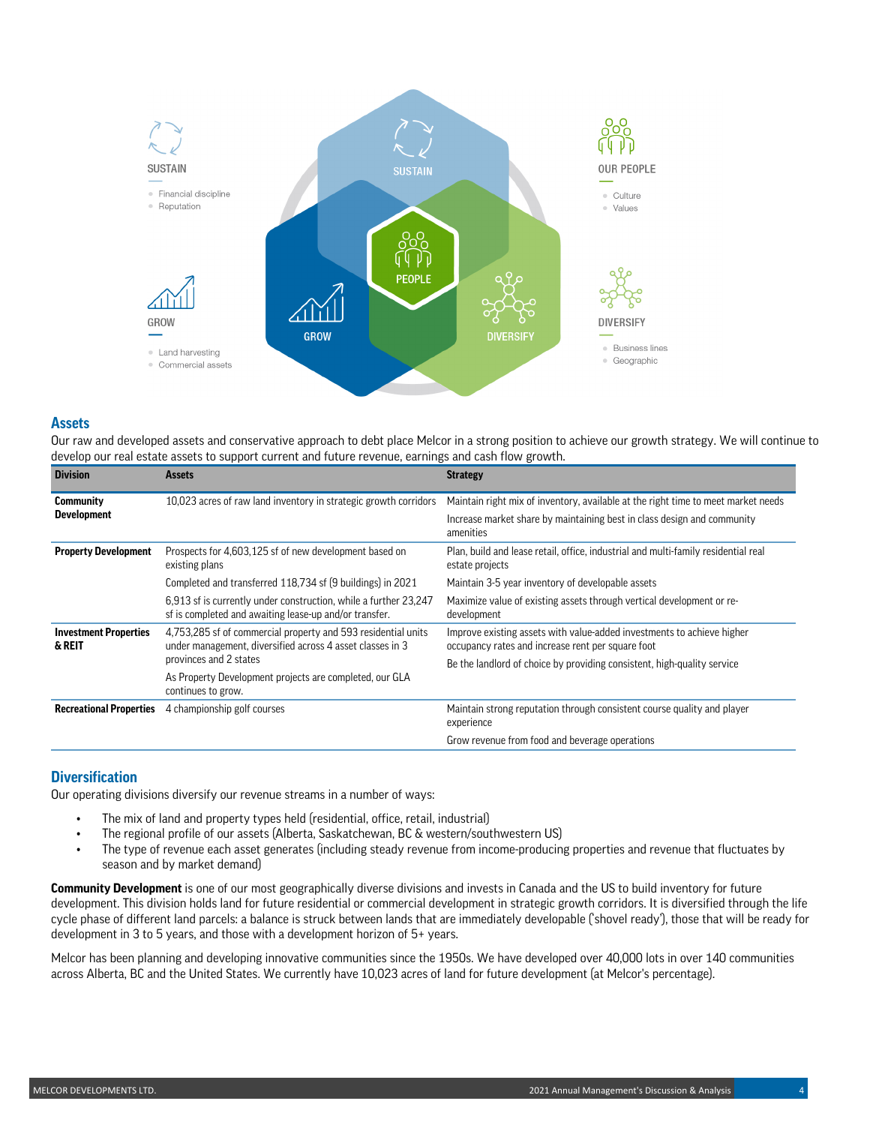

### **Assets**

Our raw and developed assets and conservative approach to debt place Melcor in a strong position to achieve our growth strategy. We will continue to develop our real estate assets to support current and future revenue, earnings and cash flow growth.

| <b>Division</b>                        | <b>Assets</b>                                                                                                              | <b>Strategy</b>                                                                                                             |  |  |  |  |
|----------------------------------------|----------------------------------------------------------------------------------------------------------------------------|-----------------------------------------------------------------------------------------------------------------------------|--|--|--|--|
| <b>Community</b>                       | 10,023 acres of raw land inventory in strategic growth corridors                                                           | Maintain right mix of inventory, available at the right time to meet market needs                                           |  |  |  |  |
| <b>Development</b>                     |                                                                                                                            | Increase market share by maintaining best in class design and community<br>amenities                                        |  |  |  |  |
| <b>Property Development</b>            | Prospects for 4,603,125 sf of new development based on<br>existing plans                                                   | Plan, build and lease retail, office, industrial and multi-family residential real<br>estate projects                       |  |  |  |  |
|                                        | Completed and transferred 118,734 sf (9 buildings) in 2021                                                                 | Maintain 3-5 year inventory of developable assets                                                                           |  |  |  |  |
|                                        | 6.913 sf is currently under construction, while a further 23,247<br>sf is completed and awaiting lease-up and/or transfer. | Maximize value of existing assets through vertical development or re-<br>development                                        |  |  |  |  |
| <b>Investment Properties</b><br>& REIT | 4.753.285 sf of commercial property and 593 residential units<br>under management, diversified across 4 asset classes in 3 | Improve existing assets with value-added investments to achieve higher<br>occupancy rates and increase rent per square foot |  |  |  |  |
|                                        | provinces and 2 states                                                                                                     | Be the landlord of choice by providing consistent, high-quality service                                                     |  |  |  |  |
|                                        | As Property Development projects are completed, our GLA<br>continues to grow.                                              |                                                                                                                             |  |  |  |  |
| <b>Recreational Properties</b>         | 4 championship golf courses                                                                                                | Maintain strong reputation through consistent course quality and player<br>experience                                       |  |  |  |  |
|                                        |                                                                                                                            | Grow revenue from food and beverage operations                                                                              |  |  |  |  |

## **Diversification**

Our operating divisions diversify our revenue streams in a number of ways:

- The mix of land and property types held (residential, office, retail, industrial)
- The regional profile of our assets (Alberta, Saskatchewan, BC & western/southwestern US)
- The type of revenue each asset generates (including steady revenue from income-producing properties and revenue that fluctuates by season and by market demand)

**Community Development** is one of our most geographically diverse divisions and invests in Canada and the US to build inventory for future development. This division holds land for future residential or commercial development in strategic growth corridors. It is diversified through the life cycle phase of different land parcels: a balance is struck between lands that are immediately developable ('shovel ready'), those that will be ready for development in 3 to 5 years, and those with a development horizon of 5+ years.

Melcor has been planning and developing innovative communities since the 1950s. We have developed over 40,000 lots in over 140 communities across Alberta, BC and the United States. We currently have 10,023 acres of land for future development (at Melcor's percentage).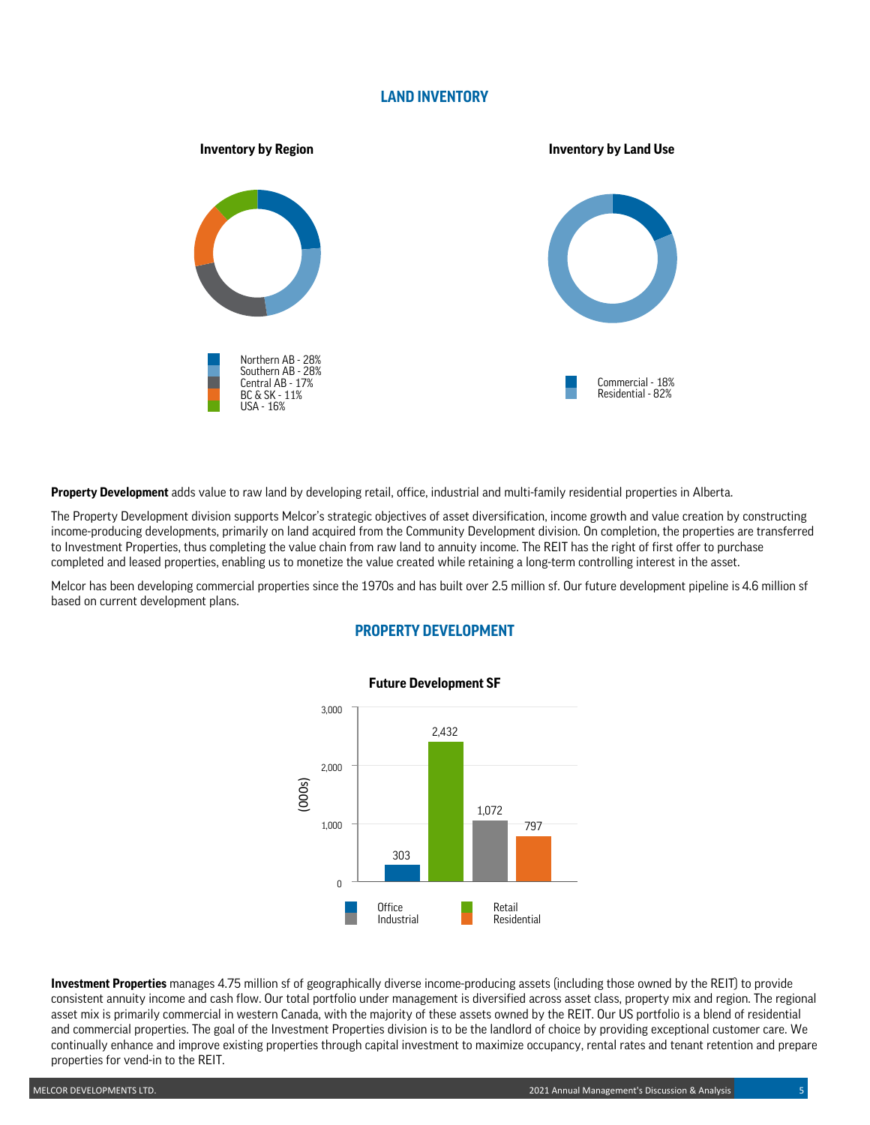## **LAND INVENTORY**



**Property Development** adds value to raw land by developing retail, office, industrial and multi-family residential properties in Alberta.

The Property Development division supports Melcor's strategic objectives of asset diversification, income growth and value creation by constructing income-producing developments, primarily on land acquired from the Community Development division. On completion, the properties are transferred to Investment Properties, thus completing the value chain from raw land to annuity income. The REIT has the right of first offer to purchase completed and leased properties, enabling us to monetize the value created while retaining a long-term controlling interest in the asset.

Melcor has been developing commercial properties since the 1970s and has built over 2.5 million sf. Our future development pipeline is 4.6 million sf based on current development plans.



## **PROPERTY DEVELOPMENT**

**Investment Properties** manages 4.75 million sf of geographically diverse income-producing assets (including those owned by the REIT) to provide consistent annuity income and cash flow. Our total portfolio under management is diversified across asset class, property mix and region. The regional asset mix is primarily commercial in western Canada, with the majority of these assets owned by the REIT. Our US portfolio is a blend of residential and commercial properties. The goal of the Investment Properties division is to be the landlord of choice by providing exceptional customer care. We continually enhance and improve existing properties through capital investment to maximize occupancy, rental rates and tenant retention and prepare properties for vend-in to the REIT.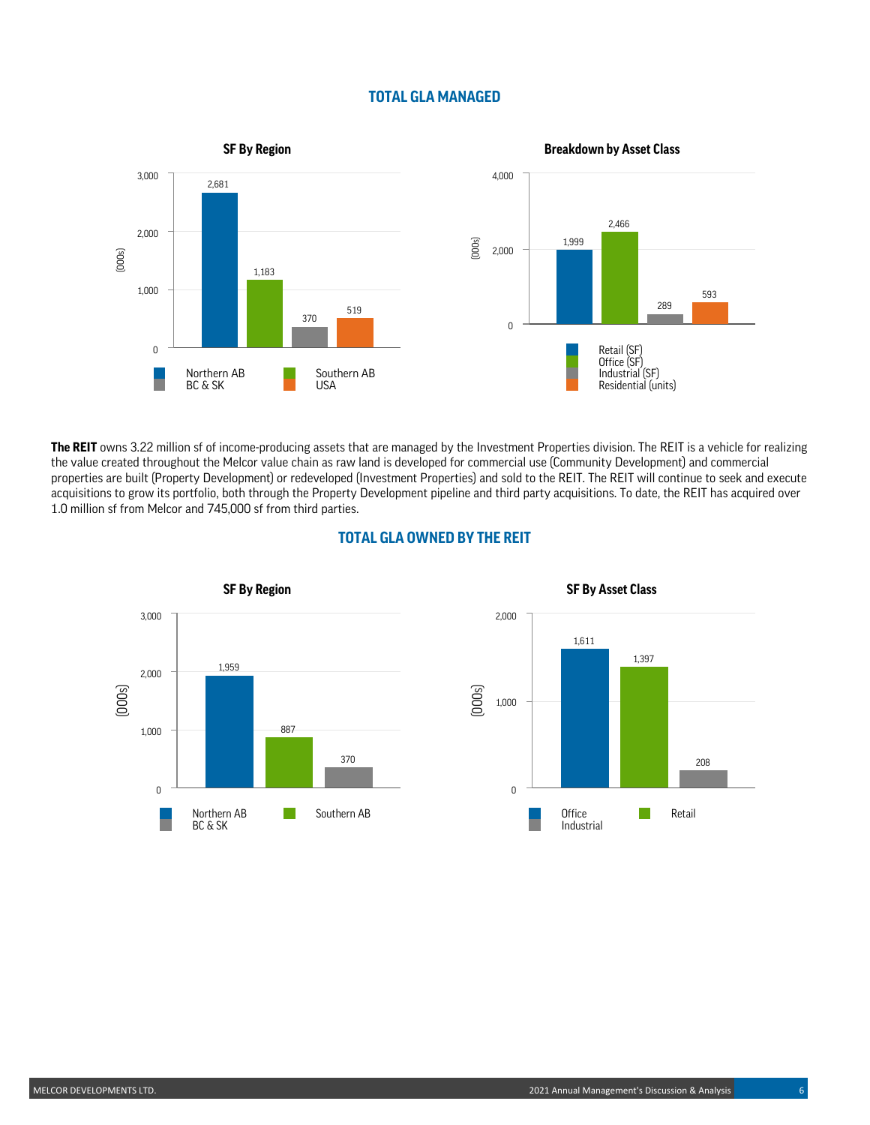## **TOTAL GLA MANAGED**



**The REIT** owns 3.22 million sf of income-producing assets that are managed by the Investment Properties division. The REIT is a vehicle for realizing the value created throughout the Melcor value chain as raw land is developed for commercial use (Community Development) and commercial properties are built (Property Development) or redeveloped (Investment Properties) and sold to the REIT. The REIT will continue to seek and execute acquisitions to grow its portfolio, both through the Property Development pipeline and third party acquisitions. To date, the REIT has acquired over 1.0 million sf from Melcor and 745,000 sf from third parties.

## **TOTAL GLA OWNED BY THE REIT**





**SF By Asset Class**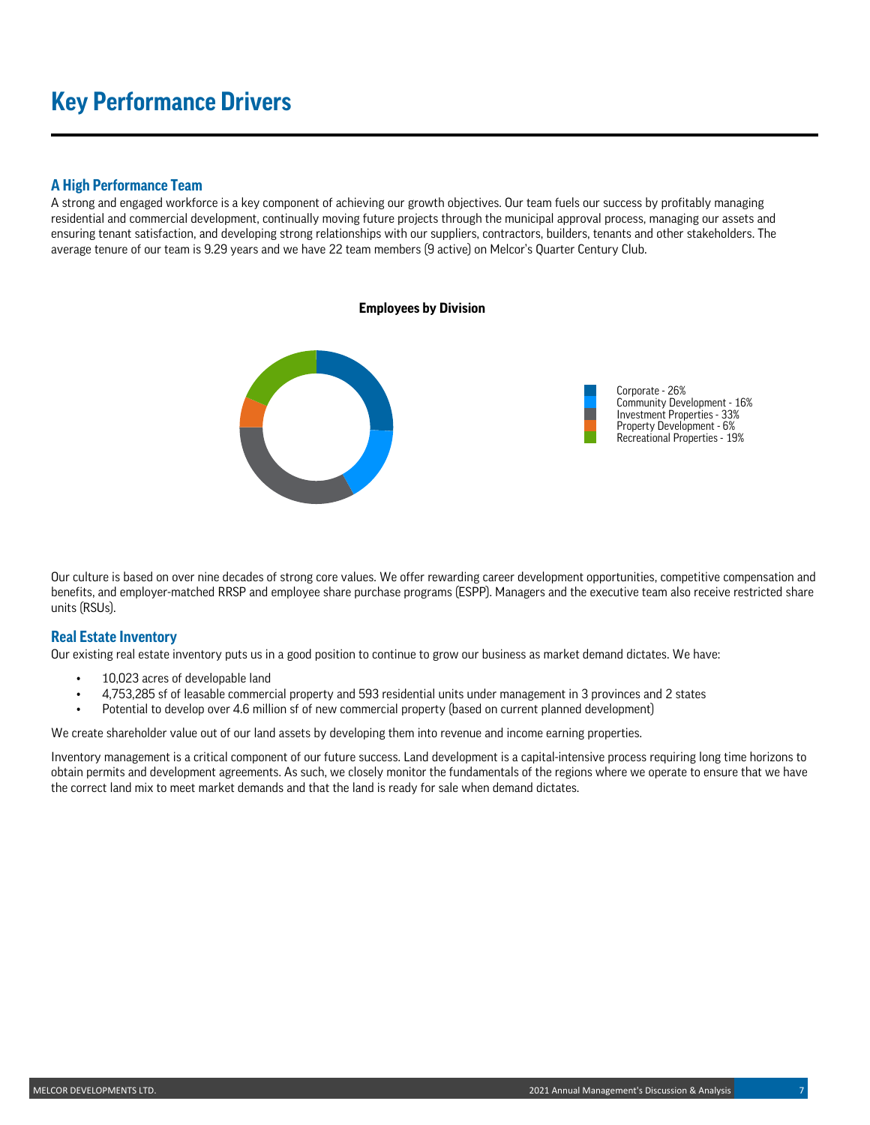# **Key Performance Drivers**

### **A High Performance Team**

A strong and engaged workforce is a key component of achieving our growth objectives. Our team fuels our success by profitably managing residential and commercial development, continually moving future projects through the municipal approval process, managing our assets and ensuring tenant satisfaction, and developing strong relationships with our suppliers, contractors, builders, tenants and other stakeholders. The average tenure of our team is 9.29 years and we have 22 team members (9 active) on Melcor's Quarter Century Club.



Our culture is based on over nine decades of strong core values. We offer rewarding career development opportunities, competitive compensation and benefits, and employer-matched RRSP and employee share purchase programs (ESPP). Managers and the executive team also receive restricted share units (RSUs).

## **Real Estate Inventory**

Our existing real estate inventory puts us in a good position to continue to grow our business as market demand dictates. We have:

- 10,023 acres of developable land
- 4,753,285 sf of leasable commercial property and 593 residential units under management in 3 provinces and 2 states
- Potential to develop over 4.6 million sf of new commercial property (based on current planned development)

We create shareholder value out of our land assets by developing them into revenue and income earning properties.

Inventory management is a critical component of our future success. Land development is a capital-intensive process requiring long time horizons to obtain permits and development agreements. As such, we closely monitor the fundamentals of the regions where we operate to ensure that we have the correct land mix to meet market demands and that the land is ready for sale when demand dictates.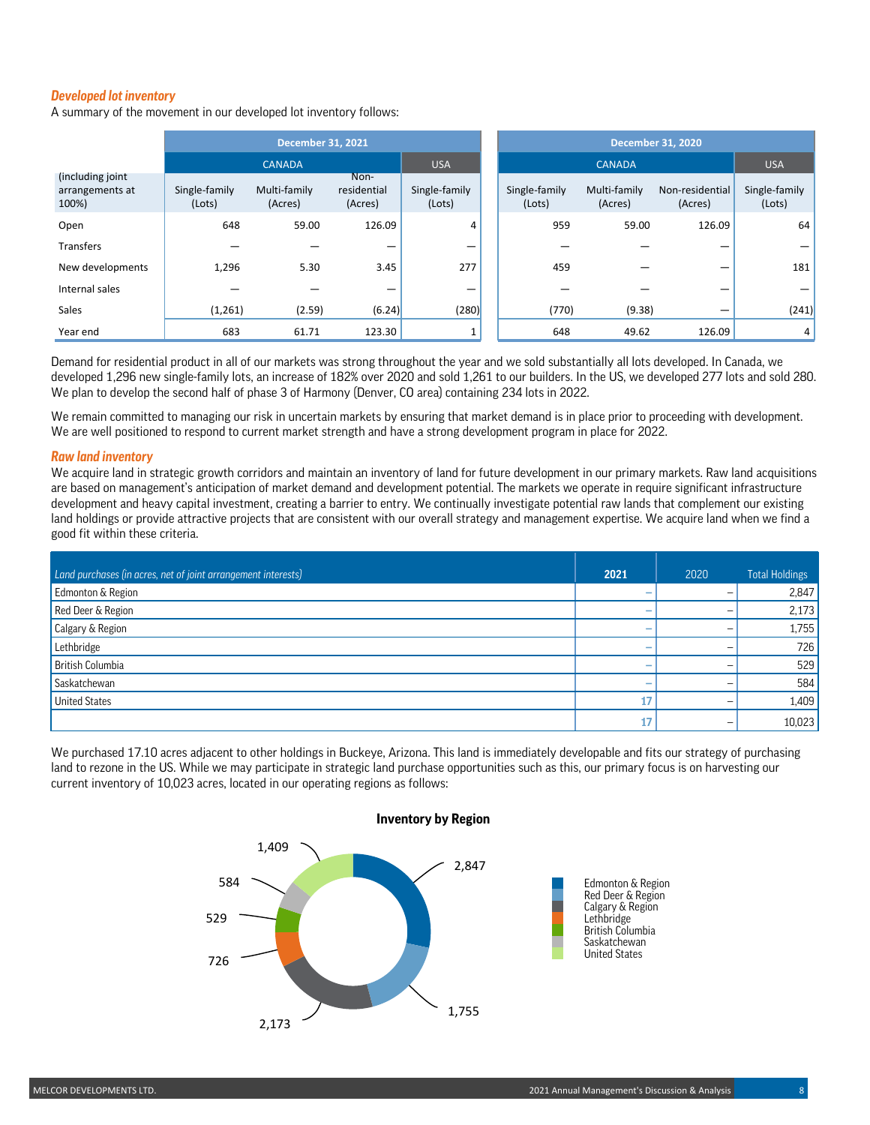### *Developed lot inventory*

A summary of the movement in our developed lot inventory follows:

|                                              | <b>December 31, 2021</b> |                         |                                |                         |  | <b>December 31, 2020</b> |                         |                            |                         |
|----------------------------------------------|--------------------------|-------------------------|--------------------------------|-------------------------|--|--------------------------|-------------------------|----------------------------|-------------------------|
|                                              |                          | <b>CANADA</b>           |                                | <b>USA</b>              |  |                          | <b>CANADA</b>           |                            | <b>USA</b>              |
| (including joint<br>arrangements at<br>100%) | Single-family<br>(Lots)  | Multi-family<br>(Acres) | Non-<br>residential<br>(Acres) | Single-family<br>(Lots) |  | Single-family<br>(Lots)  | Multi-family<br>(Acres) | Non-residential<br>(Acres) | Single-family<br>(Lots) |
| Open                                         | 648                      | 59.00                   | 126.09                         | 4                       |  | 959                      | 59.00                   | 126.09                     | 64                      |
| Transfers                                    |                          |                         |                                |                         |  |                          |                         |                            |                         |
| New developments                             | 1,296                    | 5.30                    | 3.45                           | 277                     |  | 459                      |                         |                            | 181                     |
| Internal sales                               |                          |                         |                                |                         |  |                          |                         |                            |                         |
| Sales                                        | (1,261)                  | (2.59)                  | (6.24)                         | (280)                   |  | (770)                    | (9.38)                  |                            | (241)                   |
| Year end                                     | 683                      | 61.71                   | 123.30                         |                         |  | 648                      | 49.62                   | 126.09                     | 4 <sup>1</sup>          |

Demand for residential product in all of our markets was strong throughout the year and we sold substantially all lots developed. In Canada, we developed 1,296 new single-family lots, an increase of 182% over 2020 and sold 1,261 to our builders. In the US, we developed 277 lots and sold 280. We plan to develop the second half of phase 3 of Harmony (Denver, CO area) containing 234 lots in 2022.

We remain committed to managing our risk in uncertain markets by ensuring that market demand is in place prior to proceeding with development. We are well positioned to respond to current market strength and have a strong development program in place for 2022.

#### *Raw land inventory*

We acquire land in strategic growth corridors and maintain an inventory of land for future development in our primary markets. Raw land acquisitions are based on management's anticipation of market demand and development potential. The markets we operate in require significant infrastructure development and heavy capital investment, creating a barrier to entry. We continually investigate potential raw lands that complement our existing land holdings or provide attractive projects that are consistent with our overall strategy and management expertise. We acquire land when we find a good fit within these criteria.

| Land purchases (in acres, net of joint arrangement interests) | 2021 | 2020 | <b>Total Holdings</b> |
|---------------------------------------------------------------|------|------|-----------------------|
| Edmonton & Region                                             | -    |      | 2,847                 |
| Red Deer & Region                                             | -    |      | 2,173                 |
| Calgary & Region                                              | -    |      | 1,755                 |
| Lethbridge                                                    | -    |      | 726                   |
| British Columbia                                              | -    |      | 529                   |
| Saskatchewan                                                  | -    |      | 584                   |
| <b>United States</b>                                          | 17   |      | 1,409                 |
|                                                               | 17   |      | 10,023                |

We purchased 17.10 acres adjacent to other holdings in Buckeye, Arizona. This land is immediately developable and fits our strategy of purchasing land to rezone in the US. While we may participate in strategic land purchase opportunities such as this, our primary focus is on harvesting our current inventory of 10,023 acres, located in our operating regions as follows:



### **Inventory by Region**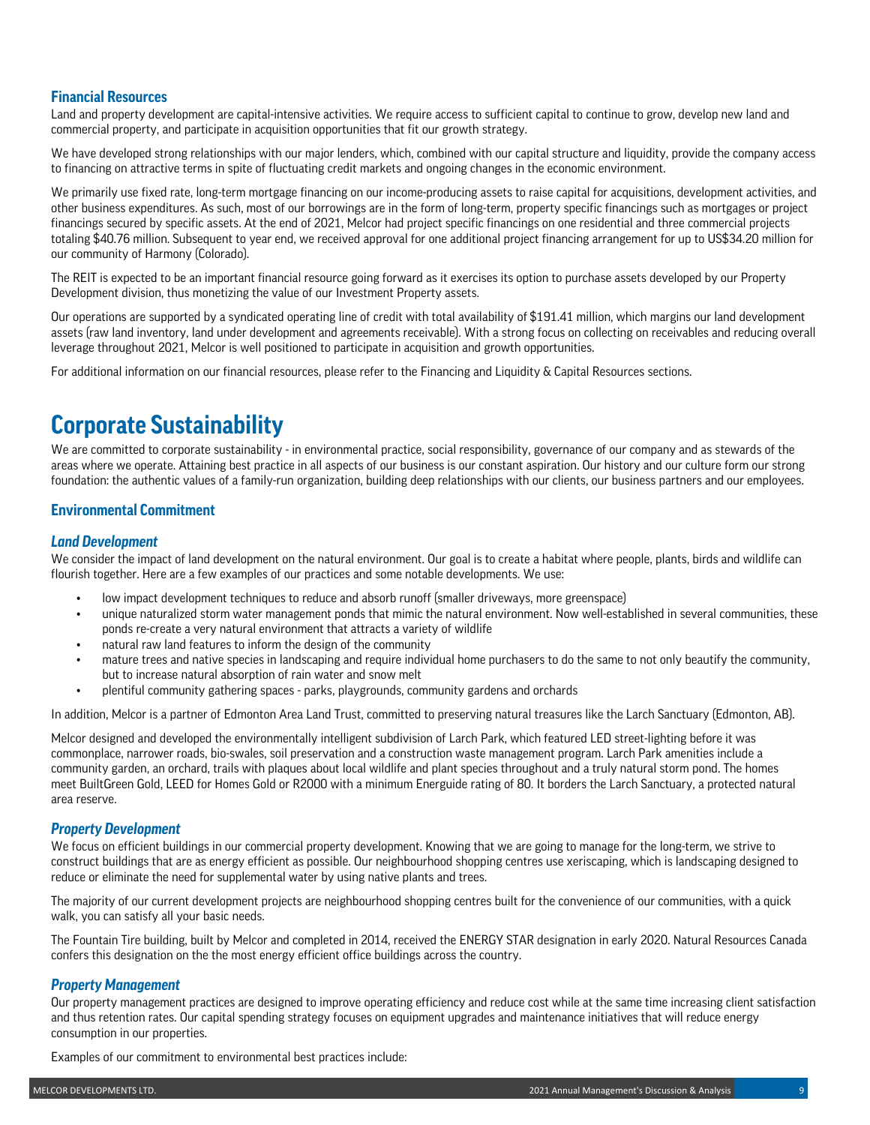## **Financial Resources**

Land and property development are capital-intensive activities. We require access to sufficient capital to continue to grow, develop new land and commercial property, and participate in acquisition opportunities that fit our growth strategy.

We have developed strong relationships with our major lenders, which, combined with our capital structure and liquidity, provide the company access to financing on attractive terms in spite of fluctuating credit markets and ongoing changes in the economic environment.

We primarily use fixed rate, long-term mortgage financing on our income-producing assets to raise capital for acquisitions, development activities, and other business expenditures. As such, most of our borrowings are in the form of long-term, property specific financings such as mortgages or project financings secured by specific assets. At the end of 2021, Melcor had project specific financings on one residential and three commercial projects totaling \$40.76 million. Subsequent to year end, we received approval for one additional project financing arrangement for up to US\$34.20 million for our community of Harmony (Colorado).

The REIT is expected to be an important financial resource going forward as it exercises its option to purchase assets developed by our Property Development division, thus monetizing the value of our Investment Property assets.

Our operations are supported by a syndicated operating line of credit with total availability of \$191.41 million, which margins our land development assets (raw land inventory, land under development and agreements receivable). With a strong focus on collecting on receivables and reducing overall leverage throughout 2021, Melcor is well positioned to participate in acquisition and growth opportunities.

For additional information on our financial resources, please refer to the Financing and Liquidity & Capital Resources sections.

## **Corporate Sustainability**

We are committed to corporate sustainability - in environmental practice, social responsibility, governance of our company and as stewards of the areas where we operate. Attaining best practice in all aspects of our business is our constant aspiration. Our history and our culture form our strong foundation: the authentic values of a family-run organization, building deep relationships with our clients, our business partners and our employees.

## **Environmental Commitment**

### *Land Development*

We consider the impact of land development on the natural environment. Our goal is to create a habitat where people, plants, birds and wildlife can flourish together. Here are a few examples of our practices and some notable developments. We use:

- low impact development techniques to reduce and absorb runoff (smaller driveways, more greenspace)
- unique naturalized storm water management ponds that mimic the natural environment. Now well-established in several communities, these ponds re-create a very natural environment that attracts a variety of wildlife
- natural raw land features to inform the design of the community
- mature trees and native species in landscaping and require individual home purchasers to do the same to not only beautify the community, but to increase natural absorption of rain water and snow melt
- plentiful community gathering spaces parks, playgrounds, community gardens and orchards

In addition, Melcor is a partner of Edmonton Area Land Trust, committed to preserving natural treasures like the Larch Sanctuary (Edmonton, AB).

Melcor designed and developed the environmentally intelligent subdivision of Larch Park, which featured LED street-lighting before it was commonplace, narrower roads, bio-swales, soil preservation and a construction waste management program. Larch Park amenities include a community garden, an orchard, trails with plaques about local wildlife and plant species throughout and a truly natural storm pond. The homes meet BuiltGreen Gold, LEED for Homes Gold or R2000 with a minimum Energuide rating of 80. It borders the Larch Sanctuary, a protected natural area reserve.

### *Property Development*

We focus on efficient buildings in our commercial property development. Knowing that we are going to manage for the long-term, we strive to construct buildings that are as energy efficient as possible. Our neighbourhood shopping centres use xeriscaping, which is landscaping designed to reduce or eliminate the need for supplemental water by using native plants and trees.

The majority of our current development projects are neighbourhood shopping centres built for the convenience of our communities, with a quick walk, you can satisfy all your basic needs.

The Fountain Tire building, built by Melcor and completed in 2014, received the ENERGY STAR designation in early 2020. Natural Resources Canada confers this designation on the the most energy efficient office buildings across the country.

### *Property Management*

Our property management practices are designed to improve operating efficiency and reduce cost while at the same time increasing client satisfaction and thus retention rates. Our capital spending strategy focuses on equipment upgrades and maintenance initiatives that will reduce energy consumption in our properties.

Examples of our commitment to environmental best practices include: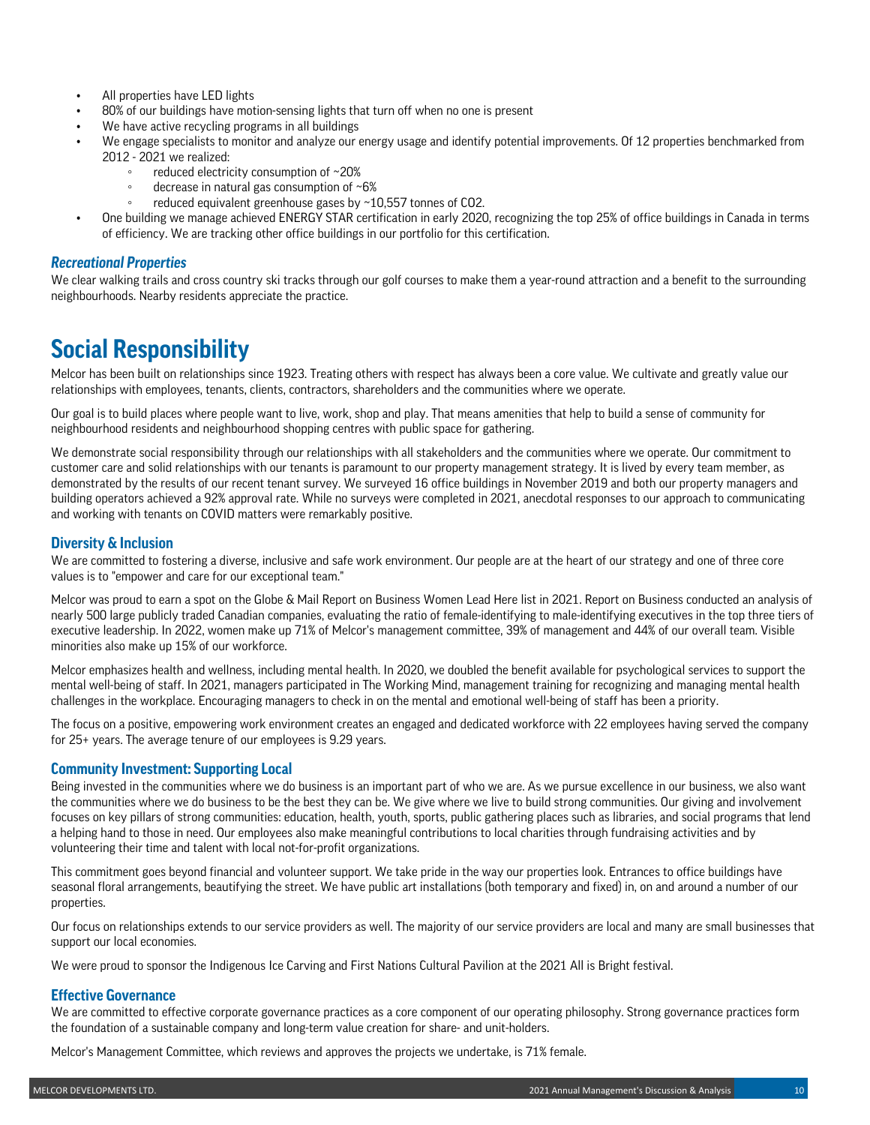- All properties have LED lights
- 80% of our buildings have motion-sensing lights that turn off when no one is present
- We have active recycling programs in all buildings
- We engage specialists to monitor and analyze our energy usage and identify potential improvements. Of 12 properties benchmarked from 2012 - 2021 we realized:
	- reduced electricity consumption of ∼20%
	- decrease in natural gas consumption of  $~6\%$
	- reduced equivalent greenhouse gases by ~10,557 tonnes of CO2.
- One building we manage achieved ENERGY STAR certification in early 2020, recognizing the top 25% of office buildings in Canada in terms of efficiency. We are tracking other office buildings in our portfolio for this certification.

### *Recreational Properties*

We clear walking trails and cross country ski tracks through our golf courses to make them a year-round attraction and a benefit to the surrounding neighbourhoods. Nearby residents appreciate the practice.

## **Social Responsibility**

Melcor has been built on relationships since 1923. Treating others with respect has always been a core value. We cultivate and greatly value our relationships with employees, tenants, clients, contractors, shareholders and the communities where we operate.

Our goal is to build places where people want to live, work, shop and play. That means amenities that help to build a sense of community for neighbourhood residents and neighbourhood shopping centres with public space for gathering.

We demonstrate social responsibility through our relationships with all stakeholders and the communities where we operate. Our commitment to customer care and solid relationships with our tenants is paramount to our property management strategy. It is lived by every team member, as demonstrated by the results of our recent tenant survey. We surveyed 16 office buildings in November 2019 and both our property managers and building operators achieved a 92% approval rate. While no surveys were completed in 2021, anecdotal responses to our approach to communicating and working with tenants on COVID matters were remarkably positive.

## **Diversity & Inclusion**

We are committed to fostering a diverse, inclusive and safe work environment. Our people are at the heart of our strategy and one of three core values is to "empower and care for our exceptional team."

Melcor was proud to earn a spot on the Globe & Mail Report on Business Women Lead Here list in 2021. Report on Business conducted an analysis of nearly 500 large publicly traded Canadian companies, evaluating the ratio of female-identifying to male-identifying executives in the top three tiers of executive leadership. In 2022, women make up 71% of Melcor's management committee, 39% of management and 44% of our overall team. Visible minorities also make up 15% of our workforce.

Melcor emphasizes health and wellness, including mental health. In 2020, we doubled the benefit available for psychological services to support the mental well-being of staff. In 2021, managers participated in The Working Mind, management training for recognizing and managing mental health challenges in the workplace. Encouraging managers to check in on the mental and emotional well-being of staff has been a priority.

The focus on a positive, empowering work environment creates an engaged and dedicated workforce with 22 employees having served the company for 25+ years. The average tenure of our employees is 9.29 years.

### **Community Investment: Supporting Local**

Being invested in the communities where we do business is an important part of who we are. As we pursue excellence in our business, we also want the communities where we do business to be the best they can be. We give where we live to build strong communities. Our giving and involvement focuses on key pillars of strong communities: education, health, youth, sports, public gathering places such as libraries, and social programs that lend a helping hand to those in need. Our employees also make meaningful contributions to local charities through fundraising activities and by volunteering their time and talent with local not-for-profit organizations.

This commitment goes beyond financial and volunteer support. We take pride in the way our properties look. Entrances to office buildings have seasonal floral arrangements, beautifying the street. We have public art installations (both temporary and fixed) in, on and around a number of our properties.

Our focus on relationships extends to our service providers as well. The majority of our service providers are local and many are small businesses that support our local economies.

We were proud to sponsor the Indigenous Ice Carving and First Nations Cultural Pavilion at the 2021 All is Bright festival.

## **Effective Governance**

We are committed to effective corporate governance practices as a core component of our operating philosophy. Strong governance practices form the foundation of a sustainable company and long-term value creation for share- and unit-holders.

Melcor's Management Committee, which reviews and approves the projects we undertake, is 71% female.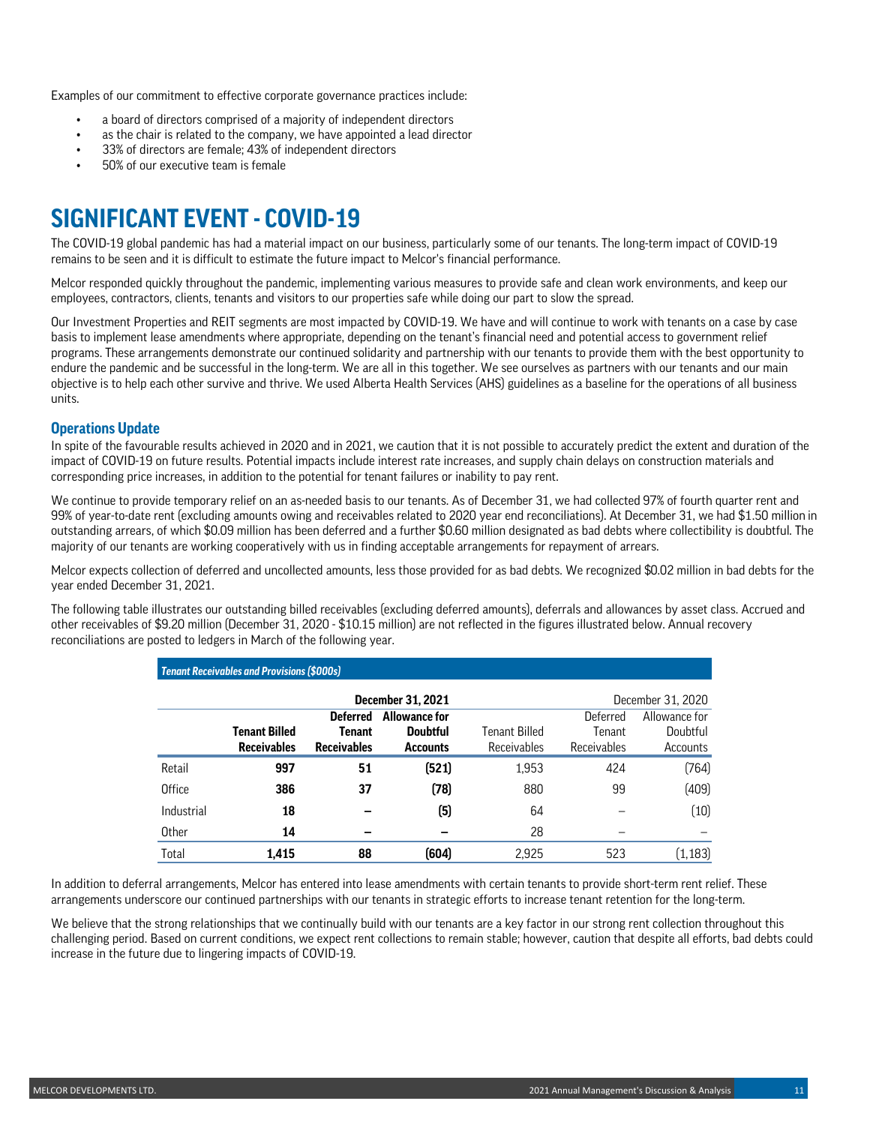Examples of our commitment to effective corporate governance practices include:

- a board of directors comprised of a majority of independent directors
- as the chair is related to the company, we have appointed a lead director
- 33% of directors are female; 43% of independent directors
- 50% of our executive team is female

# **SIGNIFICANT EVENT - COVID-19**

The COVID-19 global pandemic has had a material impact on our business, particularly some of our tenants. The long-term impact of COVID-19 remains to be seen and it is difficult to estimate the future impact to Melcor's financial performance.

Melcor responded quickly throughout the pandemic, implementing various measures to provide safe and clean work environments, and keep our employees, contractors, clients, tenants and visitors to our properties safe while doing our part to slow the spread.

Our Investment Properties and REIT segments are most impacted by COVID-19. We have and will continue to work with tenants on a case by case basis to implement lease amendments where appropriate, depending on the tenant's financial need and potential access to government relief programs. These arrangements demonstrate our continued solidarity and partnership with our tenants to provide them with the best opportunity to endure the pandemic and be successful in the long-term. We are all in this together. We see ourselves as partners with our tenants and our main objective is to help each other survive and thrive. We used Alberta Health Services (AHS) guidelines as a baseline for the operations of all business units.

### **Operations Update**

In spite of the favourable results achieved in 2020 and in 2021, we caution that it is not possible to accurately predict the extent and duration of the impact of COVID-19 on future results. Potential impacts include interest rate increases, and supply chain delays on construction materials and corresponding price increases, in addition to the potential for tenant failures or inability to pay rent.

We continue to provide temporary relief on an as-needed basis to our tenants. As of December 31, we had collected 97% of fourth quarter rent and 99% of year-to-date rent (excluding amounts owing and receivables related to 2020 year end reconciliations). At December 31, we had \$1.50 million in outstanding arrears, of which \$0.09 million has been deferred and a further \$0.60 million designated as bad debts where collectibility is doubtful. The majority of our tenants are working cooperatively with us in finding acceptable arrangements for repayment of arrears.

Melcor expects collection of deferred and uncollected amounts, less those provided for as bad debts. We recognized \$0.02 million in bad debts for the year ended December 31, 2021.

The following table illustrates our outstanding billed receivables (excluding deferred amounts), deferrals and allowances by asset class. Accrued and other receivables of \$9.20 million (December 31, 2020 - \$10.15 million) are not reflected in the figures illustrated below. Annual recovery reconciliations are posted to ledgers in March of the following year.

|               | <b>Tenant Receivables and Provisions (\$000s)</b> |                    |                          |               |             |                   |
|---------------|---------------------------------------------------|--------------------|--------------------------|---------------|-------------|-------------------|
|               |                                                   |                    | <b>December 31, 2021</b> |               |             | December 31, 2020 |
|               |                                                   | <b>Deferred</b>    | <b>Allowance for</b>     |               | Deferred    | Allowance for     |
|               | Tenant Billed                                     | <b>Tenant</b>      | <b>Doubtful</b>          | Tenant Billed | Tenant      | Doubtful          |
|               | <b>Receivables</b>                                | <b>Receivables</b> | <b>Accounts</b>          | Receivables   | Receivables | Accounts          |
| Retail        | 997                                               | 51                 | (521)                    | 1,953         | 424         | (764)             |
| <b>Office</b> | 386                                               | 37                 | (78)                     | 880           | 99          | (409)             |
| Industrial    | 18                                                |                    | (5)                      | 64            |             | (10)              |
| Other         | 14                                                |                    |                          | 28            |             |                   |
| Total         | 1.415                                             | 88                 | (604)                    | 2.925         | 523         | (1, 183)          |

In addition to deferral arrangements, Melcor has entered into lease amendments with certain tenants to provide short-term rent relief. These arrangements underscore our continued partnerships with our tenants in strategic efforts to increase tenant retention for the long-term.

We believe that the strong relationships that we continually build with our tenants are a key factor in our strong rent collection throughout this challenging period. Based on current conditions, we expect rent collections to remain stable; however, caution that despite all efforts, bad debts could increase in the future due to lingering impacts of COVID-19.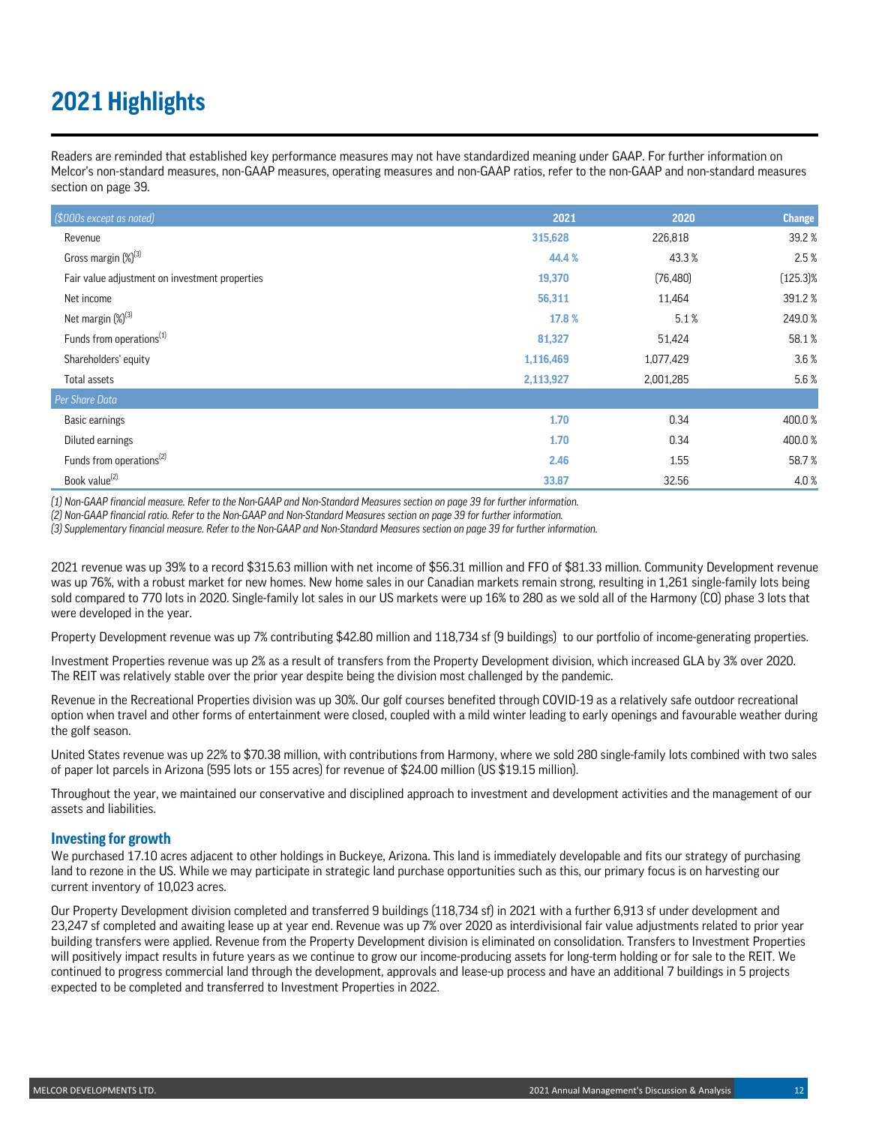# **2021 Highlights**

Readers are reminded that established key performance measures may not have standardized meaning under GAAP. For further information on Melcor's non-standard measures, non-GAAP measures, operating measures and non-GAAP ratios, refer to the non-GAAP and non-standard measures section on page 39.

| (\$000s except as noted)                       | 2021      | 2020      | <b>Change</b> |
|------------------------------------------------|-----------|-----------|---------------|
| Revenue                                        | 315,628   | 226,818   | 39.2%         |
| Gross margin (%) <sup>(3)</sup>                | 44.4 %    | 43.3%     | 2.5%          |
| Fair value adjustment on investment properties | 19,370    | (76, 480) | $(125.3)\%$   |
| Net income                                     | 56,311    | 11,464    | 391.2%        |
| Net margin (%) <sup>(3)</sup>                  | 17.8 %    | 5.1%      | 249.0%        |
| Funds from operations <sup>(1)</sup>           | 81,327    | 51,424    | 58.1%         |
| Shareholders' equity                           | 1,116,469 | 1,077,429 | 3.6 %         |
| Total assets                                   | 2,113,927 | 2,001,285 | 5.6%          |
| Per Share Data                                 |           |           |               |
| Basic earnings                                 | 1.70      | 0.34      | 400.0%        |
| Diluted earnings                               | 1.70      | 0.34      | 400.0%        |
| Funds from operations <sup>(2)</sup>           | 2.46      | 1.55      | 58.7%         |
| Book value <sup>(2)</sup>                      | 33.87     | 32.56     | 4.0%          |

*(1) Non-GAAP financial measure. Refer to the Non-GAAP and Non-Standard Measures section on page 39 for further information.*

*(2) Non-GAAP financial ratio. Refer to the Non-GAAP and Non-Standard Measures section on page 39 for further information.*

*(3) Supplementary financial measure. Refer to the Non-GAAP and Non-Standard Measures section on page 39 for further information.*

2021 revenue was up 39% to a record \$315.63 million with net income of \$56.31 million and FFO of \$81.33 million. Community Development revenue was up 76%, with a robust market for new homes. New home sales in our Canadian markets remain strong, resulting in 1,261 single-family lots being sold compared to 770 lots in 2020. Single-family lot sales in our US markets were up 16% to 280 as we sold all of the Harmony (CO) phase 3 lots that were developed in the year.

Property Development revenue was up 7% contributing \$42.80 million and 118,734 sf (9 buildings) to our portfolio of income-generating properties.

Investment Properties revenue was up 2% as a result of transfers from the Property Development division, which increased GLA by 3% over 2020. The REIT was relatively stable over the prior year despite being the division most challenged by the pandemic.

Revenue in the Recreational Properties division was up 30%. Our golf courses benefited through COVID-19 as a relatively safe outdoor recreational option when travel and other forms of entertainment were closed, coupled with a mild winter leading to early openings and favourable weather during the golf season.

United States revenue was up 22% to \$70.38 million, with contributions from Harmony, where we sold 280 single-family lots combined with two sales of paper lot parcels in Arizona (595 lots or 155 acres) for revenue of \$24.00 million (US \$19.15 million).

Throughout the year, we maintained our conservative and disciplined approach to investment and development activities and the management of our assets and liabilities.

### **Investing for growth**

We purchased 17.10 acres adjacent to other holdings in Buckeye, Arizona. This land is immediately developable and fits our strategy of purchasing land to rezone in the US. While we may participate in strategic land purchase opportunities such as this, our primary focus is on harvesting our current inventory of 10,023 acres.

Our Property Development division completed and transferred 9 buildings (118,734 sf) in 2021 with a further 6,913 sf under development and 23,247 sf completed and awaiting lease up at year end. Revenue was up 7% over 2020 as interdivisional fair value adjustments related to prior year building transfers were applied. Revenue from the Property Development division is eliminated on consolidation. Transfers to Investment Properties will positively impact results in future years as we continue to grow our income-producing assets for long-term holding or for sale to the REIT. We continued to progress commercial land through the development, approvals and lease-up process and have an additional 7 buildings in 5 projects expected to be completed and transferred to Investment Properties in 2022.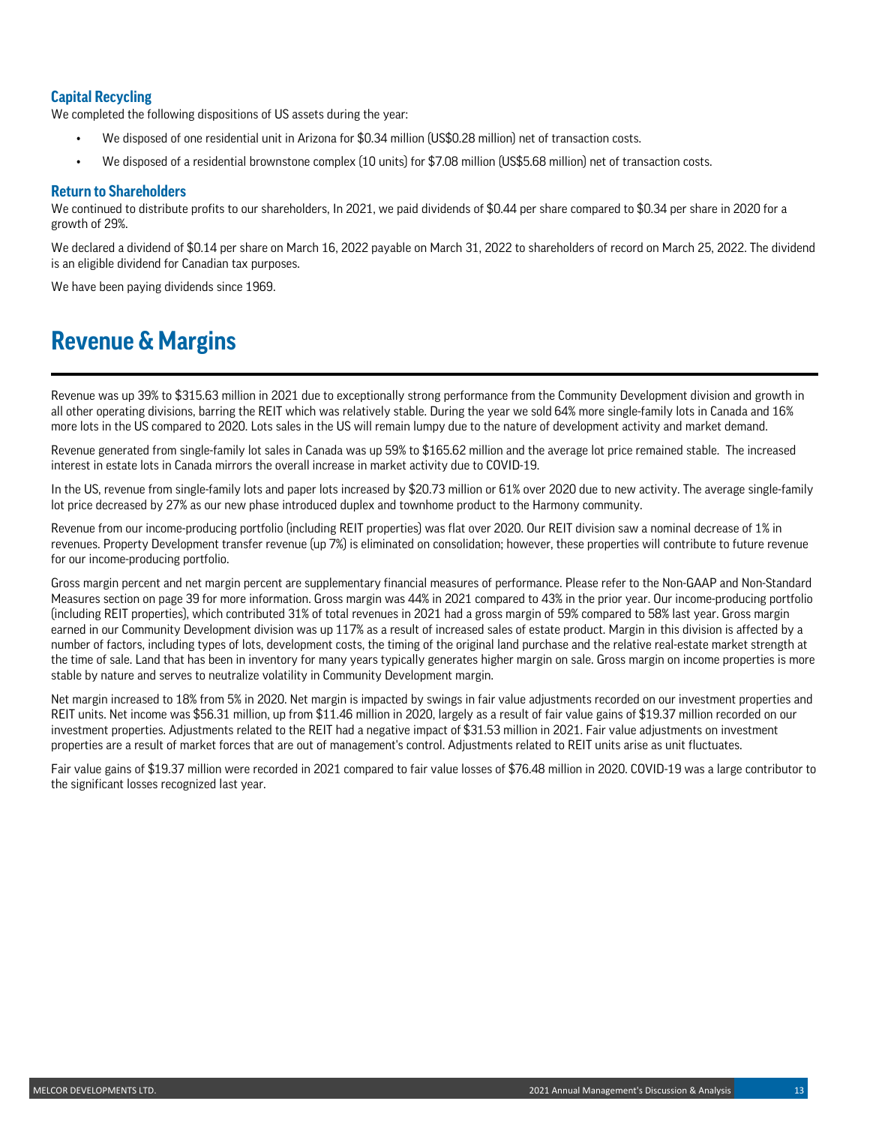## **Capital Recycling**

We completed the following dispositions of US assets during the year:

- We disposed of one residential unit in Arizona for \$0.34 million (US\$0.28 million) net of transaction costs.
- We disposed of a residential brownstone complex (10 units) for \$7.08 million (US\$5.68 million) net of transaction costs.

### **Return to Shareholders**

We continued to distribute profits to our shareholders, In 2021, we paid dividends of \$0.44 per share compared to \$0.34 per share in 2020 for a growth of 29%.

We declared a dividend of \$0.14 per share on March 16, 2022 payable on March 31, 2022 to shareholders of record on March 25, 2022. The dividend is an eligible dividend for Canadian tax purposes.

We have been paying dividends since 1969.

## **Revenue & Margins**

Revenue was up 39% to \$315.63 million in 2021 due to exceptionally strong performance from the Community Development division and growth in all other operating divisions, barring the REIT which was relatively stable. During the year we sold 64% more single-family lots in Canada and 16% more lots in the US compared to 2020. Lots sales in the US will remain lumpy due to the nature of development activity and market demand.

Revenue generated from single-family lot sales in Canada was up 59% to \$165.62 million and the average lot price remained stable. The increased interest in estate lots in Canada mirrors the overall increase in market activity due to COVID-19.

In the US, revenue from single-family lots and paper lots increased by \$20.73 million or 61% over 2020 due to new activity. The average single-family lot price decreased by 27% as our new phase introduced duplex and townhome product to the Harmony community.

Revenue from our income-producing portfolio (including REIT properties) was flat over 2020. Our REIT division saw a nominal decrease of 1% in revenues. Property Development transfer revenue (up 7%) is eliminated on consolidation; however, these properties will contribute to future revenue for our income-producing portfolio.

Gross margin percent and net margin percent are supplementary financial measures of performance. Please refer to the Non-GAAP and Non-Standard Measures section on page 39 for more information. Gross margin was 44% in 2021 compared to 43% in the prior year. Our income-producing portfolio (including REIT properties), which contributed 31% of total revenues in 2021 had a gross margin of 59% compared to 58% last year. Gross margin earned in our Community Development division was up 117% as a result of increased sales of estate product. Margin in this division is affected by a number of factors, including types of lots, development costs, the timing of the original land purchase and the relative real-estate market strength at the time of sale. Land that has been in inventory for many years typically generates higher margin on sale. Gross margin on income properties is more stable by nature and serves to neutralize volatility in Community Development margin.

Net margin increased to 18% from 5% in 2020. Net margin is impacted by swings in fair value adjustments recorded on our investment properties and REIT units. Net income was \$56.31 million, up from \$11.46 million in 2020, largely as a result of fair value gains of \$19.37 million recorded on our investment properties. Adjustments related to the REIT had a negative impact of \$31.53 million in 2021. Fair value adjustments on investment properties are a result of market forces that are out of management's control. Adjustments related to REIT units arise as unit fluctuates.

Fair value gains of \$19.37 million were recorded in 2021 compared to fair value losses of \$76.48 million in 2020. COVID-19 was a large contributor to the significant losses recognized last year.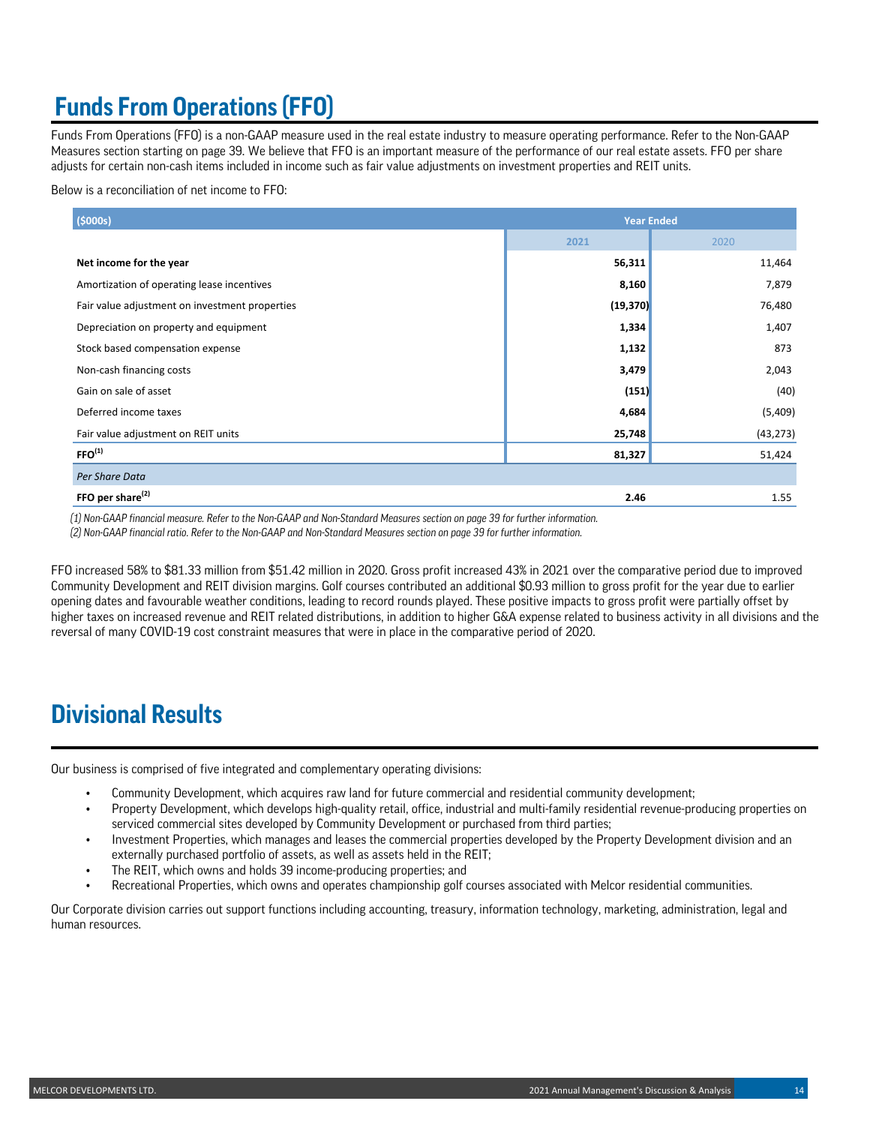# **Funds From Operations (FFO)**

Funds From Operations (FFO) is a non-GAAP measure used in the real estate industry to measure operating performance. Refer to the Non-GAAP Measures section starting on page 39. We believe that FFO is an important measure of the performance of our real estate assets. FFO per share adjusts for certain non-cash items included in income such as fair value adjustments on investment properties and REIT units.

Below is a reconciliation of net income to FFO:

| (5000s)                                        | <b>Year Ended</b> |           |  |  |
|------------------------------------------------|-------------------|-----------|--|--|
|                                                | 2021              | 2020      |  |  |
| Net income for the year                        | 56,311            | 11,464    |  |  |
| Amortization of operating lease incentives     | 8,160             | 7,879     |  |  |
| Fair value adjustment on investment properties | (19, 370)         | 76,480    |  |  |
| Depreciation on property and equipment         | 1,334             | 1,407     |  |  |
| Stock based compensation expense               | 1,132             | 873       |  |  |
| Non-cash financing costs                       | 3,479             | 2,043     |  |  |
| Gain on sale of asset                          | (151)             | (40)      |  |  |
| Deferred income taxes                          | 4,684             | (5,409)   |  |  |
| Fair value adjustment on REIT units            | 25,748            | (43, 273) |  |  |
| FFO <sup>(1)</sup>                             | 81,327            | 51,424    |  |  |
| Per Share Data                                 |                   |           |  |  |
| FFO per share <sup>(2)</sup>                   | 2.46              | 1.55      |  |  |

*(1) Non-GAAP financial measure. Refer to the Non-GAAP and Non-Standard Measures section on page 39 for further information.*

*(2) Non-GAAP financial ratio. Refer to the Non-GAAP and Non-Standard Measures section on page 39 for further information.*

FFO increased 58% to \$81.33 million from \$51.42 million in 2020. Gross profit increased 43% in 2021 over the comparative period due to improved Community Development and REIT division margins. Golf courses contributed an additional \$0.93 million to gross profit for the year due to earlier opening dates and favourable weather conditions, leading to record rounds played. These positive impacts to gross profit were partially offset by higher taxes on increased revenue and REIT related distributions, in addition to higher G&A expense related to business activity in all divisions and the reversal of many COVID-19 cost constraint measures that were in place in the comparative period of 2020.

# **Divisional Results**

Our business is comprised of five integrated and complementary operating divisions:

- Community Development, which acquires raw land for future commercial and residential community development;
- Property Development, which develops high-quality retail, office, industrial and multi-family residential revenue-producing properties on serviced commercial sites developed by Community Development or purchased from third parties;
- Investment Properties, which manages and leases the commercial properties developed by the Property Development division and an externally purchased portfolio of assets, as well as assets held in the REIT;
- The REIT, which owns and holds 39 income-producing properties; and
- Recreational Properties, which owns and operates championship golf courses associated with Melcor residential communities.

Our Corporate division carries out support functions including accounting, treasury, information technology, marketing, administration, legal and human resources.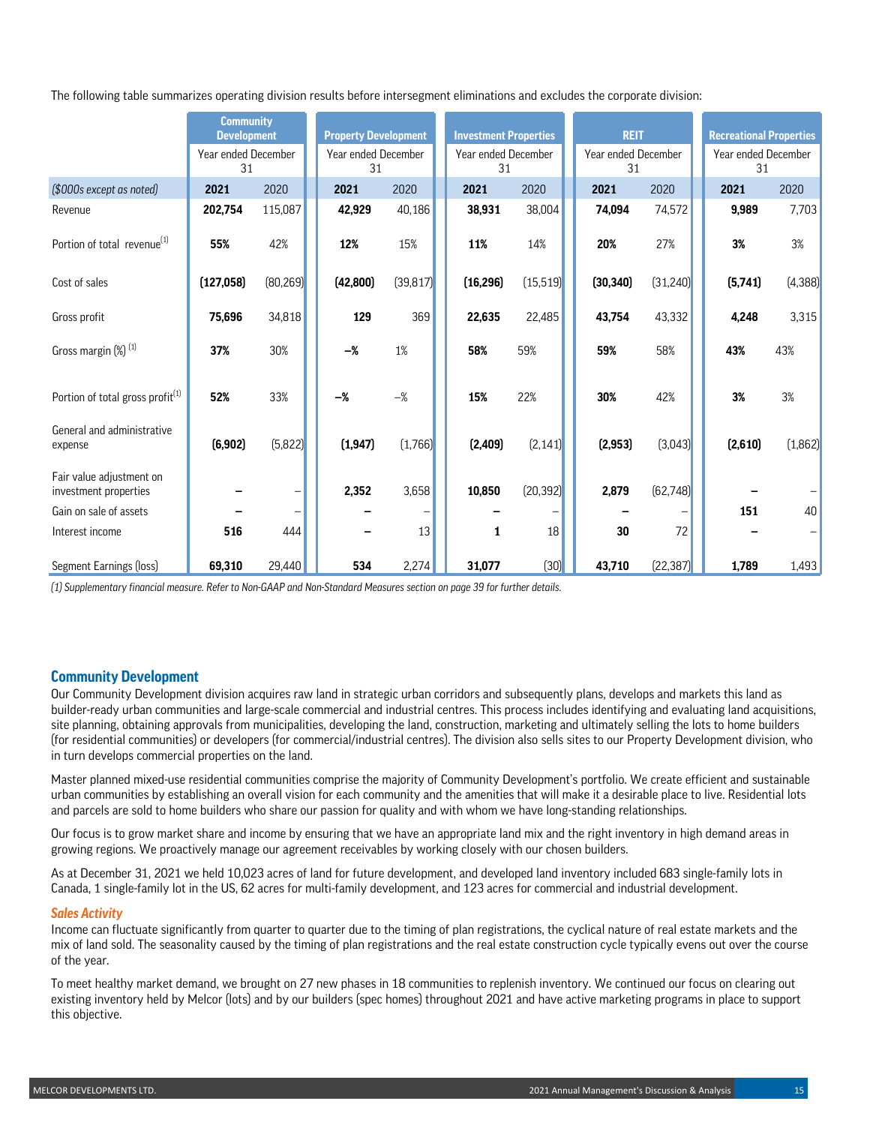The following table summarizes operating division results before intersegment eliminations and excludes the corporate division:

|                                                   | <b>Community</b>          |           |                    |           |                     |  |                           |           |                             |           |                           |                              |  |             |  |                                |  |
|---------------------------------------------------|---------------------------|-----------|--------------------|-----------|---------------------|--|---------------------------|-----------|-----------------------------|-----------|---------------------------|------------------------------|--|-------------|--|--------------------------------|--|
|                                                   |                           |           | <b>Development</b> |           |                     |  |                           |           | <b>Property Development</b> |           |                           | <b>Investment Properties</b> |  | <b>REIT</b> |  | <b>Recreational Properties</b> |  |
|                                                   | Year ended December<br>31 |           |                    | 31        | Year ended December |  | Year ended December<br>31 |           | Year ended December<br>31   |           | Year ended December<br>31 |                              |  |             |  |                                |  |
| (\$000s except as noted)                          | 2021                      | 2020      |                    | 2021      | 2020                |  | 2021                      | 2020      | 2021                        | 2020      | 2021                      | 2020                         |  |             |  |                                |  |
| Revenue                                           | 202,754                   | 115,087   |                    | 42,929    | 40,186              |  | 38,931                    | 38,004    | 74,094                      | 74,572    | 9,989                     | 7,703                        |  |             |  |                                |  |
| Portion of total revenue <sup>(1)</sup>           | 55%                       | 42%       |                    | 12%       | 15%                 |  | 11%                       | 14%       | 20%                         | 27%       | 3%                        | 3%                           |  |             |  |                                |  |
| Cost of sales                                     | (127, 058)                | (80, 269) |                    | (42, 800) | (39, 817)           |  | (16, 296)                 | (15, 519) | (30, 340)                   | (31, 240) | (5,741)                   | (4, 388)                     |  |             |  |                                |  |
| Gross profit                                      | 75,696                    | 34,818    |                    | 129       | 369                 |  | 22,635                    | 22,485    | 43,754                      | 43,332    | 4,248                     | 3,315                        |  |             |  |                                |  |
| Gross margin (%) <sup>(1)</sup>                   | 37%                       | 30%       |                    | $-\%$     | $1\%$               |  | 58%                       | 59%       | 59%                         | 58%       | 43%                       | 43%                          |  |             |  |                                |  |
|                                                   |                           |           |                    |           |                     |  |                           |           |                             |           |                           |                              |  |             |  |                                |  |
| Portion of total gross profit <sup>(1)</sup>      | 52%                       | 33%       |                    | $-\%$     | $-\%$               |  | 15%                       | 22%       | 30%                         | 42%       | 3%                        | 3%                           |  |             |  |                                |  |
| General and administrative<br>expense             | (6, 902)                  | (5, 822)  |                    | (1, 947)  | (1,766)             |  | (2,409)                   | (2, 141)  | (2, 953)                    | (3,043)   | (2,610)                   | (1,862)                      |  |             |  |                                |  |
| Fair value adjustment on<br>investment properties |                           |           |                    | 2,352     | 3,658               |  | 10,850                    | (20, 392) | 2,879                       | (62, 748) |                           |                              |  |             |  |                                |  |
| Gain on sale of assets                            |                           |           |                    |           | -                   |  |                           |           |                             |           | 151                       | 40                           |  |             |  |                                |  |
| Interest income                                   | 516                       | 444       |                    |           | 13                  |  | 1                         | 18        | 30                          | 72        |                           |                              |  |             |  |                                |  |
| Segment Earnings (loss)                           | 69,310                    | 29,440    |                    | 534       | 2,274               |  | 31,077                    | (30)      | 43,710                      | (22, 387) | 1,789                     | 1,493                        |  |             |  |                                |  |

*(1) Supplementary financial measure. Refer to Non-GAAP and Non-Standard Measures section on page 39 for further details.* 

## **Community Development**

Our Community Development division acquires raw land in strategic urban corridors and subsequently plans, develops and markets this land as builder-ready urban communities and large-scale commercial and industrial centres. This process includes identifying and evaluating land acquisitions, site planning, obtaining approvals from municipalities, developing the land, construction, marketing and ultimately selling the lots to home builders (for residential communities) or developers (for commercial/industrial centres). The division also sells sites to our Property Development division, who in turn develops commercial properties on the land.

Master planned mixed-use residential communities comprise the majority of Community Development's portfolio. We create efficient and sustainable urban communities by establishing an overall vision for each community and the amenities that will make it a desirable place to live. Residential lots and parcels are sold to home builders who share our passion for quality and with whom we have long-standing relationships.

Our focus is to grow market share and income by ensuring that we have an appropriate land mix and the right inventory in high demand areas in growing regions. We proactively manage our agreement receivables by working closely with our chosen builders.

As at December 31, 2021 we held 10,023 acres of land for future development, and developed land inventory included 683 single-family lots in Canada, 1 single-family lot in the US, 62 acres for multi-family development, and 123 acres for commercial and industrial development.

### *Sales Activity*

Income can fluctuate significantly from quarter to quarter due to the timing of plan registrations, the cyclical nature of real estate markets and the mix of land sold. The seasonality caused by the timing of plan registrations and the real estate construction cycle typically evens out over the course of the year.

To meet healthy market demand, we brought on 27 new phases in 18 communities to replenish inventory. We continued our focus on clearing out existing inventory held by Melcor (lots) and by our builders (spec homes) throughout 2021 and have active marketing programs in place to support this objective.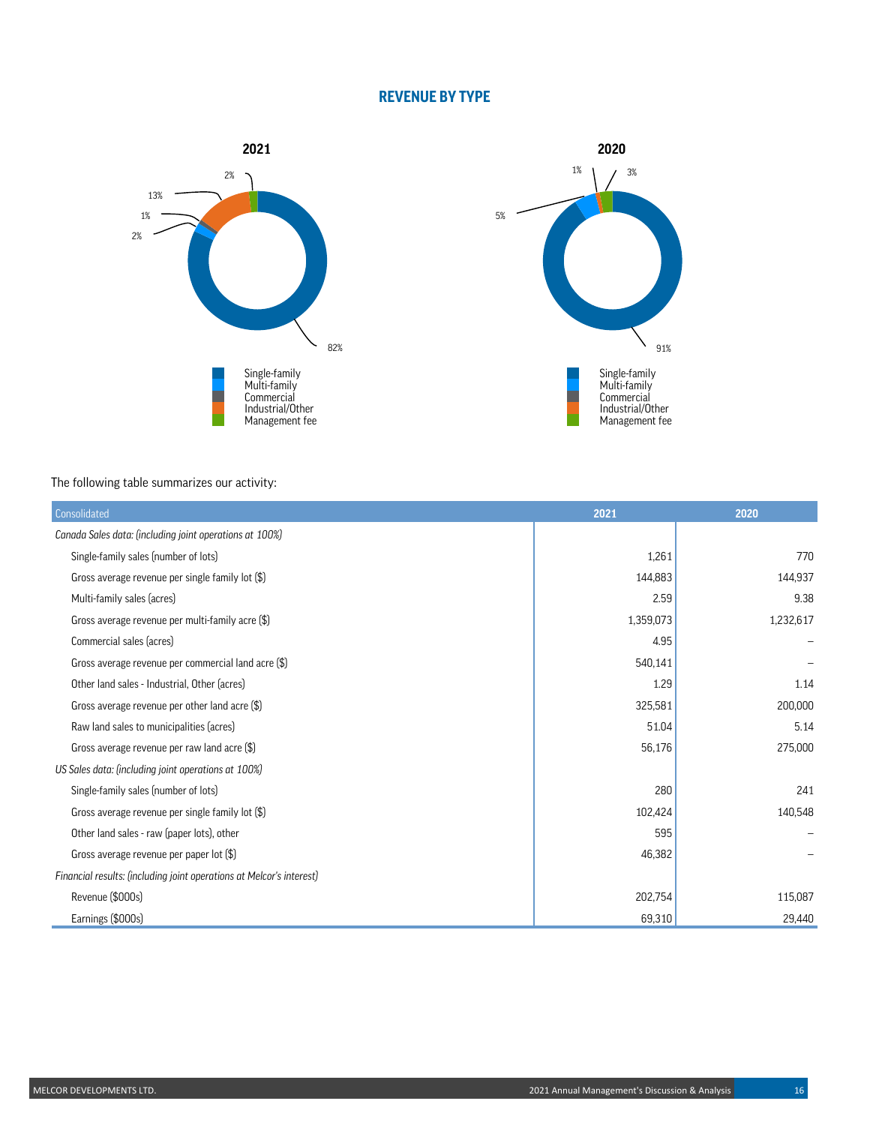## **REVENUE BY TYPE**





The following table summarizes our activity:

| Consolidated                                                         | 2021      | 2020      |
|----------------------------------------------------------------------|-----------|-----------|
| Canada Sales data: (including joint operations at 100%)              |           |           |
| Single-family sales (number of lots)                                 | 1,261     | 770       |
| Gross average revenue per single family lot (\$)                     | 144,883   | 144,937   |
| Multi-family sales (acres)                                           | 2.59      | 9.38      |
| Gross average revenue per multi-family acre (\$)                     | 1,359,073 | 1,232,617 |
| Commercial sales (acres)                                             | 4.95      |           |
| Gross average revenue per commercial land acre (\$)                  | 540,141   |           |
| Other land sales - Industrial, Other (acres)                         | 1.29      | 1.14      |
| Gross average revenue per other land acre (\$)                       | 325,581   | 200,000   |
| Raw land sales to municipalities (acres)                             | 51.04     | 5.14      |
| Gross average revenue per raw land acre (\$)                         | 56,176    | 275,000   |
| US Sales data: (including joint operations at 100%)                  |           |           |
| Single-family sales (number of lots)                                 | 280       | 241       |
| Gross average revenue per single family lot (\$)                     | 102,424   | 140,548   |
| Other land sales - raw (paper lots), other                           | 595       |           |
| Gross average revenue per paper lot $(\$\)$                          | 46,382    |           |
| Financial results: (including joint operations at Melcor's interest) |           |           |
| Revenue (\$000s)                                                     | 202,754   | 115,087   |
| Earnings (\$000s)                                                    | 69,310    | 29,440    |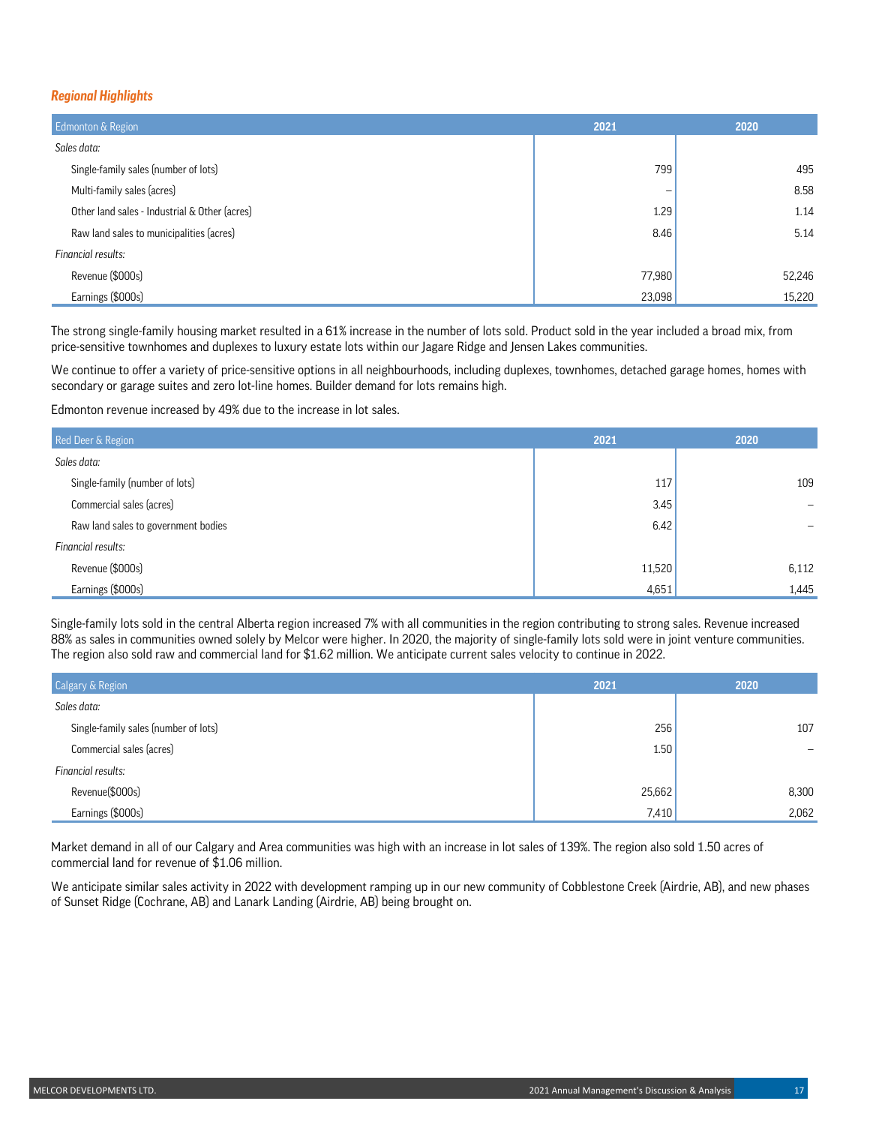### *Regional Highlights*

| <b>Edmonton &amp; Region</b>                  | 2021   | 2020   |
|-----------------------------------------------|--------|--------|
| Sales data:                                   |        |        |
| Single-family sales (number of lots)          | 799    | 495    |
| Multi-family sales (acres)                    |        | 8.58   |
| Other land sales - Industrial & Other (acres) | 1.29   | 1.14   |
| Raw land sales to municipalities (acres)      | 8.46   | 5.14   |
| Financial results:                            |        |        |
| Revenue (\$000s)                              | 77,980 | 52,246 |
| Earnings (\$000s)                             | 23,098 | 15,220 |

The strong single-family housing market resulted in a 61% increase in the number of lots sold. Product sold in the year included a broad mix, from price-sensitive townhomes and duplexes to luxury estate lots within our Jagare Ridge and Jensen Lakes communities.

We continue to offer a variety of price-sensitive options in all neighbourhoods, including duplexes, townhomes, detached garage homes, homes with secondary or garage suites and zero lot-line homes. Builder demand for lots remains high.

Edmonton revenue increased by 49% due to the increase in lot sales.

| Red Deer & Region                   | 2021   | 2020  |
|-------------------------------------|--------|-------|
| Sales data:                         |        |       |
| Single-family (number of lots)      | 117    | 109   |
| Commercial sales (acres)            | 3.45   |       |
| Raw land sales to government bodies | 6.42   |       |
| Financial results:                  |        |       |
| Revenue (\$000s)                    | 11,520 | 6,112 |
| Earnings (\$000s)                   | 4,651  | 1,445 |

Single-family lots sold in the central Alberta region increased 7% with all communities in the region contributing to strong sales. Revenue increased 88% as sales in communities owned solely by Melcor were higher. In 2020, the majority of single-family lots sold were in joint venture communities. The region also sold raw and commercial land for \$1.62 million. We anticipate current sales velocity to continue in 2022.

| <b>Calgary &amp; Region</b>          | 2021   | 2020  |
|--------------------------------------|--------|-------|
| Sales data:                          |        |       |
| Single-family sales (number of lots) | 256    | 107   |
| Commercial sales (acres)             | 1.50   |       |
| Financial results:                   |        |       |
| Revenue(\$000s)                      | 25,662 | 8,300 |
| Earnings (\$000s)                    | 7,410  | 2,062 |

Market demand in all of our Calgary and Area communities was high with an increase in lot sales of 139%. The region also sold 1.50 acres of commercial land for revenue of \$1.06 million.

We anticipate similar sales activity in 2022 with development ramping up in our new community of Cobblestone Creek (Airdrie, AB), and new phases of Sunset Ridge (Cochrane, AB) and Lanark Landing (Airdrie, AB) being brought on.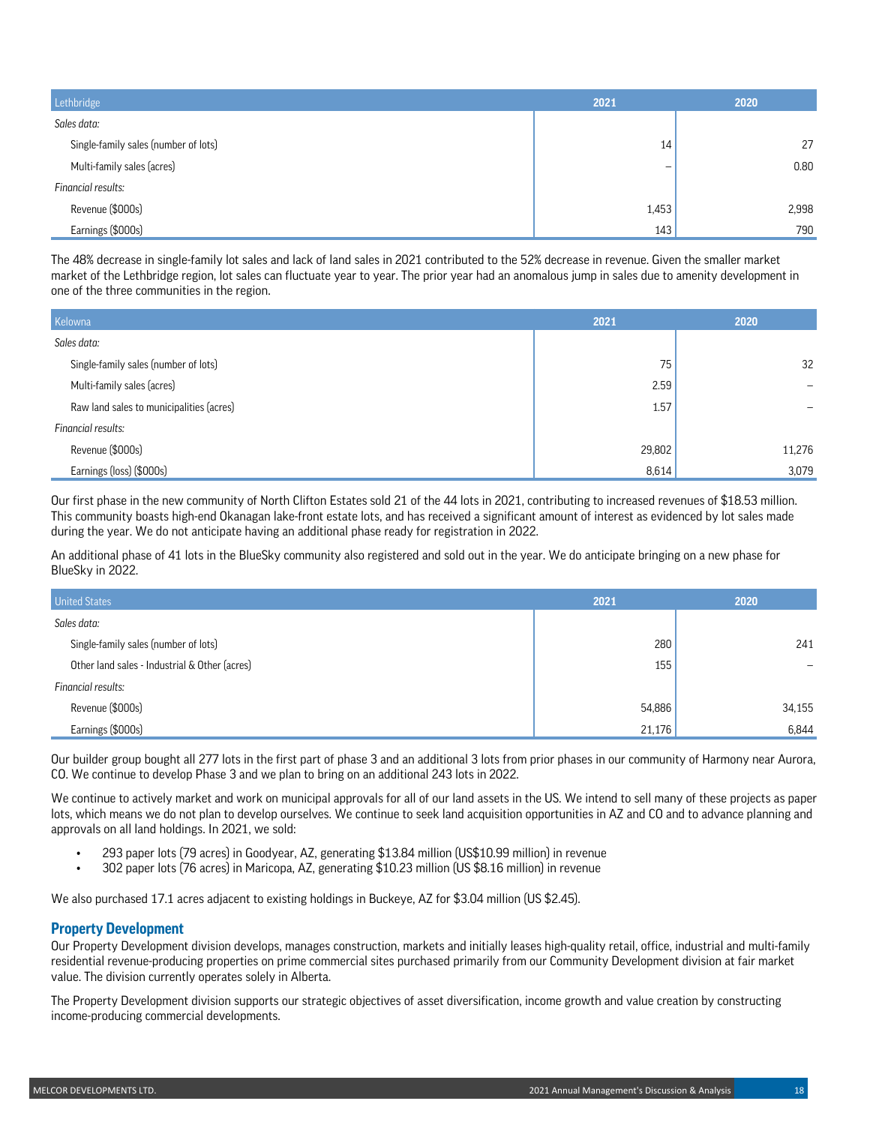| Lethbridge                           | 2021                     | 2020  |
|--------------------------------------|--------------------------|-------|
| Sales data:                          |                          |       |
| Single-family sales (number of lots) | 14                       | 27    |
| Multi-family sales (acres)           | $\overline{\phantom{m}}$ | 0.80  |
| Financial results:                   |                          |       |
| Revenue (\$000s)                     | 1,453                    | 2,998 |
| Earnings (\$000s)                    | 143                      | 790   |

The 48% decrease in single-family lot sales and lack of land sales in 2021 contributed to the 52% decrease in revenue. Given the smaller market market of the Lethbridge region, lot sales can fluctuate year to year. The prior year had an anomalous jump in sales due to amenity development in one of the three communities in the region.

| Kelowna                                  | 2021   | 2020   |
|------------------------------------------|--------|--------|
| Sales data:                              |        |        |
| Single-family sales (number of lots)     | 75     | 32     |
| Multi-family sales (acres)               | 2.59   |        |
| Raw land sales to municipalities (acres) | 1.57   |        |
| Financial results:                       |        |        |
| Revenue (\$000s)                         | 29,802 | 11,276 |
| Earnings (loss) (\$000s)                 | 8,614  | 3,079  |

Our first phase in the new community of North Clifton Estates sold 21 of the 44 lots in 2021, contributing to increased revenues of \$18.53 million. This community boasts high-end Okanagan lake-front estate lots, and has received a significant amount of interest as evidenced by lot sales made during the year. We do not anticipate having an additional phase ready for registration in 2022.

An additional phase of 41 lots in the BlueSky community also registered and sold out in the year. We do anticipate bringing on a new phase for BlueSky in 2022.

| <b>United States</b>                          | 2021   | 2020   |
|-----------------------------------------------|--------|--------|
| Sales data:                                   |        |        |
| Single-family sales (number of lots)          | 280    | 241    |
| Other land sales - Industrial & Other (acres) | 155    |        |
| Financial results:                            |        |        |
| Revenue (\$000s)                              | 54,886 | 34,155 |
| Earnings (\$000s)                             | 21,176 | 6,844  |

Our builder group bought all 277 lots in the first part of phase 3 and an additional 3 lots from prior phases in our community of Harmony near Aurora, CO. We continue to develop Phase 3 and we plan to bring on an additional 243 lots in 2022.

We continue to actively market and work on municipal approvals for all of our land assets in the US. We intend to sell many of these projects as paper lots, which means we do not plan to develop ourselves. We continue to seek land acquisition opportunities in AZ and CO and to advance planning and approvals on all land holdings. In 2021, we sold:

- 293 paper lots (79 acres) in Goodyear, AZ, generating \$13.84 million (US\$10.99 million) in revenue
- 302 paper lots (76 acres) in Maricopa, AZ, generating \$10.23 million (US \$8.16 million) in revenue

We also purchased 17.1 acres adjacent to existing holdings in Buckeye, AZ for \$3.04 million (US \$2.45).

## **Property Development**

Our Property Development division develops, manages construction, markets and initially leases high-quality retail, office, industrial and multi-family residential revenue-producing properties on prime commercial sites purchased primarily from our Community Development division at fair market value. The division currently operates solely in Alberta.

The Property Development division supports our strategic objectives of asset diversification, income growth and value creation by constructing income-producing commercial developments.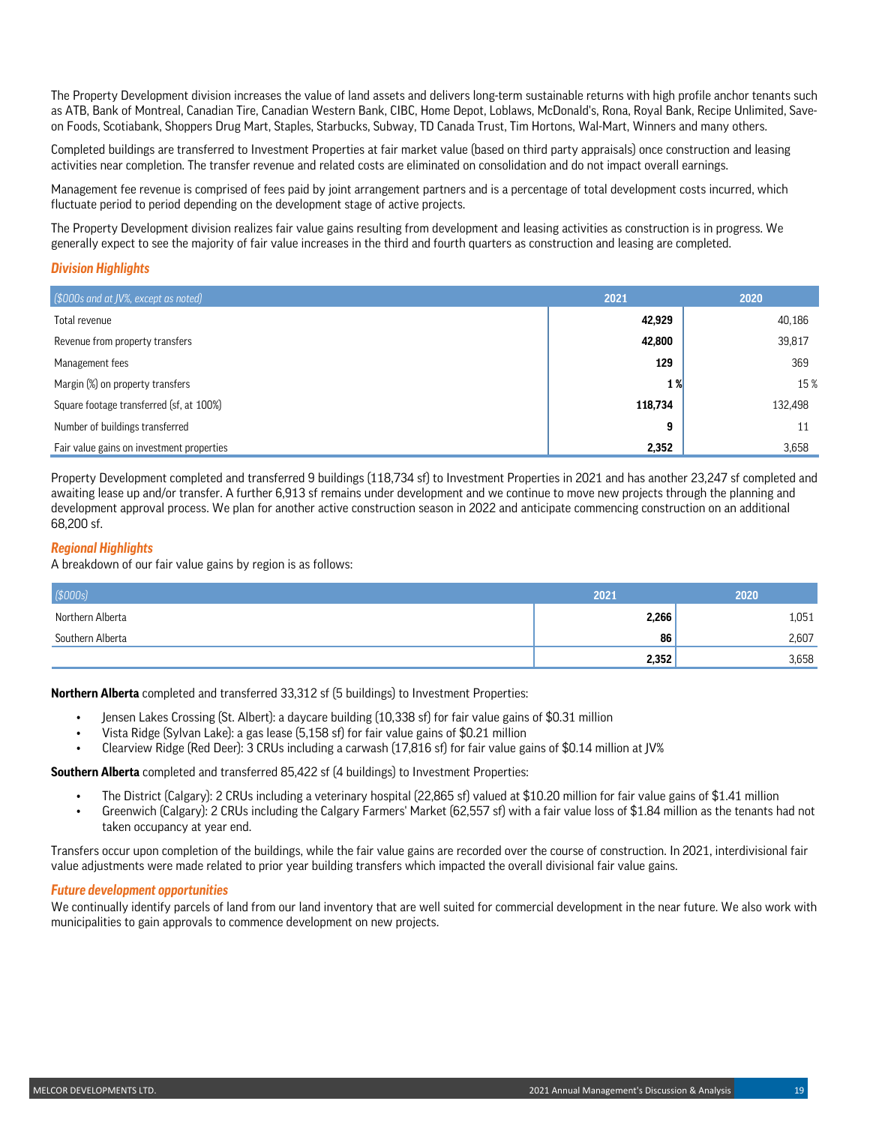The Property Development division increases the value of land assets and delivers long-term sustainable returns with high profile anchor tenants such as ATB, Bank of Montreal, Canadian Tire, Canadian Western Bank, CIBC, Home Depot, Loblaws, McDonald's, Rona, Royal Bank, Recipe Unlimited, Saveon Foods, Scotiabank, Shoppers Drug Mart, Staples, Starbucks, Subway, TD Canada Trust, Tim Hortons, Wal-Mart, Winners and many others.

Completed buildings are transferred to Investment Properties at fair market value (based on third party appraisals) once construction and leasing activities near completion. The transfer revenue and related costs are eliminated on consolidation and do not impact overall earnings.

Management fee revenue is comprised of fees paid by joint arrangement partners and is a percentage of total development costs incurred, which fluctuate period to period depending on the development stage of active projects.

The Property Development division realizes fair value gains resulting from development and leasing activities as construction is in progress. We generally expect to see the majority of fair value increases in the third and fourth quarters as construction and leasing are completed.

### *Division Highlights*

| $\left[\frac{1}{2000s}\right]$ and at JV%, except as noted | 2021    | 2020    |
|------------------------------------------------------------|---------|---------|
| Total revenue                                              | 42,929  | 40,186  |
| Revenue from property transfers                            | 42,800  | 39,817  |
| Management fees                                            | 129     | 369     |
| Margin (%) on property transfers                           | 1%      | 15 %    |
| Square footage transferred (sf, at 100%)                   | 118,734 | 132,498 |
| Number of buildings transferred                            | 9       | 11      |
| Fair value gains on investment properties                  | 2,352   | 3,658   |

Property Development completed and transferred 9 buildings (118,734 sf) to Investment Properties in 2021 and has another 23,247 sf completed and awaiting lease up and/or transfer. A further 6,913 sf remains under development and we continue to move new projects through the planning and development approval process. We plan for another active construction season in 2022 and anticipate commencing construction on an additional 68,200 sf.

### *Regional Highlights*

A breakdown of our fair value gains by region is as follows:

| \$000s]          | 2021  | 2020  |
|------------------|-------|-------|
| Northern Alberta | 2,266 | 1,051 |
| Southern Alberta | 86    | 2,607 |
|                  | 2,352 | 3,658 |

**Northern Alberta** completed and transferred 33,312 sf (5 buildings) to Investment Properties:

- Jensen Lakes Crossing (St. Albert): a daycare building (10,338 sf) for fair value gains of \$0.31 million
- Vista Ridge (Sylvan Lake): a gas lease (5,158 sf) for fair value gains of \$0.21 million
- Clearview Ridge (Red Deer): 3 CRUs including a carwash (17,816 sf) for fair value gains of \$0.14 million at JV%

**Southern Alberta** completed and transferred 85,422 sf (4 buildings) to Investment Properties:

- The District (Calgary): 2 CRUs including a veterinary hospital (22,865 sf) valued at \$10.20 million for fair value gains of \$1.41 million
- Greenwich (Calgary): 2 CRUs including the Calgary Farmers' Market (62,557 sf) with a fair value loss of \$1.84 million as the tenants had not taken occupancy at year end.

Transfers occur upon completion of the buildings, while the fair value gains are recorded over the course of construction. In 2021, interdivisional fair value adjustments were made related to prior year building transfers which impacted the overall divisional fair value gains.

#### *Future development opportunities*

We continually identify parcels of land from our land inventory that are well suited for commercial development in the near future. We also work with municipalities to gain approvals to commence development on new projects.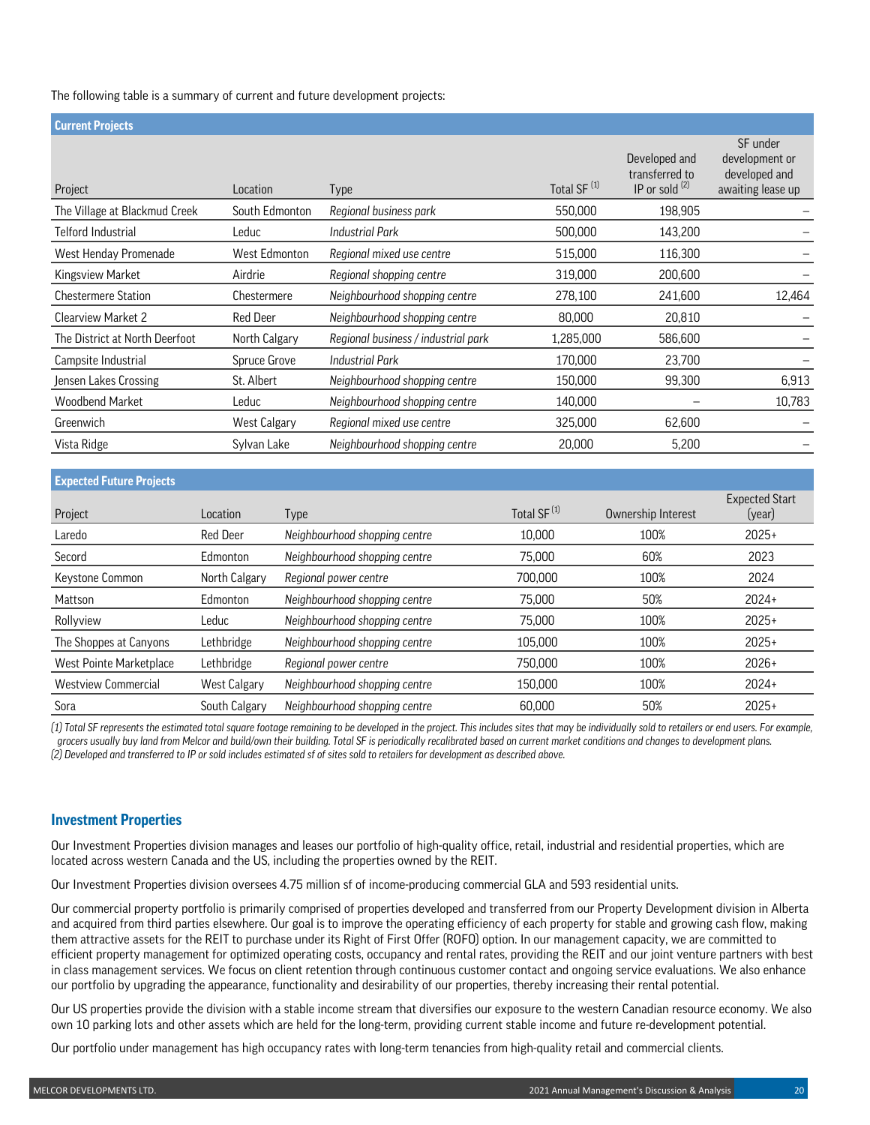### The following table is a summary of current and future development projects:

| <b>Current Projects</b>        |                 |                                     |                         |                                                     |                                                                  |
|--------------------------------|-----------------|-------------------------------------|-------------------------|-----------------------------------------------------|------------------------------------------------------------------|
| Project                        | Location        | Type                                | Total SF <sup>(1)</sup> | Developed and<br>transferred to<br>IP or sold $(2)$ | SF under<br>development or<br>developed and<br>awaiting lease up |
| The Village at Blackmud Creek  | South Edmonton  | Regional business park              | 550,000                 | 198,905                                             |                                                                  |
| Telford Industrial             | Leduc           | <b>Industrial Park</b>              | 500,000                 | 143,200                                             |                                                                  |
| West Henday Promenade          | West Edmonton   | Regional mixed use centre           | 515,000                 | 116,300                                             |                                                                  |
| Kingsview Market               | Airdrie         | Regional shopping centre            | 319,000                 | 200,600                                             |                                                                  |
| <b>Chestermere Station</b>     | Chestermere     | Neighbourhood shopping centre       | 278,100                 | 241,600                                             | 12,464                                                           |
| Clearview Market 2             | <b>Red Deer</b> | Neighbourhood shopping centre       | 80,000                  | 20,810                                              |                                                                  |
| The District at North Deerfoot | North Calgary   | Regional business / industrial park | 1,285,000               | 586,600                                             |                                                                  |
| Campsite Industrial            | Spruce Grove    | <b>Industrial Park</b>              | 170,000                 | 23,700                                              |                                                                  |
| Jensen Lakes Crossing          | St. Albert      | Neighbourhood shopping centre       | 150,000                 | 99,300                                              | 6,913                                                            |
| Woodbend Market                | Leduc           | Neighbourhood shopping centre       | 140,000                 |                                                     | 10,783                                                           |
| Greenwich                      | West Calgary    | Regional mixed use centre           | 325,000                 | 62,600                                              |                                                                  |
| Vista Ridge                    | Sylvan Lake     | Neighbourhood shopping centre       | 20,000                  | 5,200                                               |                                                                  |
|                                |                 |                                     |                         |                                                     |                                                                  |

### **Expected Future Projects**

| Project                    | Location            | Type                          | Total SF <sup>(1)</sup> | Ownership Interest | <b>Expected Start</b><br>(year) |
|----------------------------|---------------------|-------------------------------|-------------------------|--------------------|---------------------------------|
| Laredo                     | <b>Red Deer</b>     | Neighbourhood shopping centre | 10,000                  | 100%               | $2025+$                         |
| Secord                     | Edmonton            | Neighbourhood shopping centre | 75,000                  | 60%                | 2023                            |
| Keystone Common            | North Calgary       | Regional power centre         | 700,000                 | 100%               | 2024                            |
| Mattson                    | Edmonton            | Neighbourhood shopping centre | 75.000                  | 50%                | $2024+$                         |
| Rollyview                  | Leduc               | Neighbourhood shopping centre | 75.000                  | 100%               | $2025+$                         |
| The Shoppes at Canyons     | Lethbridge          | Neighbourhood shopping centre | 105.000                 | 100%               | $2025+$                         |
| West Pointe Marketplace    | Lethbridge          | Regional power centre         | 750,000                 | 100%               | $2026+$                         |
| <b>Westview Commercial</b> | <b>West Calgary</b> | Neighbourhood shopping centre | 150.000                 | 100%               | $2024+$                         |
| Sora                       | South Calgary       | Neighbourhood shopping centre | 60,000                  | 50%                | $2025+$                         |

*(1) Total SF represents the estimated total square footage remaining to be developed in the project. This includes sites that may be individually sold to retailers or end users. For example, grocers usually buy land from Melcor and build/own their building. Total SF is periodically recalibrated based on current market conditions and changes to development plans. (2) Developed and transferred to IP or sold includes estimated sf of sites sold to retailers for development as described above.*

### **Investment Properties**

Our Investment Properties division manages and leases our portfolio of high-quality office, retail, industrial and residential properties, which are located across western Canada and the US, including the properties owned by the REIT.

Our Investment Properties division oversees 4.75 million sf of income-producing commercial GLA and 593 residential units.

Our commercial property portfolio is primarily comprised of properties developed and transferred from our Property Development division in Alberta and acquired from third parties elsewhere. Our goal is to improve the operating efficiency of each property for stable and growing cash flow, making them attractive assets for the REIT to purchase under its Right of First Offer (ROFO) option. In our management capacity, we are committed to efficient property management for optimized operating costs, occupancy and rental rates, providing the REIT and our joint venture partners with best in class management services. We focus on client retention through continuous customer contact and ongoing service evaluations. We also enhance our portfolio by upgrading the appearance, functionality and desirability of our properties, thereby increasing their rental potential.

Our US properties provide the division with a stable income stream that diversifies our exposure to the western Canadian resource economy. We also own 10 parking lots and other assets which are held for the long-term, providing current stable income and future re-development potential.

Our portfolio under management has high occupancy rates with long-term tenancies from high-quality retail and commercial clients.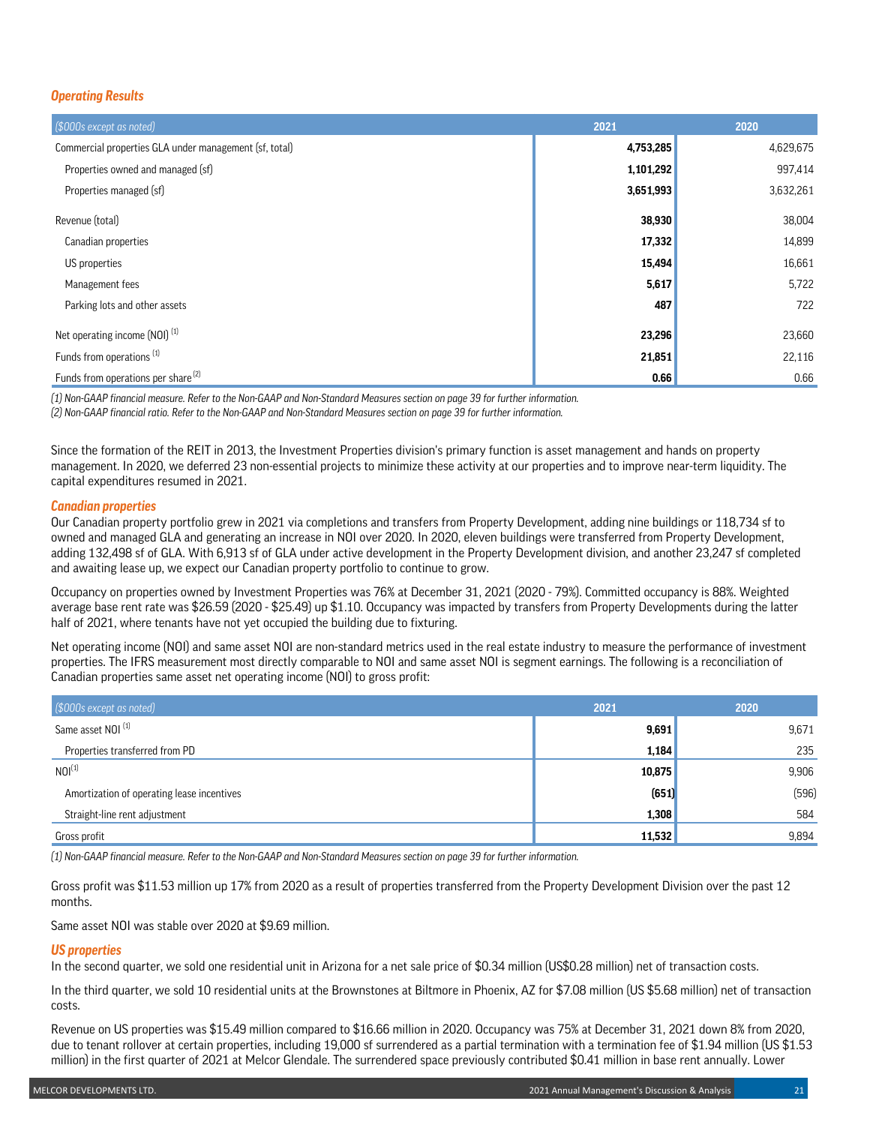### *Operating Results*

| (\$000s except as noted)                               | 2021      | 2020      |
|--------------------------------------------------------|-----------|-----------|
| Commercial properties GLA under management (sf, total) | 4,753,285 | 4,629,675 |
| Properties owned and managed (sf)                      | 1,101,292 | 997,414   |
| Properties managed (sf)                                | 3,651,993 | 3,632,261 |
| Revenue (total)                                        | 38,930    | 38,004    |
| Canadian properties                                    | 17,332    | 14,899    |
| US properties                                          | 15,494    | 16,661    |
| Management fees                                        | 5,617     | 5,722     |
| Parking lots and other assets                          | 487       | 722       |
| Net operating income (NOI) <sup>(1)</sup>              | 23,296    | 23,660    |
| Funds from operations <sup>(1)</sup>                   | 21,851    | 22,116    |
| Funds from operations per share <sup>(2)</sup>         | 0.66      | 0.66      |

*(1) Non-GAAP financial measure. Refer to the Non-GAAP and Non-Standard Measures section on page 39 for further information. (2) Non-GAAP financial ratio. Refer to the Non-GAAP and Non-Standard Measures section on page 39 for further information.*

Since the formation of the REIT in 2013, the Investment Properties division's primary function is asset management and hands on property management. In 2020, we deferred 23 non-essential projects to minimize these activity at our properties and to improve near-term liquidity. The capital expenditures resumed in 2021.

### *Canadian properties*

Our Canadian property portfolio grew in 2021 via completions and transfers from Property Development, adding nine buildings or 118,734 sf to owned and managed GLA and generating an increase in NOI over 2020. In 2020, eleven buildings were transferred from Property Development, adding 132,498 sf of GLA. With 6,913 sf of GLA under active development in the Property Development division, and another 23,247 sf completed and awaiting lease up, we expect our Canadian property portfolio to continue to grow.

Occupancy on properties owned by Investment Properties was 76% at December 31, 2021 (2020 - 79%). Committed occupancy is 88%. Weighted average base rent rate was \$26.59 (2020 - \$25.49) up \$1.10. Occupancy was impacted by transfers from Property Developments during the latter half of 2021, where tenants have not yet occupied the building due to fixturing.

Net operating income (NOI) and same asset NOI are non-standard metrics used in the real estate industry to measure the performance of investment properties. The IFRS measurement most directly comparable to NOI and same asset NOI is segment earnings. The following is a reconciliation of Canadian properties same asset net operating income (NOI) to gross profit:

| (\$000s except as noted)                   | 2021   | 2020  |
|--------------------------------------------|--------|-------|
| Same asset NOI <sup>(1)</sup>              | 9,691  | 9,671 |
| Properties transferred from PD             | 1,184  | 235   |
| NOI <sup>(1)</sup>                         | 10,875 | 9,906 |
| Amortization of operating lease incentives | (651)  | (596) |
| Straight-line rent adjustment              | 1,308  | 584   |
| Gross profit                               | 11,532 | 9,894 |

*(1) Non-GAAP financial measure. Refer to the Non-GAAP and Non-Standard Measures section on page 39 for further information.*

Gross profit was \$11.53 million up 17% from 2020 as a result of properties transferred from the Property Development Division over the past 12 months.

Same asset NOI was stable over 2020 at \$9.69 million.

### *US properties*

In the second quarter, we sold one residential unit in Arizona for a net sale price of \$0.34 million (US\$0.28 million) net of transaction costs.

In the third quarter, we sold 10 residential units at the Brownstones at Biltmore in Phoenix, AZ for \$7.08 million (US \$5.68 million) net of transaction costs.

Revenue on US properties was \$15.49 million compared to \$16.66 million in 2020. Occupancy was 75% at December 31, 2021 down 8% from 2020, due to tenant rollover at certain properties, including 19,000 sf surrendered as a partial termination with a termination fee of \$1.94 million (US \$1.53 million) in the first quarter of 2021 at Melcor Glendale. The surrendered space previously contributed \$0.41 million in base rent annually. Lower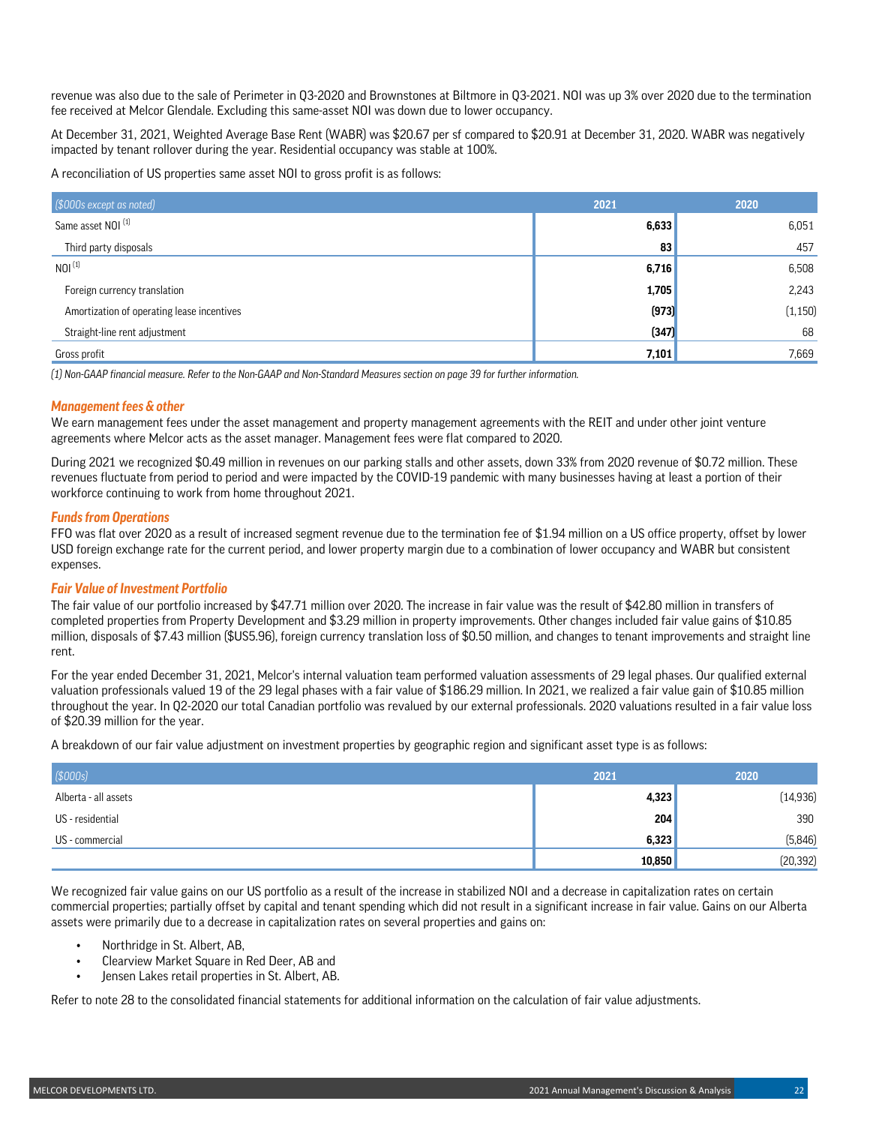revenue was also due to the sale of Perimeter in Q3-2020 and Brownstones at Biltmore in Q3-2021. NOI was up 3% over 2020 due to the termination fee received at Melcor Glendale. Excluding this same-asset NOI was down due to lower occupancy.

At December 31, 2021, Weighted Average Base Rent (WABR) was \$20.67 per sf compared to \$20.91 at December 31, 2020. WABR was negatively impacted by tenant rollover during the year. Residential occupancy was stable at 100%.

A reconciliation of US properties same asset NOI to gross profit is as follows:

| (\$000s except as noted)                   | 2021  | 2020     |
|--------------------------------------------|-------|----------|
| Same asset NOI <sup>(1)</sup>              | 6,633 | 6,051    |
| Third party disposals                      | 83    | 457      |
| NOI <sup>(1)</sup>                         | 6,716 | 6,508    |
| Foreign currency translation               | 1,705 | 2,243    |
| Amortization of operating lease incentives | (973) | (1, 150) |
| Straight-line rent adjustment              | (347) | 68       |
| Gross profit                               | 7,101 | 7,669    |

*(1) Non-GAAP financial measure. Refer to the Non-GAAP and Non-Standard Measures section on page 39 for further information.*

### *Management fees & other*

We earn management fees under the asset management and property management agreements with the REIT and under other joint venture agreements where Melcor acts as the asset manager. Management fees were flat compared to 2020.

During 2021 we recognized \$0.49 million in revenues on our parking stalls and other assets, down 33% from 2020 revenue of \$0.72 million. These revenues fluctuate from period to period and were impacted by the COVID-19 pandemic with many businesses having at least a portion of their workforce continuing to work from home throughout 2021.

### *Funds from Operations*

FFO was flat over 2020 as a result of increased segment revenue due to the termination fee of \$1.94 million on a US office property, offset by lower USD foreign exchange rate for the current period, and lower property margin due to a combination of lower occupancy and WABR but consistent expenses.

#### *Fair Value of Investment Portfolio*

The fair value of our portfolio increased by \$47.71 million over 2020. The increase in fair value was the result of \$42.80 million in transfers of completed properties from Property Development and \$3.29 million in property improvements. Other changes included fair value gains of \$10.85 million, disposals of \$7.43 million (\$US5.96), foreign currency translation loss of \$0.50 million, and changes to tenant improvements and straight line rent.

For the year ended December 31, 2021, Melcor's internal valuation team performed valuation assessments of 29 legal phases. Our qualified external valuation professionals valued 19 of the 29 legal phases with a fair value of \$186.29 million. In 2021, we realized a fair value gain of \$10.85 million throughout the year. In Q2-2020 our total Canadian portfolio was revalued by our external professionals. 2020 valuations resulted in a fair value loss of \$20.39 million for the year.

A breakdown of our fair value adjustment on investment properties by geographic region and significant asset type is as follows:

| (5000s)              | 2021   | 2020      |
|----------------------|--------|-----------|
| Alberta - all assets | 4,323  | (14, 936) |
| US - residential     | 204    | 390       |
| US - commercial      | 6,323  | (5,846)   |
|                      | 10,850 | (20, 392) |

We recognized fair value gains on our US portfolio as a result of the increase in stabilized NOI and a decrease in capitalization rates on certain commercial properties; partially offset by capital and tenant spending which did not result in a significant increase in fair value. Gains on our Alberta assets were primarily due to a decrease in capitalization rates on several properties and gains on:

- Northridge in St. Albert, AB,
- Clearview Market Square in Red Deer, AB and
- Jensen Lakes retail properties in St. Albert, AB.

Refer to note 28 to the consolidated financial statements for additional information on the calculation of fair value adjustments.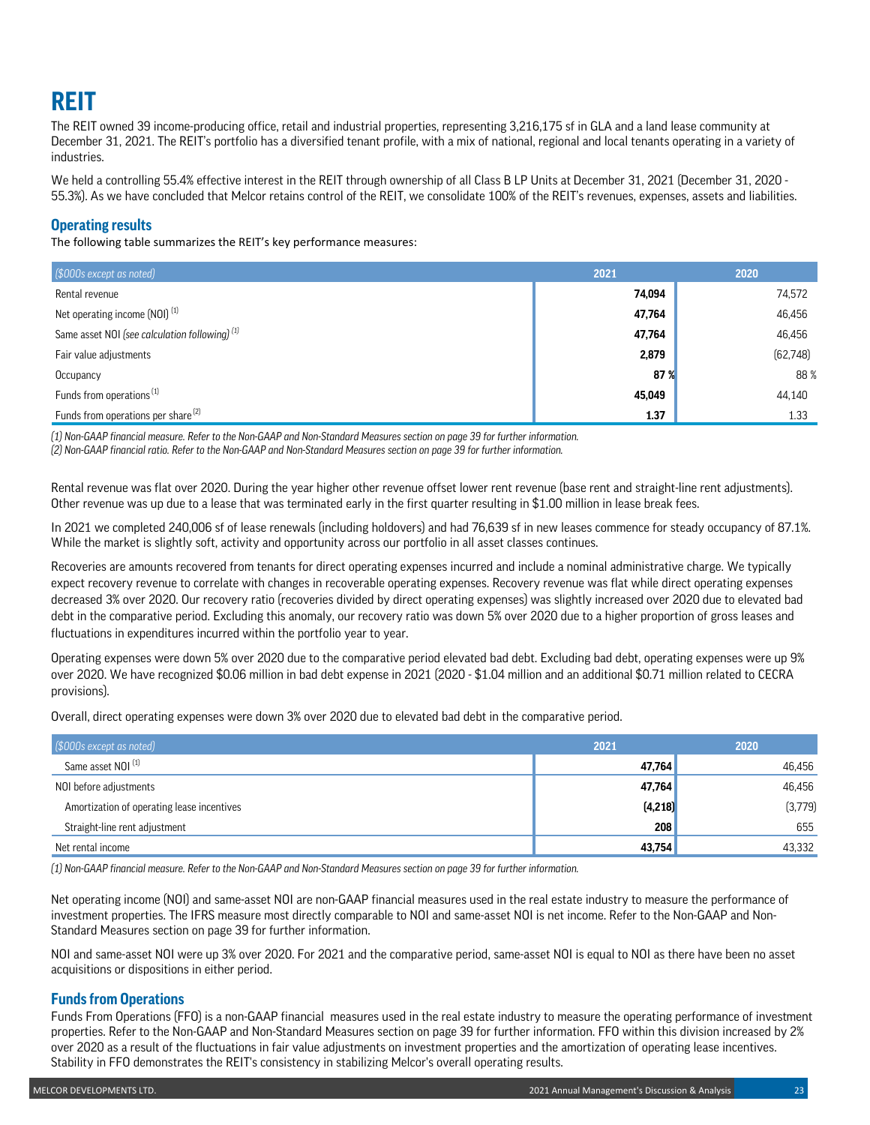# **REIT**

The REIT owned 39 income-producing office, retail and industrial properties, representing 3,216,175 sf in GLA and a land lease community at December 31, 2021. The REIT's portfolio has a diversified tenant profile, with a mix of national, regional and local tenants operating in a variety of industries.

We held a controlling 55.4% effective interest in the REIT through ownership of all Class B LP Units at December 31, 2021 (December 31, 2020 -55.3%). As we have concluded that Melcor retains control of the REIT, we consolidate 100% of the REIT's revenues, expenses, assets and liabilities.

## **Operating results**

The following table summarizes the REIT's key performance measures:

| (\$000s except as noted)                                  | 2021            | 2020      |
|-----------------------------------------------------------|-----------------|-----------|
| Rental revenue                                            | 74,094          | 74,572    |
| Net operating income (NOI) <sup>(1)</sup>                 | 47,764          | 46,456    |
| Same asset NOI (see calculation following) <sup>(1)</sup> | 47,764          | 46,456    |
| Fair value adjustments                                    | 2,879           | (62, 748) |
| Occupancy                                                 | 87 <sup>%</sup> | 88%       |
| Funds from operations <sup>(1)</sup>                      | 45,049          | 44,140    |
| Funds from operations per share <sup>[2]</sup>            | 1.37            | 1.33      |

*(1) Non-GAAP financial measure. Refer to the Non-GAAP and Non-Standard Measures section on page 39 for further information.*

*(2) Non-GAAP financial ratio. Refer to the Non-GAAP and Non-Standard Measures section on page 39 for further information.*

Rental revenue was flat over 2020. During the year higher other revenue offset lower rent revenue (base rent and straight-line rent adjustments). Other revenue was up due to a lease that was terminated early in the first quarter resulting in \$1.00 million in lease break fees.

In 2021 we completed 240,006 sf of lease renewals (including holdovers) and had 76,639 sf in new leases commence for steady occupancy of 87.1%. While the market is slightly soft, activity and opportunity across our portfolio in all asset classes continues.

Recoveries are amounts recovered from tenants for direct operating expenses incurred and include a nominal administrative charge. We typically expect recovery revenue to correlate with changes in recoverable operating expenses. Recovery revenue was flat while direct operating expenses decreased 3% over 2020. Our recovery ratio (recoveries divided by direct operating expenses) was slightly increased over 2020 due to elevated bad debt in the comparative period. Excluding this anomaly, our recovery ratio was down 5% over 2020 due to a higher proportion of gross leases and fluctuations in expenditures incurred within the portfolio year to year.

Operating expenses were down 5% over 2020 due to the comparative period elevated bad debt. Excluding bad debt, operating expenses were up 9% over 2020. We have recognized \$0.06 million in bad debt expense in 2021 (2020 - \$1.04 million and an additional \$0.71 million related to CECRA provisions).

Overall, direct operating expenses were down 3% over 2020 due to elevated bad debt in the comparative period.

| (\$000s except as noted)                   | 2021     | 2020    |
|--------------------------------------------|----------|---------|
| Same asset NOI <sup>(1)</sup>              | 47,764   | 46,456  |
| NOI before adjustments                     | 47,764   | 46,456  |
| Amortization of operating lease incentives | (4, 218) | (3,779) |
| Straight-line rent adjustment              | 208      | 655     |
| Net rental income                          | 43,754   | 43,332  |

*(1) Non-GAAP financial measure. Refer to the Non-GAAP and Non-Standard Measures section on page 39 for further information.*

Net operating income (NOI) and same-asset NOI are non-GAAP financial measures used in the real estate industry to measure the performance of investment properties. The IFRS measure most directly comparable to NOI and same-asset NOI is net income. Refer to the Non-GAAP and Non-Standard Measures section on page 39 for further information.

NOI and same-asset NOI were up 3% over 2020. For 2021 and the comparative period, same-asset NOI is equal to NOI as there have been no asset acquisitions or dispositions in either period.

## **Funds from Operations**

Funds From Operations (FFO) is a non-GAAP financial measures used in the real estate industry to measure the operating performance of investment properties. Refer to the Non-GAAP and Non-Standard Measures section on page 39 for further information. FFO within this division increased by 2% over 2020 as a result of the fluctuations in fair value adjustments on investment properties and the amortization of operating lease incentives. Stability in FFO demonstrates the REIT's consistency in stabilizing Melcor's overall operating results.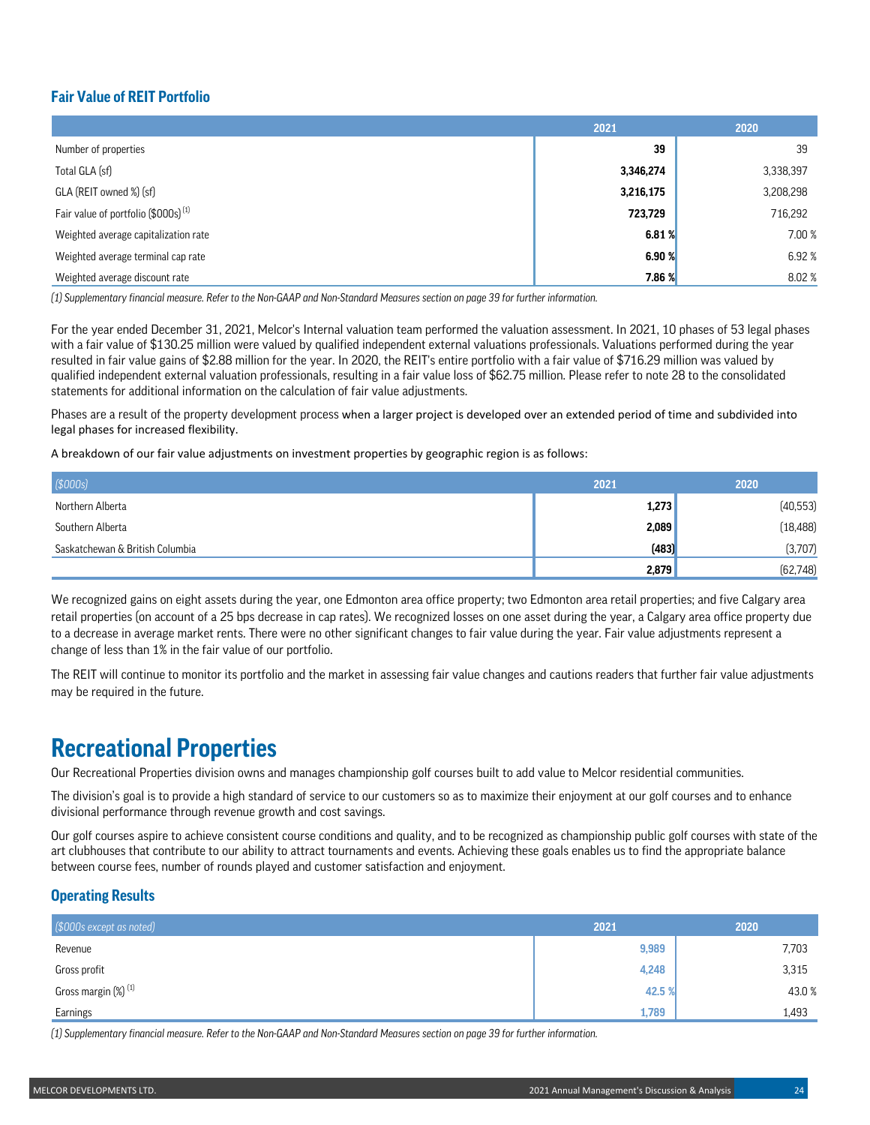## **Fair Value of REIT Portfolio**

|                                                 | 2021      | 2020      |
|-------------------------------------------------|-----------|-----------|
| Number of properties                            | 39        | 39        |
| Total GLA (sf)                                  | 3,346,274 | 3,338,397 |
| GLA (REIT owned %) (sf)                         | 3,216,175 | 3,208,298 |
| Fair value of portfolio (\$000s) <sup>(1)</sup> | 723,729   | 716,292   |
| Weighted average capitalization rate            | 6.81%     | 7.00 %    |
| Weighted average terminal cap rate              | 6.90%     | 6.92%     |
| Weighted average discount rate                  | 7.86 %    | 8.02%     |

*(1) Supplementary financial measure. Refer to the Non-GAAP and Non-Standard Measures section on page 39 for further information.*

For the year ended December 31, 2021, Melcor's Internal valuation team performed the valuation assessment. In 2021, 10 phases of 53 legal phases with a fair value of \$130.25 million were valued by qualified independent external valuations professionals. Valuations performed during the year resulted in fair value gains of \$2.88 million for the year. In 2020, the REIT's entire portfolio with a fair value of \$716.29 million was valued by qualified independent external valuation professionals, resulting in a fair value loss of \$62.75 million. Please refer to note 28 to the consolidated statements for additional information on the calculation of fair value adjustments.

Phases are a result of the property development process when a larger project is developed over an extended period of time and subdivided into legal phases for increased flexibility.

A breakdown of our fair value adjustments on investment properties by geographic region is as follows:

| \$000s]                         | 2021  | 2020      |
|---------------------------------|-------|-----------|
| Northern Alberta                | 1,273 | (40, 553) |
| Southern Alberta                | 2,089 | (18, 488) |
| Saskatchewan & British Columbia | (483) | (3,707)   |
|                                 | 2,879 | (62, 748) |

We recognized gains on eight assets during the year, one Edmonton area office property; two Edmonton area retail properties; and five Calgary area retail properties (on account of a 25 bps decrease in cap rates). We recognized losses on one asset during the year, a Calgary area office property due to a decrease in average market rents. There were no other significant changes to fair value during the year. Fair value adjustments represent a change of less than 1% in the fair value of our portfolio.

The REIT will continue to monitor its portfolio and the market in assessing fair value changes and cautions readers that further fair value adjustments may be required in the future.

## **Recreational Properties**

Our Recreational Properties division owns and manages championship golf courses built to add value to Melcor residential communities.

The division's goal is to provide a high standard of service to our customers so as to maximize their enjoyment at our golf courses and to enhance divisional performance through revenue growth and cost savings.

Our golf courses aspire to achieve consistent course conditions and quality, and to be recognized as championship public golf courses with state of the art clubhouses that contribute to our ability to attract tournaments and events. Achieving these goals enables us to find the appropriate balance between course fees, number of rounds played and customer satisfaction and enjoyment.

## **Operating Results**

| (\$000s except as noted)        | 2021   | 2020  |
|---------------------------------|--------|-------|
| Revenue                         | 9,989  | 7,703 |
| Gross profit                    | 4,248  | 3,315 |
| Gross margin (%) <sup>(1)</sup> | 42.5 % | 43.0% |
| Earnings                        | 1,789  | 1,493 |

*(1) Supplementary financial measure. Refer to the Non-GAAP and Non-Standard Measures section on page 39 for further information.*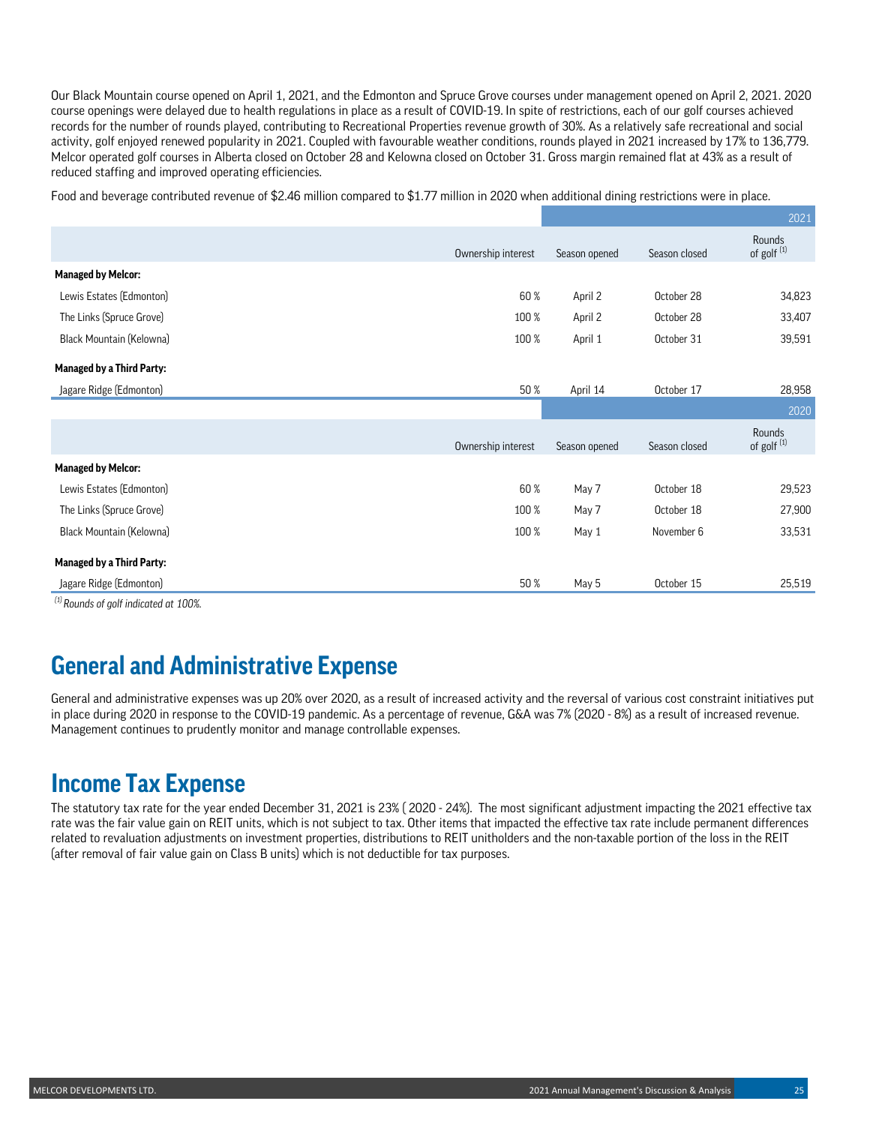Our Black Mountain course opened on April 1, 2021, and the Edmonton and Spruce Grove courses under management opened on April 2, 2021. 2020 course openings were delayed due to health regulations in place as a result of COVID-19. In spite of restrictions, each of our golf courses achieved records for the number of rounds played, contributing to Recreational Properties revenue growth of 30%. As a relatively safe recreational and social activity, golf enjoyed renewed popularity in 2021. Coupled with favourable weather conditions, rounds played in 2021 increased by 17% to 136,779. Melcor operated golf courses in Alberta closed on October 28 and Kelowna closed on October 31. Gross margin remained flat at 43% as a result of reduced staffing and improved operating efficiencies.

Food and beverage contributed revenue of \$2.46 million compared to \$1.77 million in 2020 when additional dining restrictions were in place.

|                                      |                    |               |               | 2021                             |
|--------------------------------------|--------------------|---------------|---------------|----------------------------------|
|                                      | Ownership interest | Season opened | Season closed | Rounds<br>of golf <sup>(1)</sup> |
| <b>Managed by Melcor:</b>            |                    |               |               |                                  |
| Lewis Estates (Edmonton)             | 60%                | April 2       | October 28    | 34,823                           |
| The Links (Spruce Grove)             | 100 %              | April 2       | October 28    | 33,407                           |
| Black Mountain (Kelowna)             | 100 %              | April 1       | October 31    | 39,591                           |
| <b>Managed by a Third Party:</b>     |                    |               |               |                                  |
| Jagare Ridge (Edmonton)              | 50 %               | April 14      | October 17    | 28,958                           |
|                                      |                    |               |               | 2020                             |
|                                      | Ownership interest | Season opened | Season closed | Rounds<br>of golf <sup>(1)</sup> |
| <b>Managed by Melcor:</b>            |                    |               |               |                                  |
| Lewis Estates (Edmonton)             | 60 %               | May 7         | October 18    | 29,523                           |
| The Links (Spruce Grove)             | 100 %              | May 7         | October 18    | 27,900                           |
| Black Mountain (Kelowna)             | 100 %              | May 1         | November 6    | 33,531                           |
| <b>Managed by a Third Party:</b>     |                    |               |               |                                  |
| Jagare Ridge (Edmonton)<br>$(1)$ $-$ | 50 %               | May 5         | October 15    | 25,519                           |

*(1) Rounds of golf indicated at 100%.* 

# **General and Administrative Expense**

General and administrative expenses was up 20% over 2020, as a result of increased activity and the reversal of various cost constraint initiatives put in place during 2020 in response to the COVID-19 pandemic. As a percentage of revenue, G&A was 7% (2020 - 8%) as a result of increased revenue. Management continues to prudently monitor and manage controllable expenses.

## **Income Tax Expense**

The statutory tax rate for the year ended December 31, 2021 is 23% ( 2020 - 24%). The most significant adjustment impacting the 2021 effective tax rate was the fair value gain on REIT units, which is not subject to tax. Other items that impacted the effective tax rate include permanent differences related to revaluation adjustments on investment properties, distributions to REIT unitholders and the non-taxable portion of the loss in the REIT (after removal of fair value gain on Class B units) which is not deductible for tax purposes.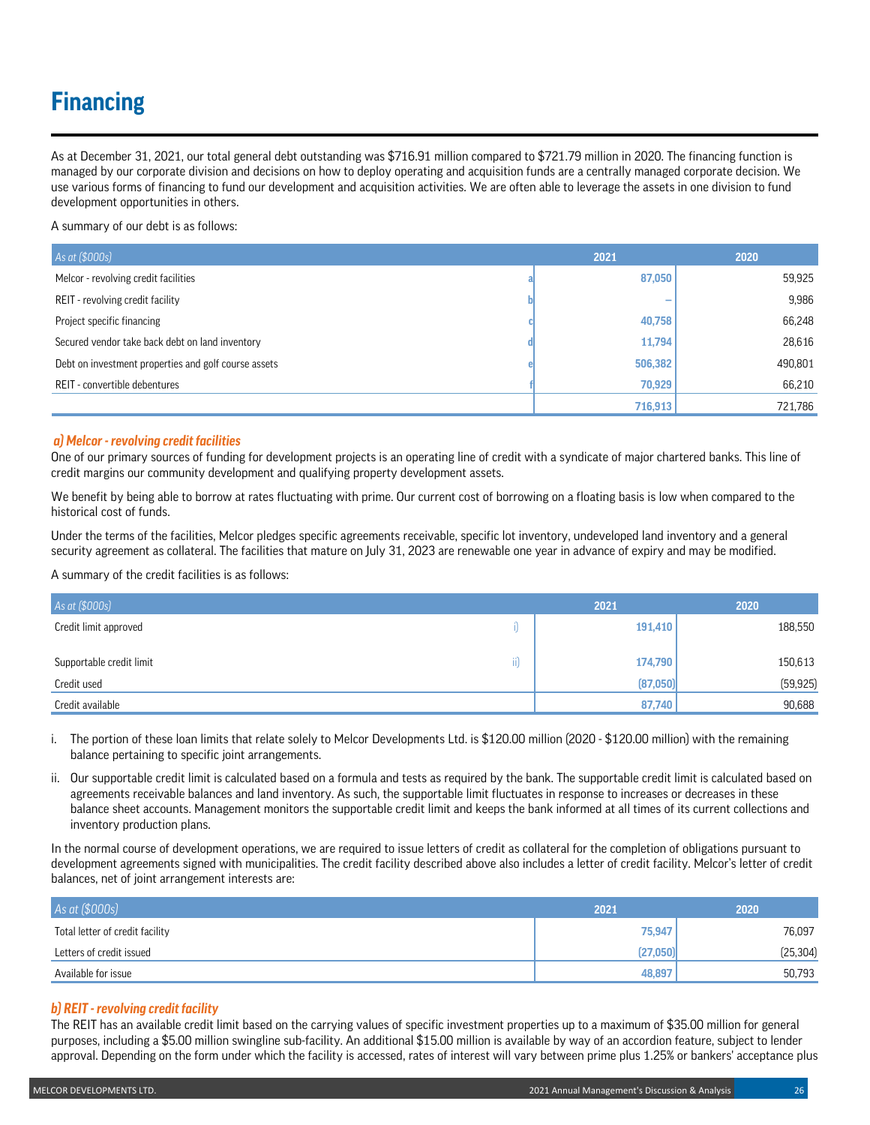# **Financing**

As at December 31, 2021, our total general debt outstanding was \$716.91 million compared to \$721.79 million in 2020. The financing function is managed by our corporate division and decisions on how to deploy operating and acquisition funds are a centrally managed corporate decision. We use various forms of financing to fund our development and acquisition activities. We are often able to leverage the assets in one division to fund development opportunities in others.

A summary of our debt is as follows:

| As at (\$000s)                                       | 2021    | 2020    |
|------------------------------------------------------|---------|---------|
| Melcor - revolving credit facilities                 | 87,050  | 59,925  |
| REIT - revolving credit facility                     | -       | 9,986   |
| Project specific financing                           | 40,758  | 66,248  |
| Secured vendor take back debt on land inventory      | 11,794  | 28,616  |
| Debt on investment properties and golf course assets | 506,382 | 490,801 |
| REIT - convertible debentures                        | 70,929  | 66,210  |
|                                                      | 716,913 | 721,786 |

### *a) Melcor - revolving credit facilities*

One of our primary sources of funding for development projects is an operating line of credit with a syndicate of major chartered banks. This line of credit margins our community development and qualifying property development assets.

We benefit by being able to borrow at rates fluctuating with prime. Our current cost of borrowing on a floating basis is low when compared to the historical cost of funds.

Under the terms of the facilities, Melcor pledges specific agreements receivable, specific lot inventory, undeveloped land inventory and a general security agreement as collateral. The facilities that mature on July 31, 2023 are renewable one year in advance of expiry and may be modified.

A summary of the credit facilities is as follows:

| As at (\$000s)           |                     | 2021     | 2020      |
|--------------------------|---------------------|----------|-----------|
| Credit limit approved    |                     | 191,410  | 188,550   |
| Supportable credit limit | $\cdot$ $\sim$<br>Ш | 174,790  | 150,613   |
| Credit used              |                     | (87,050) | (59, 925) |
| Credit available         |                     | 87,740   | 90,688    |

i. The portion of these loan limits that relate solely to Melcor Developments Ltd. is \$120.00 million (2020 - \$120.00 million) with the remaining balance pertaining to specific joint arrangements.

ii. Our supportable credit limit is calculated based on a formula and tests as required by the bank. The supportable credit limit is calculated based on agreements receivable balances and land inventory. As such, the supportable limit fluctuates in response to increases or decreases in these balance sheet accounts. Management monitors the supportable credit limit and keeps the bank informed at all times of its current collections and inventory production plans.

In the normal course of development operations, we are required to issue letters of credit as collateral for the completion of obligations pursuant to development agreements signed with municipalities. The credit facility described above also includes a letter of credit facility. Melcor's letter of credit balances, net of joint arrangement interests are:

| As at (\$000s)                  | 2021     | 2020      |
|---------------------------------|----------|-----------|
| Total letter of credit facility | 75,947   | 76.097    |
| Letters of credit issued        | (27.050) | (25, 304) |
| Available for issue             | 48.897   | 50,793    |

## *b) REIT - revolving credit facility*

The REIT has an available credit limit based on the carrying values of specific investment properties up to a maximum of \$35.00 million for general purposes, including a \$5.00 million swingline sub-facility. An additional \$15.00 million is available by way of an accordion feature, subject to lender approval. Depending on the form under which the facility is accessed, rates of interest will vary between prime plus 1.25% or bankers' acceptance plus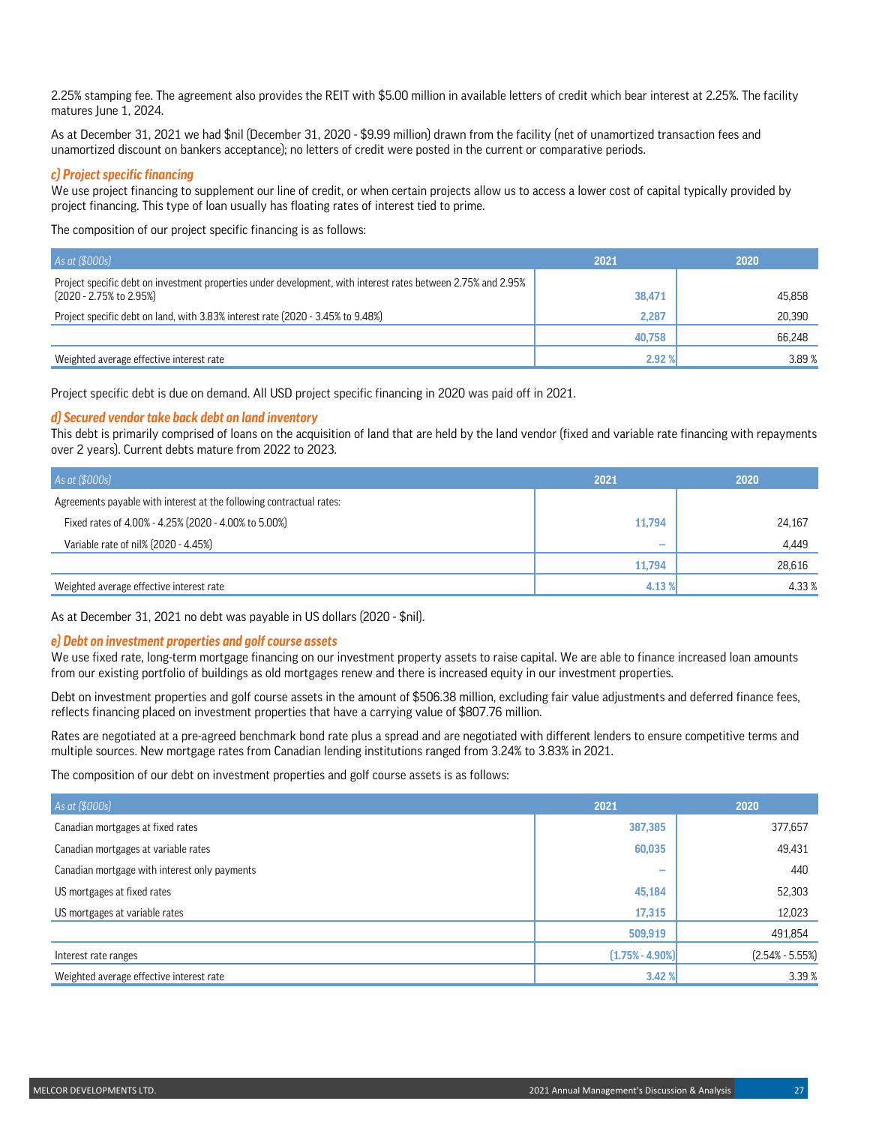2.25% stamping fee. The agreement also provides the REIT with \$5.00 million in available letters of credit which bear interest at 2.25%. The facility matures June 1, 2024.

As at December 31, 2021 we had \$nil (December 31, 2020 - \$9.99 million) drawn from the facility (net of unamortized transaction fees and unamortized discount on bankers acceptance); no letters of credit were posted in the current or comparative periods.

### *c) Project specific financing*

We use project financing to supplement our line of credit, or when certain projects allow us to access a lower cost of capital typically provided by project financing. This type of loan usually has floating rates of interest tied to prime.

The composition of our project specific financing is as follows:

| As at (\$000s)                                                                                                                                        | 2021   | 2020   |
|-------------------------------------------------------------------------------------------------------------------------------------------------------|--------|--------|
| Project specific debt on investment properties under development, with interest rates between 2.75% and 2.95%<br>$(2020 - 2.75\% \text{ to } 2.95\%)$ | 38,471 | 45.858 |
| Project specific debt on land, with 3.83% interest rate (2020 - 3.45% to 9.48%)                                                                       | 2.287  | 20.390 |
|                                                                                                                                                       | 40.758 | 66,248 |
| Weighted average effective interest rate                                                                                                              | 2.92%  | 3.89%  |

Project specific debt is due on demand. All USD project specific financing in 2020 was paid off in 2021.

#### *d) Secured vendor take back debt on land inventory*

This debt is primarily comprised of loans on the acquisition of land that are held by the land vendor (fixed and variable rate financing with repayments over 2 years). Current debts mature from 2022 to 2023.

| As at (\$000s)                                                       | 2021                     | 2020   |
|----------------------------------------------------------------------|--------------------------|--------|
| Agreements payable with interest at the following contractual rates: |                          |        |
| Fixed rates of 4.00% - 4.25% (2020 - 4.00% to 5.00%)                 | 11,794                   | 24,167 |
| Variable rate of nil% (2020 - 4.45%)                                 | $\overline{\phantom{a}}$ | 4,449  |
|                                                                      | 11.794                   | 28,616 |
| Weighted average effective interest rate                             | 4.13 %                   | 4.33%  |

As at December 31, 2021 no debt was payable in US dollars (2020 - \$nil).

### *e) Debt on investment properties and golf course assets*

We use fixed rate, long-term mortgage financing on our investment property assets to raise capital. We are able to finance increased loan amounts from our existing portfolio of buildings as old mortgages renew and there is increased equity in our investment properties.

Debt on investment properties and golf course assets in the amount of \$506.38 million, excluding fair value adjustments and deferred finance fees, reflects financing placed on investment properties that have a carrying value of \$807.76 million.

Rates are negotiated at a pre-agreed benchmark bond rate plus a spread and are negotiated with different lenders to ensure competitive terms and multiple sources. New mortgage rates from Canadian lending institutions ranged from 3.24% to 3.83% in 2021.

The composition of our debt on investment properties and golf course assets is as follows:

| As at (\$000s)                                | 2021                | 2020                |
|-----------------------------------------------|---------------------|---------------------|
| Canadian mortgages at fixed rates             | 387,385             | 377,657             |
| Canadian mortgages at variable rates          | 60,035              | 49,431              |
| Canadian mortgage with interest only payments | ـ                   | 440                 |
| US mortgages at fixed rates                   | 45,184              | 52,303              |
| US mortgages at variable rates                | 17,315              | 12,023              |
|                                               | 509,919             | 491,854             |
| Interest rate ranges                          | $(1.75\% - 4.90\%)$ | $(2.54\% - 5.55\%)$ |
| Weighted average effective interest rate      | 3.42%               | 3.39%               |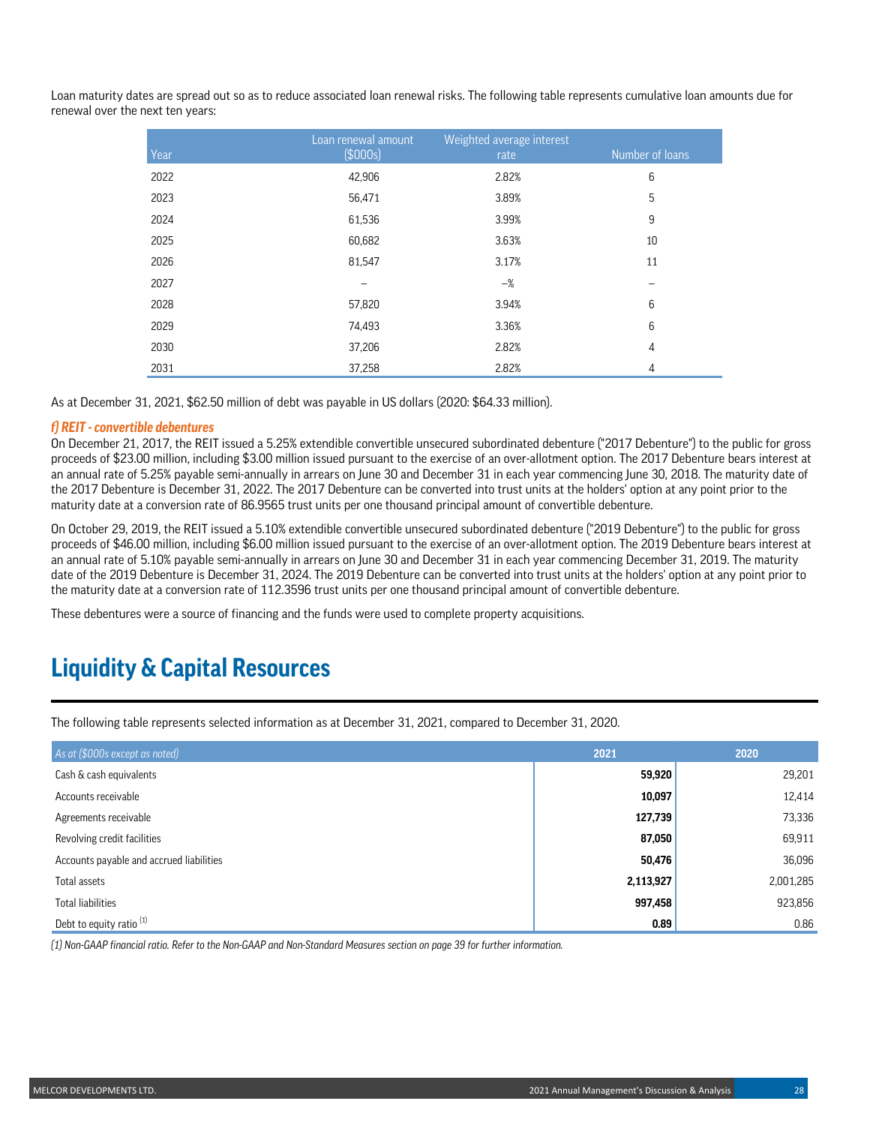Loan maturity dates are spread out so as to reduce associated loan renewal risks. The following table represents cumulative loan amounts due for renewal over the next ten years:

| Year | Loan renewal amount<br>\$000s] | Weighted average interest<br>rate | Number of loans |
|------|--------------------------------|-----------------------------------|-----------------|
| 2022 | 42,906                         | 2.82%                             | 6               |
| 2023 | 56,471                         | 3.89%                             | $\mathbf 5$     |
| 2024 | 61,536                         | 3.99%                             | 9               |
| 2025 | 60,682                         | 3.63%                             | 10              |
| 2026 | 81,547                         | 3.17%                             | 11              |
| 2027 |                                | $-\%$                             |                 |
| 2028 | 57,820                         | 3.94%                             | 6               |
| 2029 | 74,493                         | 3.36%                             | 6               |
| 2030 | 37,206                         | 2.82%                             | $\overline{4}$  |
| 2031 | 37,258                         | 2.82%                             | 4               |

As at December 31, 2021, \$62.50 million of debt was payable in US dollars (2020: \$64.33 million).

### *f) REIT - convertible debentures*

On December 21, 2017, the REIT issued a 5.25% extendible convertible unsecured subordinated debenture ("2017 Debenture") to the public for gross proceeds of \$23.00 million, including \$3.00 million issued pursuant to the exercise of an over-allotment option. The 2017 Debenture bears interest at an annual rate of 5.25% payable semi-annually in arrears on June 30 and December 31 in each year commencing June 30, 2018. The maturity date of the 2017 Debenture is December 31, 2022. The 2017 Debenture can be converted into trust units at the holders' option at any point prior to the maturity date at a conversion rate of 86.9565 trust units per one thousand principal amount of convertible debenture.

On October 29, 2019, the REIT issued a 5.10% extendible convertible unsecured subordinated debenture ("2019 Debenture") to the public for gross proceeds of \$46.00 million, including \$6.00 million issued pursuant to the exercise of an over-allotment option. The 2019 Debenture bears interest at an annual rate of 5.10% payable semi-annually in arrears on June 30 and December 31 in each year commencing December 31, 2019. The maturity date of the 2019 Debenture is December 31, 2024. The 2019 Debenture can be converted into trust units at the holders' option at any point prior to the maturity date at a conversion rate of 112.3596 trust units per one thousand principal amount of convertible debenture.

These debentures were a source of financing and the funds were used to complete property acquisitions.

## **Liquidity & Capital Resources**

The following table represents selected information as at December 31, 2021, compared to December 31, 2020.

| As at (\$000s except as noted)           | 2021      | 2020      |
|------------------------------------------|-----------|-----------|
| Cash & cash equivalents                  | 59,920    | 29,201    |
| Accounts receivable                      | 10,097    | 12,414    |
| Agreements receivable                    | 127,739   | 73,336    |
| Revolving credit facilities              | 87,050    | 69,911    |
| Accounts payable and accrued liabilities | 50,476    | 36,096    |
| Total assets                             | 2,113,927 | 2,001,285 |
| <b>Total liabilities</b>                 | 997,458   | 923,856   |
| Debt to equity ratio <sup>(1)</sup>      | 0.89      | 0.86      |

*(1) Non-GAAP financial ratio. Refer to the Non-GAAP and Non-Standard Measures section on page 39 for further information.*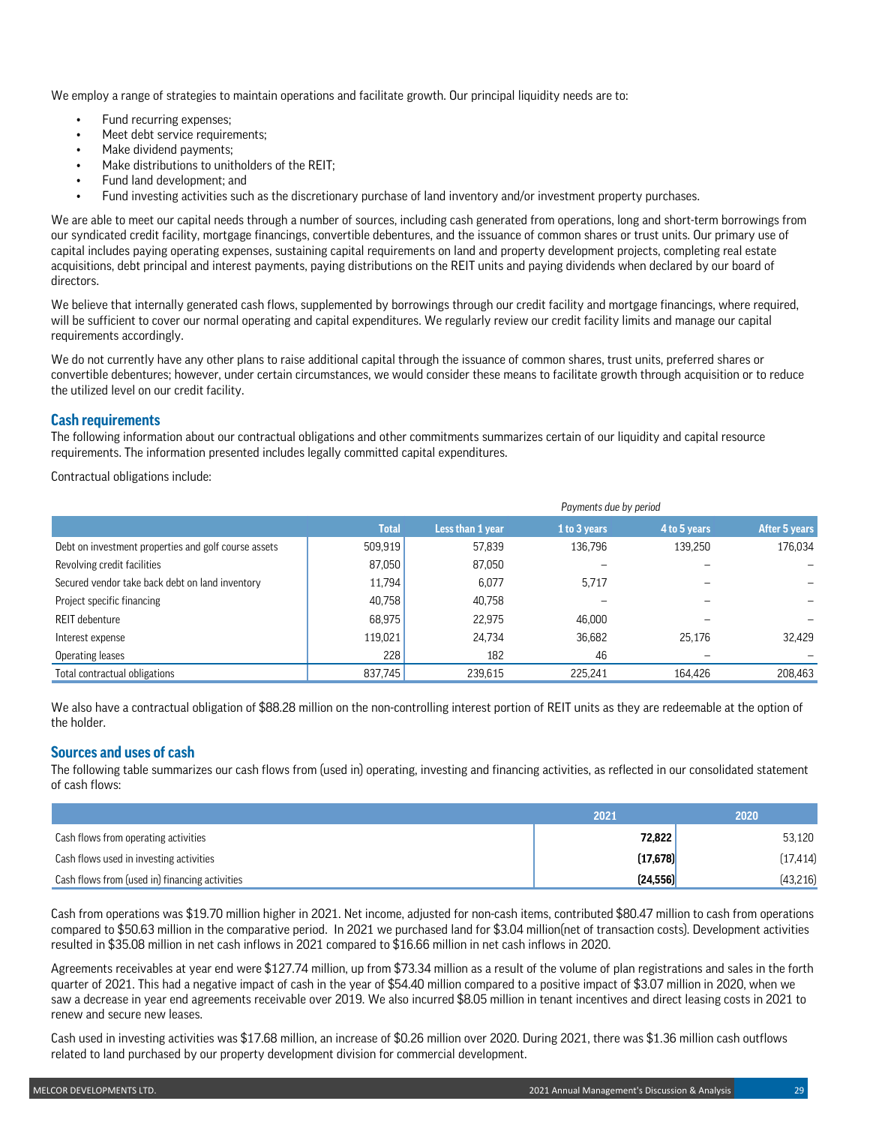We employ a range of strategies to maintain operations and facilitate growth. Our principal liquidity needs are to:

- Fund recurring expenses;
- Meet debt service requirements;
- Make dividend payments;
- Make distributions to unitholders of the REIT;
- Fund land development; and
- Fund investing activities such as the discretionary purchase of land inventory and/or investment property purchases.

We are able to meet our capital needs through a number of sources, including cash generated from operations, long and short-term borrowings from our syndicated credit facility, mortgage financings, convertible debentures, and the issuance of common shares or trust units. Our primary use of capital includes paying operating expenses, sustaining capital requirements on land and property development projects, completing real estate acquisitions, debt principal and interest payments, paying distributions on the REIT units and paying dividends when declared by our board of directors.

We believe that internally generated cash flows, supplemented by borrowings through our credit facility and mortgage financings, where required, will be sufficient to cover our normal operating and capital expenditures. We regularly review our credit facility limits and manage our capital requirements accordingly.

We do not currently have any other plans to raise additional capital through the issuance of common shares, trust units, preferred shares or convertible debentures; however, under certain circumstances, we would consider these means to facilitate growth through acquisition or to reduce the utilized level on our credit facility.

### **Cash requirements**

The following information about our contractual obligations and other commitments summarizes certain of our liquidity and capital resource requirements. The information presented includes legally committed capital expenditures.

Contractual obligations include:

|                                                      |              | Payments due by period |              |              |               |  |  |
|------------------------------------------------------|--------------|------------------------|--------------|--------------|---------------|--|--|
|                                                      | <b>Total</b> | Less than 1 year       | 1 to 3 years | 4 to 5 years | After 5 years |  |  |
| Debt on investment properties and golf course assets | 509,919      | 57.839                 | 136,796      | 139,250      | 176,034       |  |  |
| Revolving credit facilities                          | 87,050       | 87,050                 |              |              |               |  |  |
| Secured vendor take back debt on land inventory      | 11,794       | 6.077                  | 5.717        |              |               |  |  |
| Project specific financing                           | 40,758       | 40,758                 |              |              |               |  |  |
| REIT debenture                                       | 68,975       | 22.975                 | 46.000       |              |               |  |  |
| Interest expense                                     | 119,021      | 24,734                 | 36,682       | 25,176       | 32,429        |  |  |
| Operating leases                                     | 228          | 182                    | 46           |              |               |  |  |
| Total contractual obligations                        | 837,745      | 239.615                | 225.241      | 164.426      | 208,463       |  |  |

We also have a contractual obligation of \$88.28 million on the non-controlling interest portion of REIT units as they are redeemable at the option of the holder.

### **Sources and uses of cash**

The following table summarizes our cash flows from (used in) operating, investing and financing activities, as reflected in our consolidated statement of cash flows:

|                                                | 2021      | 2020      |
|------------------------------------------------|-----------|-----------|
| Cash flows from operating activities           | 72,822    | 53,120    |
| Cash flows used in investing activities        | (17, 678) | (17, 414) |
| Cash flows from (used in) financing activities | [24, 556] | (43, 216) |

Cash from operations was \$19.70 million higher in 2021. Net income, adjusted for non-cash items, contributed \$80.47 million to cash from operations compared to \$50.63 million in the comparative period. In 2021 we purchased land for \$3.04 million(net of transaction costs). Development activities resulted in \$35.08 million in net cash inflows in 2021 compared to \$16.66 million in net cash inflows in 2020.

Agreements receivables at year end were \$127.74 million, up from \$73.34 million as a result of the volume of plan registrations and sales in the forth quarter of 2021. This had a negative impact of cash in the year of \$54.40 million compared to a positive impact of \$3.07 million in 2020, when we saw a decrease in year end agreements receivable over 2019. We also incurred \$8.05 million in tenant incentives and direct leasing costs in 2021 to renew and secure new leases.

Cash used in investing activities was \$17.68 million, an increase of \$0.26 million over 2020. During 2021, there was \$1.36 million cash outflows related to land purchased by our property development division for commercial development.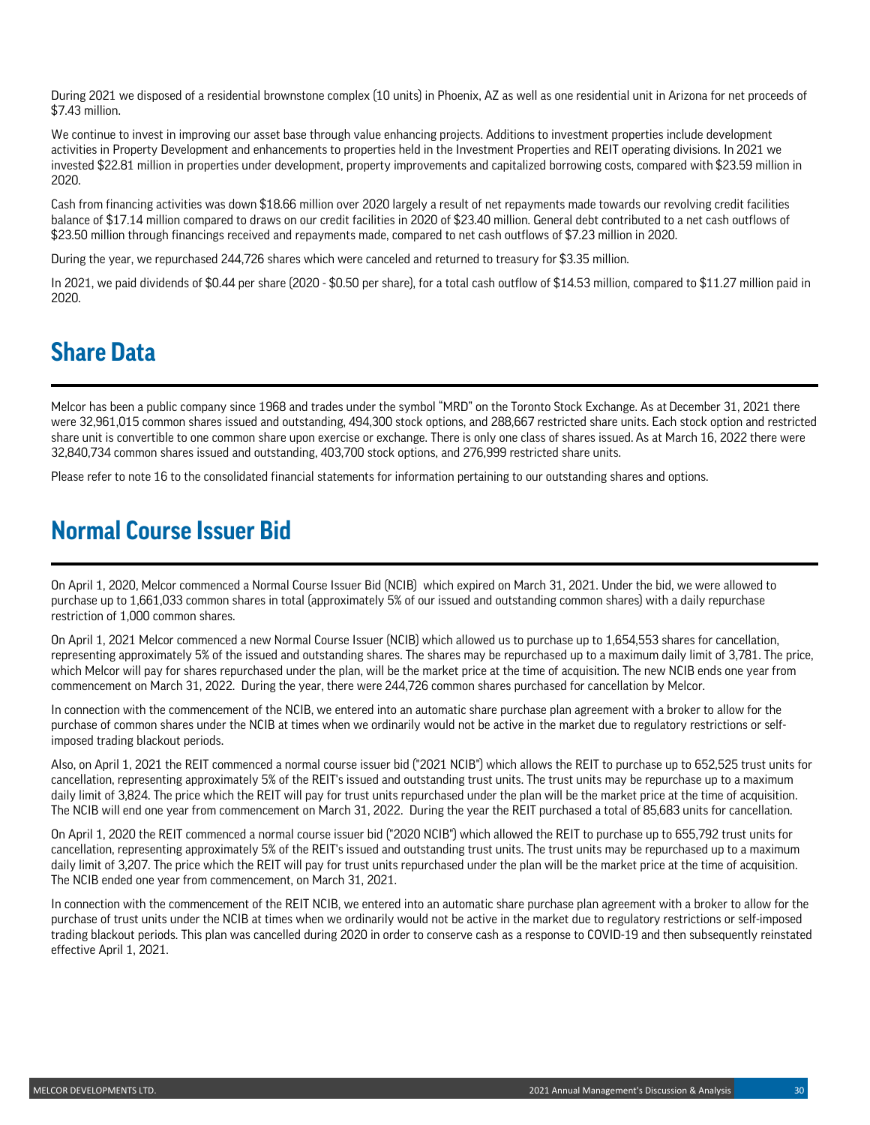During 2021 we disposed of a residential brownstone complex (10 units) in Phoenix, AZ as well as one residential unit in Arizona for net proceeds of \$7.43 million.

We continue to invest in improving our asset base through value enhancing projects. Additions to investment properties include development activities in Property Development and enhancements to properties held in the Investment Properties and REIT operating divisions. In 2021 we invested \$22.81 million in properties under development, property improvements and capitalized borrowing costs, compared with \$23.59 million in 2020.

Cash from financing activities was down \$18.66 million over 2020 largely a result of net repayments made towards our revolving credit facilities balance of \$17.14 million compared to draws on our credit facilities in 2020 of \$23.40 million. General debt contributed to a net cash outflows of \$23.50 million through financings received and repayments made, compared to net cash outflows of \$7.23 million in 2020.

During the year, we repurchased 244,726 shares which were canceled and returned to treasury for \$3.35 million.

In 2021, we paid dividends of \$0.44 per share (2020 - \$0.50 per share), for a total cash outflow of \$14.53 million, compared to \$11.27 million paid in 2020.

# **Share Data**

Melcor has been a public company since 1968 and trades under the symbol "MRD" on the Toronto Stock Exchange. As at December 31, 2021 there were 32,961,015 common shares issued and outstanding, 494,300 stock options, and 288,667 restricted share units. Each stock option and restricted share unit is convertible to one common share upon exercise or exchange. There is only one class of shares issued. As at March 16, 2022 there were 32,840,734 common shares issued and outstanding, 403,700 stock options, and 276,999 restricted share units.

Please refer to note 16 to the consolidated financial statements for information pertaining to our outstanding shares and options.

## **Normal Course Issuer Bid**

On April 1, 2020, Melcor commenced a Normal Course Issuer Bid (NCIB) which expired on March 31, 2021. Under the bid, we were allowed to purchase up to 1,661,033 common shares in total (approximately 5% of our issued and outstanding common shares) with a daily repurchase restriction of 1,000 common shares.

On April 1, 2021 Melcor commenced a new Normal Course Issuer (NCIB) which allowed us to purchase up to 1,654,553 shares for cancellation, representing approximately 5% of the issued and outstanding shares. The shares may be repurchased up to a maximum daily limit of 3,781. The price, which Melcor will pay for shares repurchased under the plan, will be the market price at the time of acquisition. The new NCIB ends one year from commencement on March 31, 2022. During the year, there were 244,726 common shares purchased for cancellation by Melcor.

In connection with the commencement of the NCIB, we entered into an automatic share purchase plan agreement with a broker to allow for the purchase of common shares under the NCIB at times when we ordinarily would not be active in the market due to regulatory restrictions or selfimposed trading blackout periods.

Also, on April 1, 2021 the REIT commenced a normal course issuer bid ("2021 NCIB") which allows the REIT to purchase up to 652,525 trust units for cancellation, representing approximately 5% of the REIT's issued and outstanding trust units. The trust units may be repurchase up to a maximum daily limit of 3,824. The price which the REIT will pay for trust units repurchased under the plan will be the market price at the time of acquisition. The NCIB will end one year from commencement on March 31, 2022. During the year the REIT purchased a total of 85,683 units for cancellation.

On April 1, 2020 the REIT commenced a normal course issuer bid ("2020 NCIB") which allowed the REIT to purchase up to 655,792 trust units for cancellation, representing approximately 5% of the REIT's issued and outstanding trust units. The trust units may be repurchased up to a maximum daily limit of 3,207. The price which the REIT will pay for trust units repurchased under the plan will be the market price at the time of acquisition. The NCIB ended one year from commencement, on March 31, 2021.

In connection with the commencement of the REIT NCIB, we entered into an automatic share purchase plan agreement with a broker to allow for the purchase of trust units under the NCIB at times when we ordinarily would not be active in the market due to regulatory restrictions or self-imposed trading blackout periods. This plan was cancelled during 2020 in order to conserve cash as a response to COVID-19 and then subsequently reinstated effective April 1, 2021.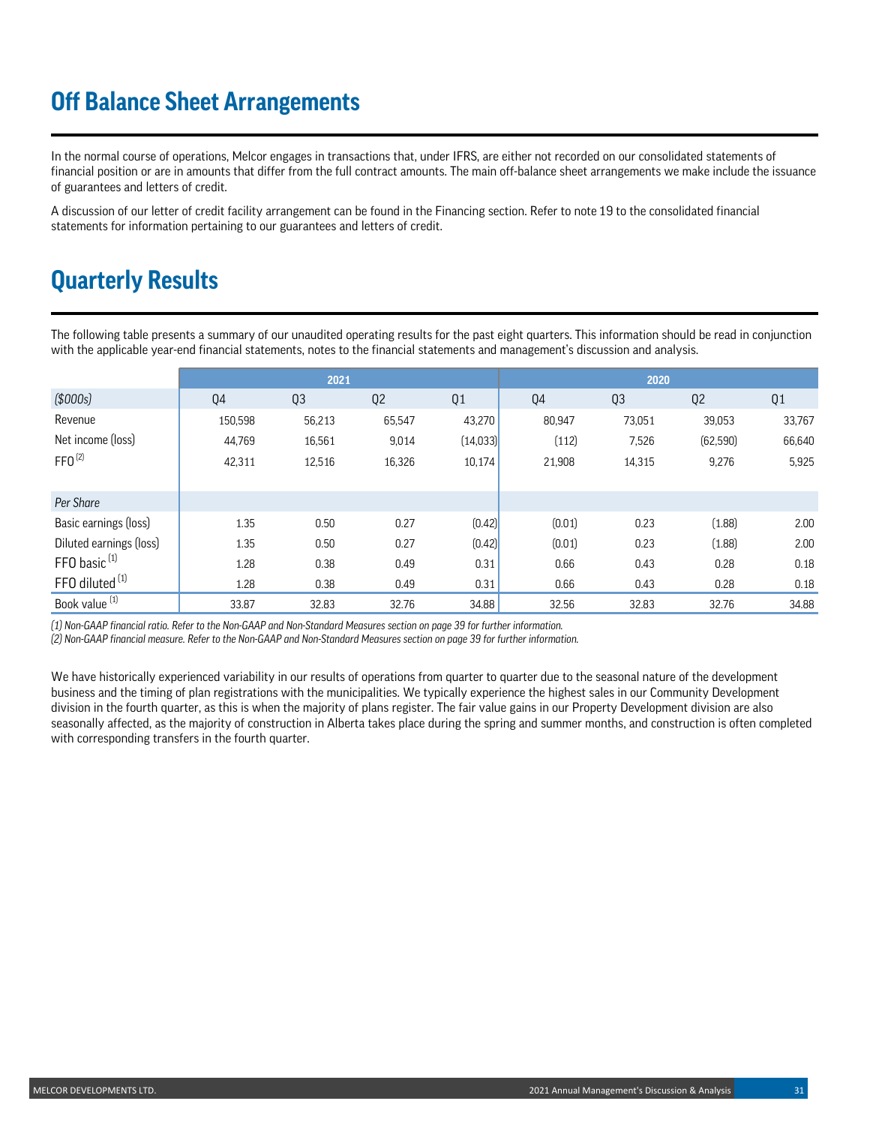# **Off Balance Sheet Arrangements**

In the normal course of operations, Melcor engages in transactions that, under IFRS, are either not recorded on our consolidated statements of financial position or are in amounts that differ from the full contract amounts. The main off-balance sheet arrangements we make include the issuance of guarantees and letters of credit.

A discussion of our letter of credit facility arrangement can be found in the Financing section. Refer to note 19 to the consolidated financial statements for information pertaining to our guarantees and letters of credit.

# **Quarterly Results**

The following table presents a summary of our unaudited operating results for the past eight quarters. This information should be read in conjunction with the applicable year-end financial statements, notes to the financial statements and management's discussion and analysis.

|                            | 2021    |                |                |           | 2020   |        |           |        |
|----------------------------|---------|----------------|----------------|-----------|--------|--------|-----------|--------|
| (\$000s)                   | Q4      | Q <sub>3</sub> | Q <sub>2</sub> | Q1        | Q4     | Q3     | Q2        | Q1     |
| Revenue                    | 150,598 | 56,213         | 65,547         | 43,270    | 80,947 | 73,051 | 39,053    | 33,767 |
| Net income (loss)          | 44,769  | 16,561         | 9,014          | (14, 033) | (112)  | 7,526  | (62, 590) | 66,640 |
| $FFO^{(2)}$                | 42,311  | 12,516         | 16,326         | 10,174    | 21,908 | 14,315 | 9,276     | 5,925  |
|                            |         |                |                |           |        |        |           |        |
| Per Share                  |         |                |                |           |        |        |           |        |
| Basic earnings (loss)      | 1.35    | 0.50           | 0.27           | (0.42)    | (0.01) | 0.23   | (1.88)    | 2.00   |
| Diluted earnings (loss)    | 1.35    | 0.50           | 0.27           | (0.42)    | (0.01) | 0.23   | (1.88)    | 2.00   |
| FFO basic <sup>(1)</sup>   | 1.28    | 0.38           | 0.49           | 0.31      | 0.66   | 0.43   | 0.28      | 0.18   |
| FFO diluted <sup>(1)</sup> | 1.28    | 0.38           | 0.49           | 0.31      | 0.66   | 0.43   | 0.28      | 0.18   |
| Book value <sup>(1)</sup>  | 33.87   | 32.83          | 32.76          | 34.88     | 32.56  | 32.83  | 32.76     | 34.88  |

*(1) Non-GAAP financial ratio. Refer to the Non-GAAP and Non-Standard Measures section on page 39 for further information.*

*(2) Non-GAAP financial measure. Refer to the Non-GAAP and Non-Standard Measures section on page 39 for further information.*

We have historically experienced variability in our results of operations from quarter to quarter due to the seasonal nature of the development business and the timing of plan registrations with the municipalities. We typically experience the highest sales in our Community Development division in the fourth quarter, as this is when the majority of plans register. The fair value gains in our Property Development division are also seasonally affected, as the majority of construction in Alberta takes place during the spring and summer months, and construction is often completed with corresponding transfers in the fourth quarter.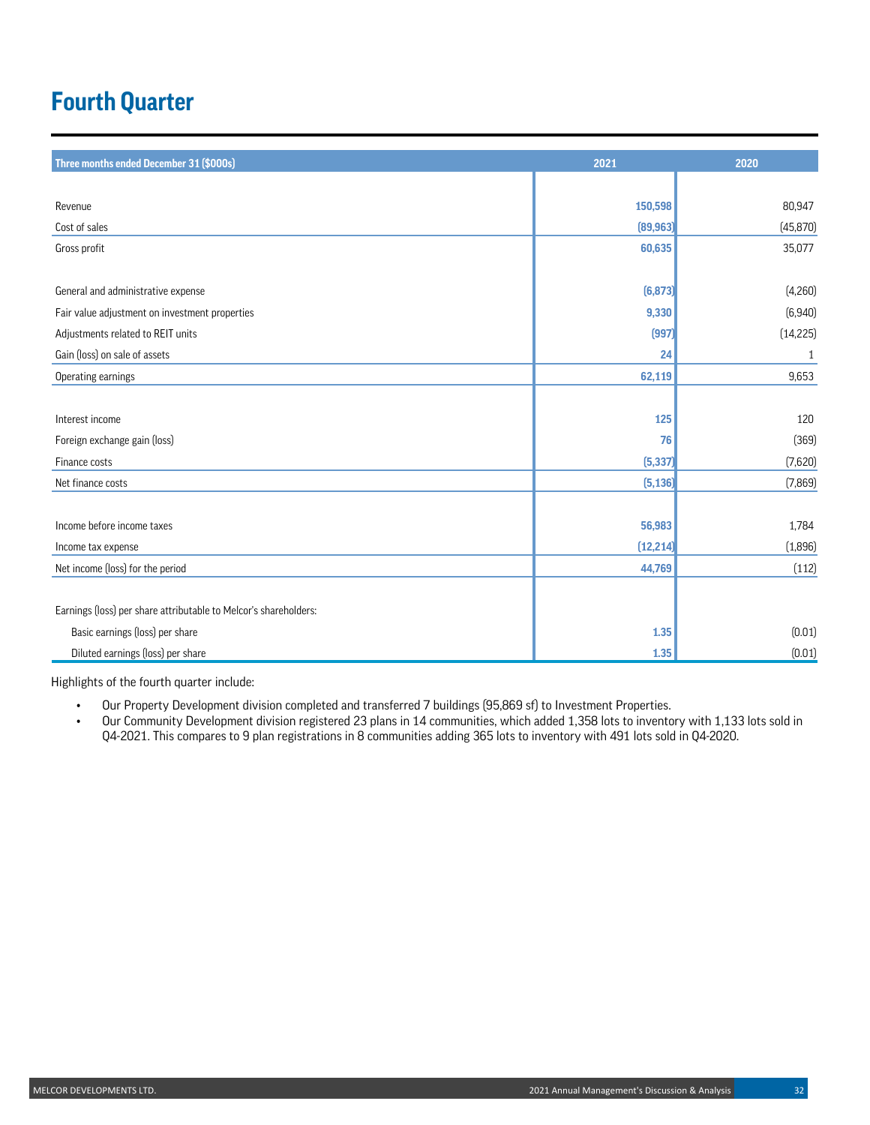# **Fourth Quarter**

| Three months ended December 31 (\$000s)                          | 2021      | 2020      |
|------------------------------------------------------------------|-----------|-----------|
|                                                                  |           |           |
| Revenue                                                          | 150,598   | 80,947    |
| Cost of sales                                                    | (89, 963) | (45, 870) |
| Gross profit                                                     | 60,635    | 35,077    |
|                                                                  |           |           |
| General and administrative expense                               | (6, 873)  | (4,260)   |
| Fair value adjustment on investment properties                   | 9,330     | (6,940)   |
| Adjustments related to REIT units                                | (997)     | (14, 225) |
| Gain (loss) on sale of assets                                    | 24        | 1         |
| Operating earnings                                               | 62,119    | 9.653     |
|                                                                  |           |           |
| Interest income                                                  | 125       | 120       |
| Foreign exchange gain (loss)                                     | 76        | (369)     |
| Finance costs                                                    | (5, 337)  | (7,620)   |
| Net finance costs                                                | (5, 136)  | (7,869)   |
|                                                                  |           |           |
| Income before income taxes                                       | 56,983    | 1,784     |
| Income tax expense                                               | (12, 214) | (1,896)   |
| Net income (loss) for the period                                 | 44,769    | (112)     |
|                                                                  |           |           |
| Earnings (loss) per share attributable to Melcor's shareholders: |           |           |
| Basic earnings (loss) per share                                  | 1.35      | (0.01)    |
| Diluted earnings (loss) per share                                | 1.35      | (0.01)    |

Highlights of the fourth quarter include:

- Our Property Development division completed and transferred 7 buildings (95,869 sf) to Investment Properties.
- Our Community Development division registered 23 plans in 14 communities, which added 1,358 lots to inventory with 1,133 lots sold in Q4-2021. This compares to 9 plan registrations in 8 communities adding 365 lots to inventory with 491 lots sold in Q4-2020.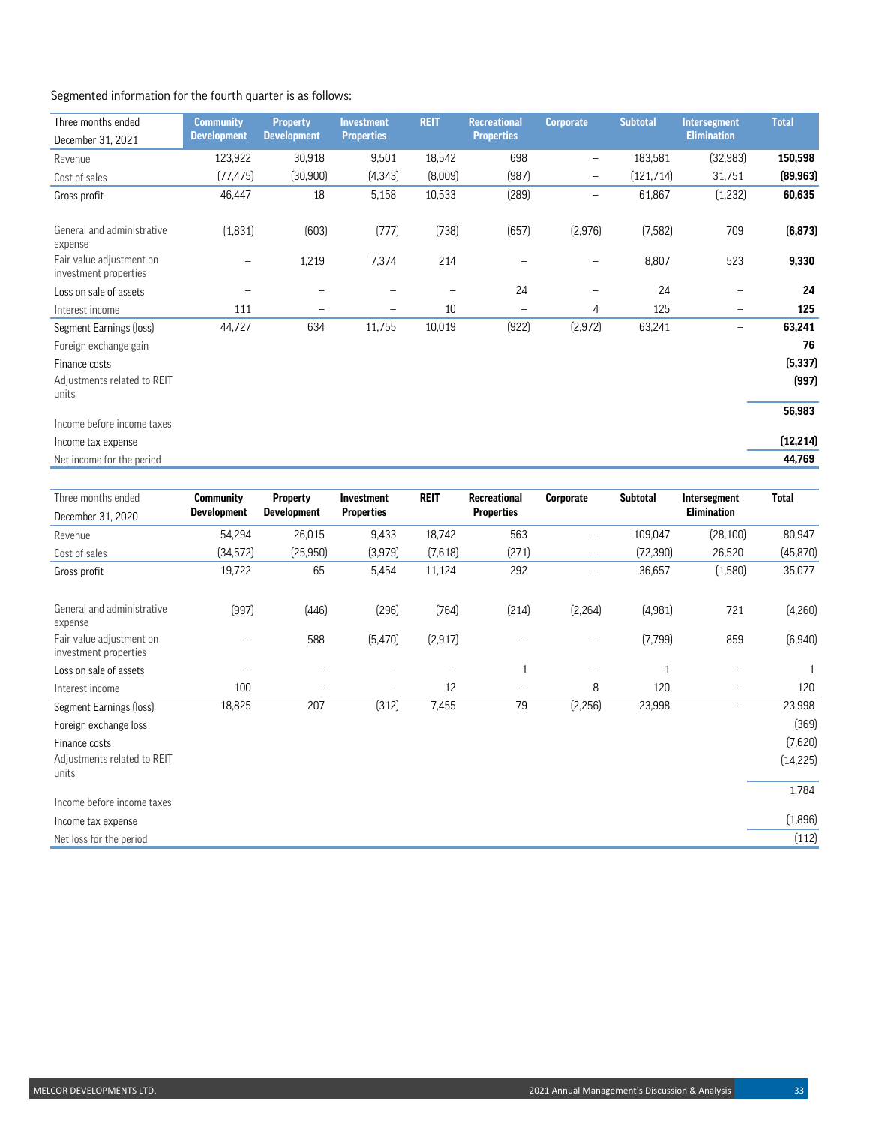## Segmented information for the fourth quarter is as follows:

| Three months ended                                | <b>Community</b>         | <b>Property</b>          | <b>Investment</b>        | <b>REIT</b> | <b>Recreational</b>          | <b>Corporate</b>         | <b>Subtotal</b> | <b>Intersegment</b> | <b>Total</b> |
|---------------------------------------------------|--------------------------|--------------------------|--------------------------|-------------|------------------------------|--------------------------|-----------------|---------------------|--------------|
| December 31, 2021                                 | <b>Development</b>       | <b>Development</b>       | <b>Properties</b>        |             | <b>Properties</b>            |                          |                 | <b>Elimination</b>  |              |
| Revenue                                           | 123,922                  | 30,918                   | 9,501                    | 18,542      | 698                          | -                        | 183,581         | (32, 983)           | 150,598      |
| Cost of sales                                     | (77, 475)                | (30, 900)                | (4, 343)                 | (8,009)     | (987)                        | $\overline{\phantom{m}}$ | (121,714)       | 31,751              | (89, 963)    |
| Gross profit                                      | 46,447                   | 18                       | 5,158                    | 10,533      | (289)                        | $\overline{\phantom{0}}$ | 61,867          | (1,232)             | 60,635       |
| General and administrative<br>expense             | (1,831)                  | (603)                    | (777)                    | (738)       | (657)                        | (2,976)                  | (7, 582)        | 709                 | (6, 873)     |
| Fair value adjustment on<br>investment properties | $\overline{\phantom{0}}$ | 1,219                    | 7,374                    | 214         |                              | $\overline{\phantom{0}}$ | 8,807           | 523                 | 9,330        |
| Loss on sale of assets                            |                          | $\overline{\phantom{0}}$ |                          |             | 24                           | -                        | 24              |                     | 24           |
| Interest income                                   | 111                      | $\overline{\phantom{0}}$ | $\overline{\phantom{m}}$ | 10          | $\qquad \qquad \blacksquare$ | 4                        | 125             | -                   | 125          |
| Segment Earnings (loss)                           | 44,727                   | 634                      | 11,755                   | 10,019      | (922)                        | (2, 972)                 | 63,241          | -                   | 63,241       |
| Foreign exchange gain                             |                          |                          |                          |             |                              |                          |                 |                     | 76           |
| Finance costs                                     |                          |                          |                          |             |                              |                          |                 |                     | (5, 337)     |
| Adjustments related to REIT<br>units              |                          |                          |                          |             |                              |                          |                 |                     | (997)        |
|                                                   |                          |                          |                          |             |                              |                          |                 |                     | 56,983       |
| Income before income taxes                        |                          |                          |                          |             |                              |                          |                 |                     |              |
| Income tax expense                                |                          |                          |                          |             |                              |                          |                 |                     | (12, 214)    |
| Net income for the period                         |                          |                          |                          |             |                              |                          |                 |                     | 44,769       |

| Three months ended                                | <b>Community</b>   | <b>Property</b>    | <b>Investment</b> | <b>REIT</b> | <b>Recreational</b> | Corporate                    | <b>Subtotal</b> | Intersegment       | <b>Total</b> |
|---------------------------------------------------|--------------------|--------------------|-------------------|-------------|---------------------|------------------------------|-----------------|--------------------|--------------|
| December 31, 2020                                 | <b>Development</b> | <b>Development</b> | <b>Properties</b> |             | <b>Properties</b>   |                              |                 | <b>Elimination</b> |              |
| Revenue                                           | 54,294             | 26,015             | 9,433             | 18,742      | 563                 | $\overline{\phantom{0}}$     | 109,047         | (28, 100)          | 80,947       |
| Cost of sales                                     | (34, 572)          | (25, 950)          | (3,979)           | (7,618)     | (271)               | $\qquad \qquad \blacksquare$ | (72, 390)       | 26,520             | (45, 870)    |
| Gross profit                                      | 19,722             | 65                 | 5,454             | 11,124      | 292                 | -                            | 36,657          | (1,580)            | 35,077       |
| General and administrative<br>expense             | (997)              | (446)              | (296)             | (764)       | (214)               | (2, 264)                     | (4,981)         | 721                | (4,260)      |
| Fair value adjustment on<br>investment properties | -                  | 588                | (5,470)           | (2, 917)    |                     |                              | (7,799)         | 859                | (6,940)      |
| Loss on sale of assets                            |                    |                    |                   |             | 1                   | -                            | 1               | -                  | 1            |
| Interest income                                   | 100                | -                  | -                 | 12          | -                   | 8                            | 120             | -                  | 120          |
| Segment Earnings (loss)                           | 18,825             | 207                | (312)             | 7,455       | 79                  | (2,256)                      | 23,998          | -                  | 23,998       |
| Foreign exchange loss                             |                    |                    |                   |             |                     |                              |                 |                    | (369)        |
| Finance costs                                     |                    |                    |                   |             |                     |                              |                 |                    | (7,620)      |
| Adjustments related to REIT<br>units              |                    |                    |                   |             |                     |                              |                 |                    | (14, 225)    |
|                                                   |                    |                    |                   |             |                     |                              |                 |                    | 1,784        |
| Income before income taxes                        |                    |                    |                   |             |                     |                              |                 |                    |              |
| Income tax expense                                |                    |                    |                   |             |                     |                              |                 |                    | (1,896)      |
| Net loss for the period                           |                    |                    |                   |             |                     |                              |                 |                    | (112)        |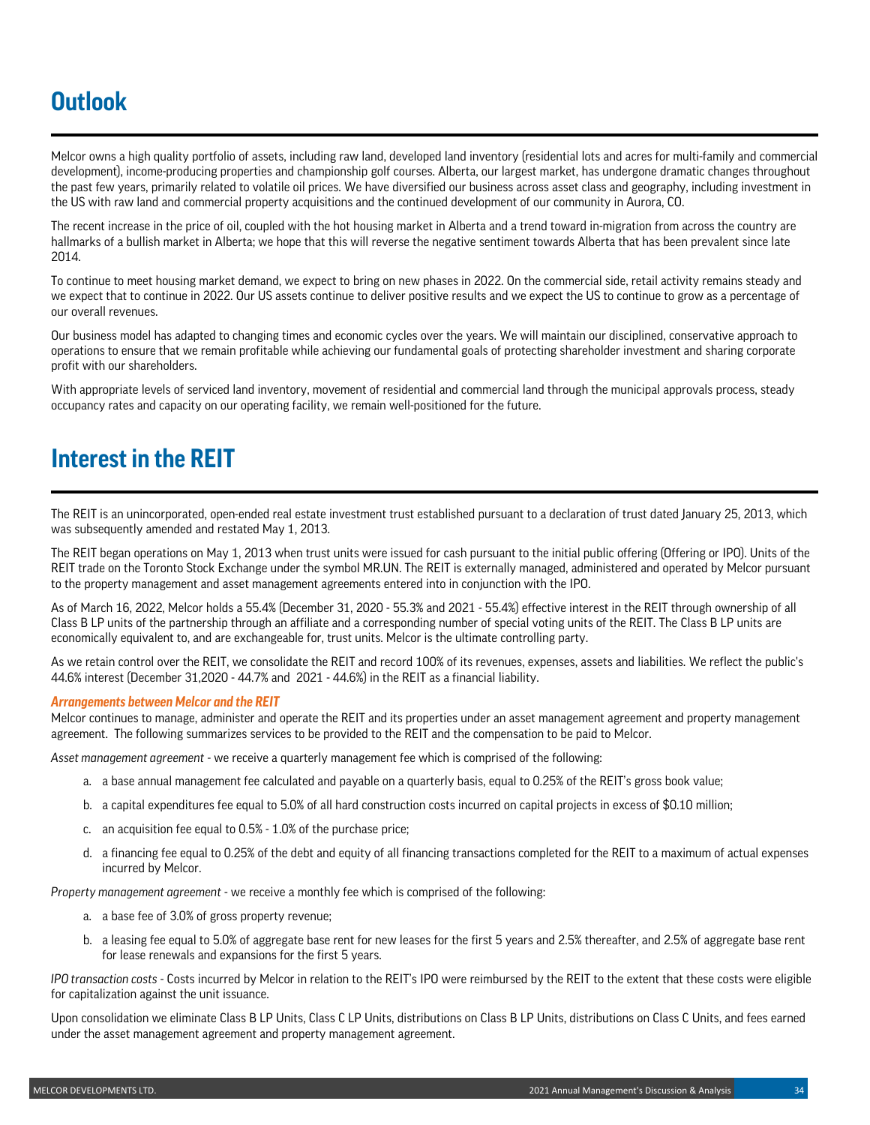# **Outlook**

Melcor owns a high quality portfolio of assets, including raw land, developed land inventory (residential lots and acres for multi-family and commercial development), income-producing properties and championship golf courses. Alberta, our largest market, has undergone dramatic changes throughout the past few years, primarily related to volatile oil prices. We have diversified our business across asset class and geography, including investment in the US with raw land and commercial property acquisitions and the continued development of our community in Aurora, CO.

The recent increase in the price of oil, coupled with the hot housing market in Alberta and a trend toward in-migration from across the country are hallmarks of a bullish market in Alberta; we hope that this will reverse the negative sentiment towards Alberta that has been prevalent since late 2014.

To continue to meet housing market demand, we expect to bring on new phases in 2022. On the commercial side, retail activity remains steady and we expect that to continue in 2022. Our US assets continue to deliver positive results and we expect the US to continue to grow as a percentage of our overall revenues.

Our business model has adapted to changing times and economic cycles over the years. We will maintain our disciplined, conservative approach to operations to ensure that we remain profitable while achieving our fundamental goals of protecting shareholder investment and sharing corporate profit with our shareholders.

With appropriate levels of serviced land inventory, movement of residential and commercial land through the municipal approvals process, steady occupancy rates and capacity on our operating facility, we remain well-positioned for the future.

## **Interest in the REIT**

The REIT is an unincorporated, open-ended real estate investment trust established pursuant to a declaration of trust dated January 25, 2013, which was subsequently amended and restated May 1, 2013.

The REIT began operations on May 1, 2013 when trust units were issued for cash pursuant to the initial public offering (Offering or IPO). Units of the REIT trade on the Toronto Stock Exchange under the symbol MR.UN. The REIT is externally managed, administered and operated by Melcor pursuant to the property management and asset management agreements entered into in conjunction with the IPO.

As of March 16, 2022, Melcor holds a 55.4% (December 31, 2020 - 55.3% and 2021 - 55.4%) effective interest in the REIT through ownership of all Class B LP units of the partnership through an affiliate and a corresponding number of special voting units of the REIT. The Class B LP units are economically equivalent to, and are exchangeable for, trust units. Melcor is the ultimate controlling party.

As we retain control over the REIT, we consolidate the REIT and record 100% of its revenues, expenses, assets and liabilities. We reflect the public's 44.6% interest (December 31,2020 - 44.7% and 2021 - 44.6%) in the REIT as a financial liability.

### *Arrangements between Melcor and the REIT*

Melcor continues to manage, administer and operate the REIT and its properties under an asset management agreement and property management agreement. The following summarizes services to be provided to the REIT and the compensation to be paid to Melcor.

*Asset management agreement* - we receive a quarterly management fee which is comprised of the following:

- a. a base annual management fee calculated and payable on a quarterly basis, equal to 0.25% of the REIT's gross book value;
- b. a capital expenditures fee equal to 5.0% of all hard construction costs incurred on capital projects in excess of \$0.10 million;
- c. an acquisition fee equal to 0.5% 1.0% of the purchase price;
- d. a financing fee equal to 0.25% of the debt and equity of all financing transactions completed for the REIT to a maximum of actual expenses incurred by Melcor.

*Property management agreement* - we receive a monthly fee which is comprised of the following:

- a. a base fee of 3.0% of gross property revenue;
- b. a leasing fee equal to 5.0% of aggregate base rent for new leases for the first 5 years and 2.5% thereafter, and 2.5% of aggregate base rent for lease renewals and expansions for the first 5 years.

*IPO transaction costs* - Costs incurred by Melcor in relation to the REIT's IPO were reimbursed by the REIT to the extent that these costs were eligible for capitalization against the unit issuance.

Upon consolidation we eliminate Class B LP Units, Class C LP Units, distributions on Class B LP Units, distributions on Class C Units, and fees earned under the asset management agreement and property management agreement.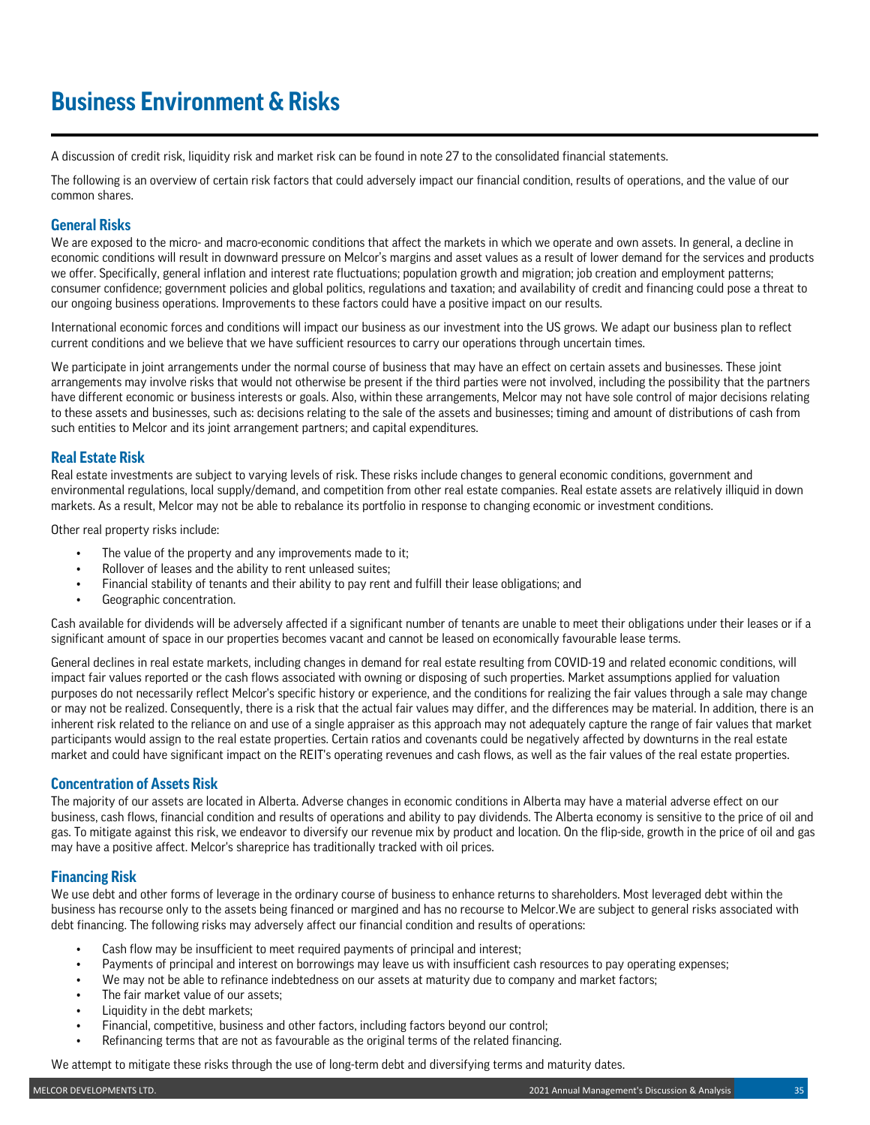# **Business Environment & Risks**

A discussion of credit risk, liquidity risk and market risk can be found in note 27 to the consolidated financial statements.

The following is an overview of certain risk factors that could adversely impact our financial condition, results of operations, and the value of our common shares.

## **General Risks**

We are exposed to the micro- and macro-economic conditions that affect the markets in which we operate and own assets. In general, a decline in economic conditions will result in downward pressure on Melcor's margins and asset values as a result of lower demand for the services and products we offer. Specifically, general inflation and interest rate fluctuations; population growth and migration; job creation and employment patterns; consumer confidence; government policies and global politics, regulations and taxation; and availability of credit and financing could pose a threat to our ongoing business operations. Improvements to these factors could have a positive impact on our results.

International economic forces and conditions will impact our business as our investment into the US grows. We adapt our business plan to reflect current conditions and we believe that we have sufficient resources to carry our operations through uncertain times.

We participate in joint arrangements under the normal course of business that may have an effect on certain assets and businesses. These joint arrangements may involve risks that would not otherwise be present if the third parties were not involved, including the possibility that the partners have different economic or business interests or goals. Also, within these arrangements, Melcor may not have sole control of major decisions relating to these assets and businesses, such as: decisions relating to the sale of the assets and businesses; timing and amount of distributions of cash from such entities to Melcor and its joint arrangement partners; and capital expenditures.

## **Real Estate Risk**

Real estate investments are subject to varying levels of risk. These risks include changes to general economic conditions, government and environmental regulations, local supply/demand, and competition from other real estate companies. Real estate assets are relatively illiquid in down markets. As a result, Melcor may not be able to rebalance its portfolio in response to changing economic or investment conditions.

Other real property risks include:

- The value of the property and any improvements made to it;
- Rollover of leases and the ability to rent unleased suites;
- Financial stability of tenants and their ability to pay rent and fulfill their lease obligations; and
- Geographic concentration.

Cash available for dividends will be adversely affected if a significant number of tenants are unable to meet their obligations under their leases or if a significant amount of space in our properties becomes vacant and cannot be leased on economically favourable lease terms.

General declines in real estate markets, including changes in demand for real estate resulting from COVID-19 and related economic conditions, will impact fair values reported or the cash flows associated with owning or disposing of such properties. Market assumptions applied for valuation purposes do not necessarily reflect Melcor's specific history or experience, and the conditions for realizing the fair values through a sale may change or may not be realized. Consequently, there is a risk that the actual fair values may differ, and the differences may be material. In addition, there is an inherent risk related to the reliance on and use of a single appraiser as this approach may not adequately capture the range of fair values that market participants would assign to the real estate properties. Certain ratios and covenants could be negatively affected by downturns in the real estate market and could have significant impact on the REIT's operating revenues and cash flows, as well as the fair values of the real estate properties.

## **Concentration of Assets Risk**

The majority of our assets are located in Alberta. Adverse changes in economic conditions in Alberta may have a material adverse effect on our business, cash flows, financial condition and results of operations and ability to pay dividends. The Alberta economy is sensitive to the price of oil and gas. To mitigate against this risk, we endeavor to diversify our revenue mix by product and location. On the flip-side, growth in the price of oil and gas may have a positive affect. Melcor's shareprice has traditionally tracked with oil prices.

## **Financing Risk**

We use debt and other forms of leverage in the ordinary course of business to enhance returns to shareholders. Most leveraged debt within the business has recourse only to the assets being financed or margined and has no recourse to Melcor.We are subject to general risks associated with debt financing. The following risks may adversely affect our financial condition and results of operations:

- Cash flow may be insufficient to meet required payments of principal and interest;
- Payments of principal and interest on borrowings may leave us with insufficient cash resources to pay operating expenses;
- We may not be able to refinance indebtedness on our assets at maturity due to company and market factors;
- The fair market value of our assets:
- Liquidity in the debt markets;
- Financial, competitive, business and other factors, including factors beyond our control;
- Refinancing terms that are not as favourable as the original terms of the related financing.

We attempt to mitigate these risks through the use of long-term debt and diversifying terms and maturity dates.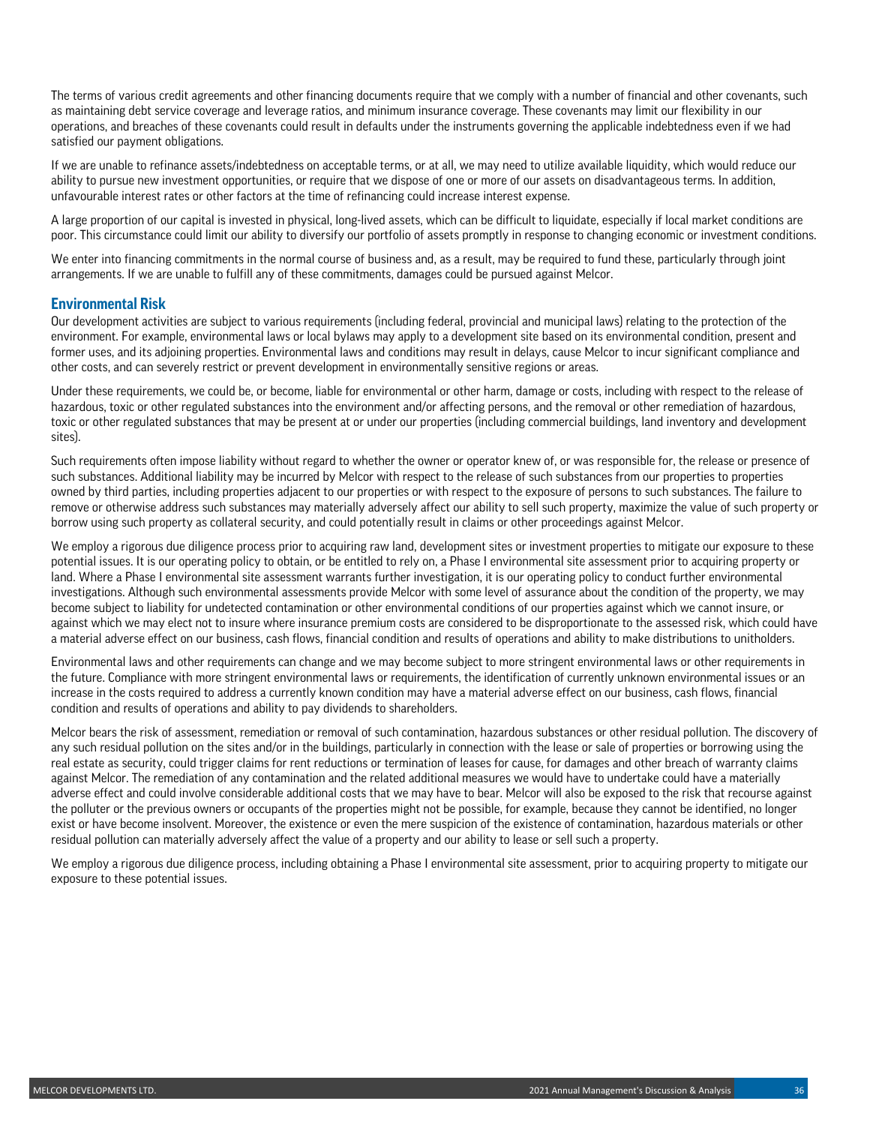The terms of various credit agreements and other financing documents require that we comply with a number of financial and other covenants, such as maintaining debt service coverage and leverage ratios, and minimum insurance coverage. These covenants may limit our flexibility in our operations, and breaches of these covenants could result in defaults under the instruments governing the applicable indebtedness even if we had satisfied our payment obligations.

If we are unable to refinance assets/indebtedness on acceptable terms, or at all, we may need to utilize available liquidity, which would reduce our ability to pursue new investment opportunities, or require that we dispose of one or more of our assets on disadvantageous terms. In addition, unfavourable interest rates or other factors at the time of refinancing could increase interest expense.

A large proportion of our capital is invested in physical, long-lived assets, which can be difficult to liquidate, especially if local market conditions are poor. This circumstance could limit our ability to diversify our portfolio of assets promptly in response to changing economic or investment conditions.

We enter into financing commitments in the normal course of business and, as a result, may be required to fund these, particularly through joint arrangements. If we are unable to fulfill any of these commitments, damages could be pursued against Melcor.

### **Environmental Risk**

Our development activities are subject to various requirements (including federal, provincial and municipal laws) relating to the protection of the environment. For example, environmental laws or local bylaws may apply to a development site based on its environmental condition, present and former uses, and its adjoining properties. Environmental laws and conditions may result in delays, cause Melcor to incur significant compliance and other costs, and can severely restrict or prevent development in environmentally sensitive regions or areas.

Under these requirements, we could be, or become, liable for environmental or other harm, damage or costs, including with respect to the release of hazardous, toxic or other regulated substances into the environment and/or affecting persons, and the removal or other remediation of hazardous, toxic or other regulated substances that may be present at or under our properties (including commercial buildings, land inventory and development sites).

Such requirements often impose liability without regard to whether the owner or operator knew of, or was responsible for, the release or presence of such substances. Additional liability may be incurred by Melcor with respect to the release of such substances from our properties to properties owned by third parties, including properties adjacent to our properties or with respect to the exposure of persons to such substances. The failure to remove or otherwise address such substances may materially adversely affect our ability to sell such property, maximize the value of such property or borrow using such property as collateral security, and could potentially result in claims or other proceedings against Melcor.

We employ a rigorous due diligence process prior to acquiring raw land, development sites or investment properties to mitigate our exposure to these potential issues. It is our operating policy to obtain, or be entitled to rely on, a Phase I environmental site assessment prior to acquiring property or land. Where a Phase I environmental site assessment warrants further investigation, it is our operating policy to conduct further environmental investigations. Although such environmental assessments provide Melcor with some level of assurance about the condition of the property, we may become subject to liability for undetected contamination or other environmental conditions of our properties against which we cannot insure, or against which we may elect not to insure where insurance premium costs are considered to be disproportionate to the assessed risk, which could have a material adverse effect on our business, cash flows, financial condition and results of operations and ability to make distributions to unitholders.

Environmental laws and other requirements can change and we may become subject to more stringent environmental laws or other requirements in the future. Compliance with more stringent environmental laws or requirements, the identification of currently unknown environmental issues or an increase in the costs required to address a currently known condition may have a material adverse effect on our business, cash flows, financial condition and results of operations and ability to pay dividends to shareholders.

Melcor bears the risk of assessment, remediation or removal of such contamination, hazardous substances or other residual pollution. The discovery of any such residual pollution on the sites and/or in the buildings, particularly in connection with the lease or sale of properties or borrowing using the real estate as security, could trigger claims for rent reductions or termination of leases for cause, for damages and other breach of warranty claims against Melcor. The remediation of any contamination and the related additional measures we would have to undertake could have a materially adverse effect and could involve considerable additional costs that we may have to bear. Melcor will also be exposed to the risk that recourse against the polluter or the previous owners or occupants of the properties might not be possible, for example, because they cannot be identified, no longer exist or have become insolvent. Moreover, the existence or even the mere suspicion of the existence of contamination, hazardous materials or other residual pollution can materially adversely affect the value of a property and our ability to lease or sell such a property.

We employ a rigorous due diligence process, including obtaining a Phase I environmental site assessment, prior to acquiring property to mitigate our exposure to these potential issues.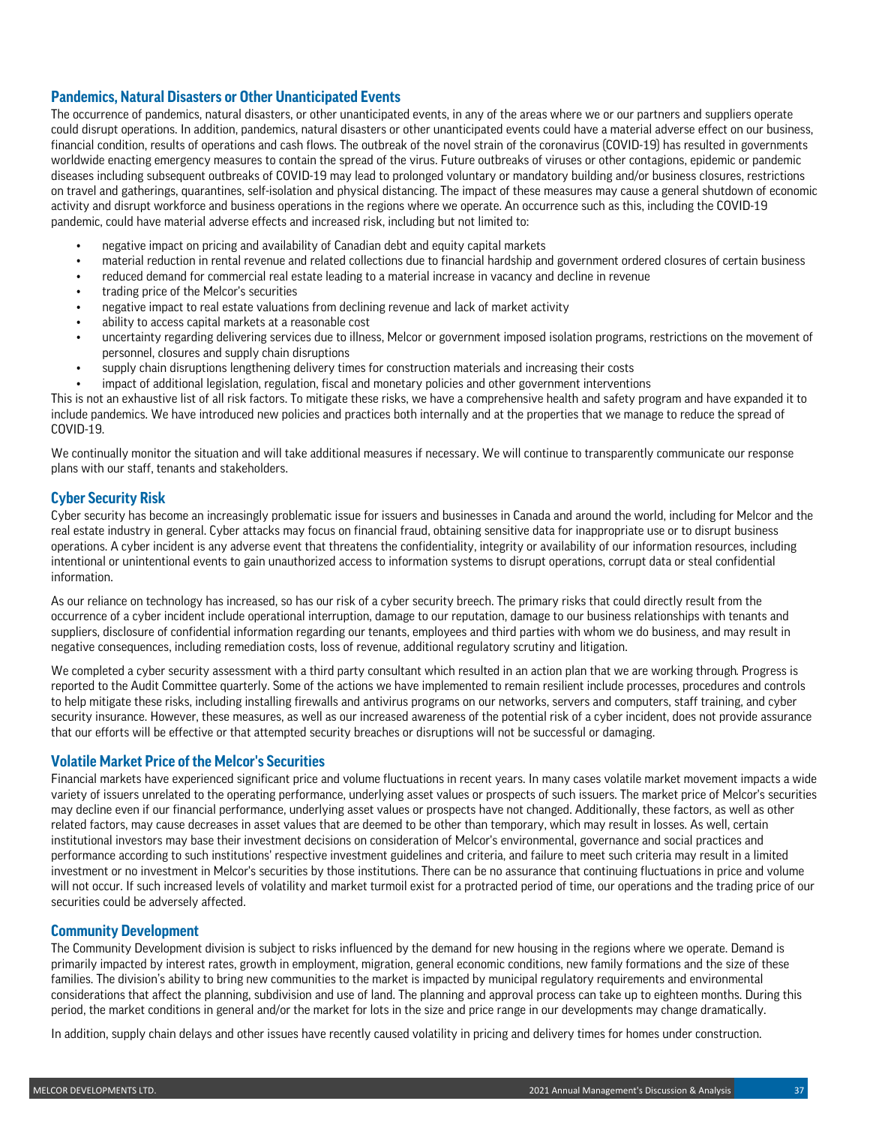## **Pandemics, Natural Disasters or Other Unanticipated Events**

The occurrence of pandemics, natural disasters, or other unanticipated events, in any of the areas where we or our partners and suppliers operate could disrupt operations. In addition, pandemics, natural disasters or other unanticipated events could have a material adverse effect on our business, financial condition, results of operations and cash flows. The outbreak of the novel strain of the coronavirus (COVID-19) has resulted in governments worldwide enacting emergency measures to contain the spread of the virus. Future outbreaks of viruses or other contagions, epidemic or pandemic diseases including subsequent outbreaks of COVID-19 may lead to prolonged voluntary or mandatory building and/or business closures, restrictions on travel and gatherings, quarantines, self-isolation and physical distancing. The impact of these measures may cause a general shutdown of economic activity and disrupt workforce and business operations in the regions where we operate. An occurrence such as this, including the COVID-19 pandemic, could have material adverse effects and increased risk, including but not limited to:

- negative impact on pricing and availability of Canadian debt and equity capital markets
- material reduction in rental revenue and related collections due to financial hardship and government ordered closures of certain business
- reduced demand for commercial real estate leading to a material increase in vacancy and decline in revenue
- trading price of the Melcor's securities
- negative impact to real estate valuations from declining revenue and lack of market activity
- ability to access capital markets at a reasonable cost
- uncertainty regarding delivering services due to illness, Melcor or government imposed isolation programs, restrictions on the movement of personnel, closures and supply chain disruptions
- supply chain disruptions lengthening delivery times for construction materials and increasing their costs
- impact of additional legislation, regulation, fiscal and monetary policies and other government interventions

This is not an exhaustive list of all risk factors. To mitigate these risks, we have a comprehensive health and safety program and have expanded it to include pandemics. We have introduced new policies and practices both internally and at the properties that we manage to reduce the spread of COVID-19.

We continually monitor the situation and will take additional measures if necessary. We will continue to transparently communicate our response plans with our staff, tenants and stakeholders.

## **Cyber Security Risk**

Cyber security has become an increasingly problematic issue for issuers and businesses in Canada and around the world, including for Melcor and the real estate industry in general. Cyber attacks may focus on financial fraud, obtaining sensitive data for inappropriate use or to disrupt business operations. A cyber incident is any adverse event that threatens the confidentiality, integrity or availability of our information resources, including intentional or unintentional events to gain unauthorized access to information systems to disrupt operations, corrupt data or steal confidential information.

As our reliance on technology has increased, so has our risk of a cyber security breech. The primary risks that could directly result from the occurrence of a cyber incident include operational interruption, damage to our reputation, damage to our business relationships with tenants and suppliers, disclosure of confidential information regarding our tenants, employees and third parties with whom we do business, and may result in negative consequences, including remediation costs, loss of revenue, additional regulatory scrutiny and litigation.

We completed a cyber security assessment with a third party consultant which resulted in an action plan that we are working through. Progress is reported to the Audit Committee quarterly. Some of the actions we have implemented to remain resilient include processes, procedures and controls to help mitigate these risks, including installing firewalls and antivirus programs on our networks, servers and computers, staff training, and cyber security insurance. However, these measures, as well as our increased awareness of the potential risk of a cyber incident, does not provide assurance that our efforts will be effective or that attempted security breaches or disruptions will not be successful or damaging.

## **Volatile Market Price of the Melcor's Securities**

Financial markets have experienced significant price and volume fluctuations in recent years. In many cases volatile market movement impacts a wide variety of issuers unrelated to the operating performance, underlying asset values or prospects of such issuers. The market price of Melcor's securities may decline even if our financial performance, underlying asset values or prospects have not changed. Additionally, these factors, as well as other related factors, may cause decreases in asset values that are deemed to be other than temporary, which may result in losses. As well, certain institutional investors may base their investment decisions on consideration of Melcor's environmental, governance and social practices and performance according to such institutions' respective investment guidelines and criteria, and failure to meet such criteria may result in a limited investment or no investment in Melcor's securities by those institutions. There can be no assurance that continuing fluctuations in price and volume will not occur. If such increased levels of volatility and market turmoil exist for a protracted period of time, our operations and the trading price of our securities could be adversely affected.

### **Community Development**

The Community Development division is subject to risks influenced by the demand for new housing in the regions where we operate. Demand is primarily impacted by interest rates, growth in employment, migration, general economic conditions, new family formations and the size of these families. The division's ability to bring new communities to the market is impacted by municipal regulatory requirements and environmental considerations that affect the planning, subdivision and use of land. The planning and approval process can take up to eighteen months. During this period, the market conditions in general and/or the market for lots in the size and price range in our developments may change dramatically.

In addition, supply chain delays and other issues have recently caused volatility in pricing and delivery times for homes under construction.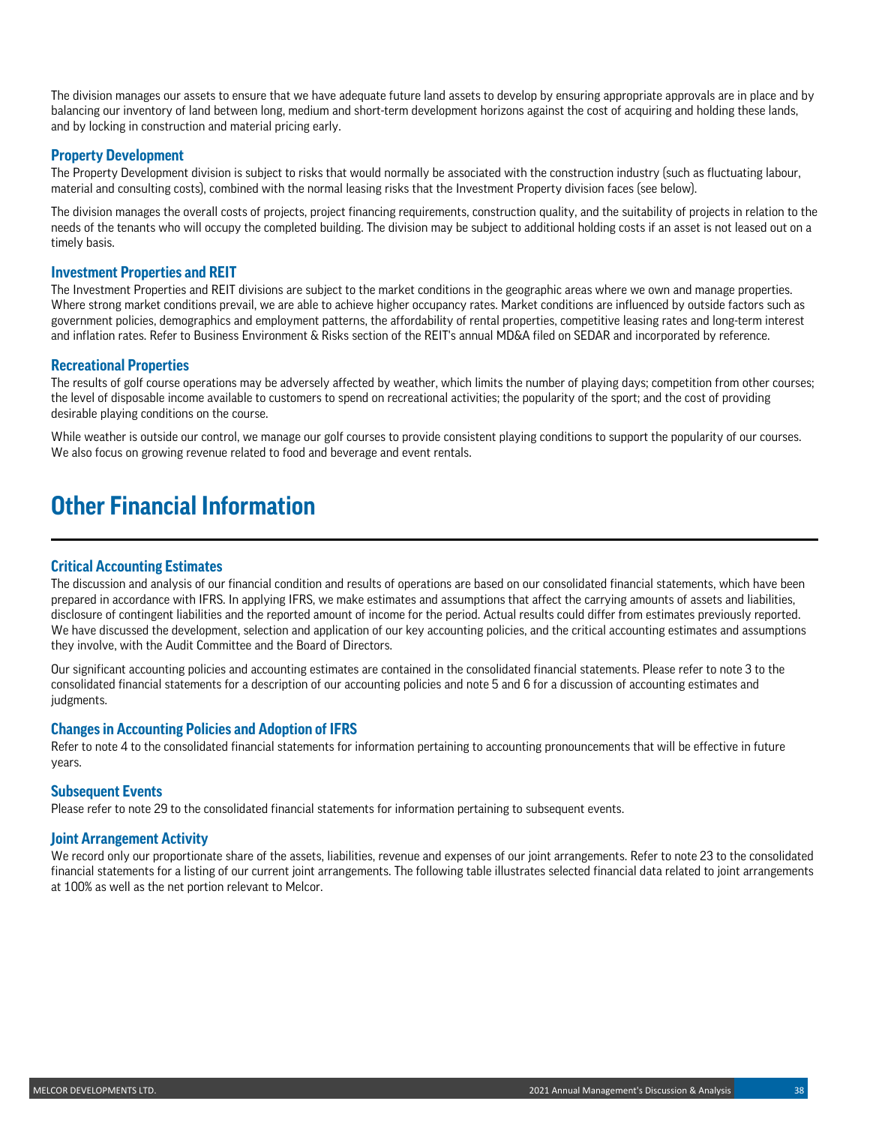The division manages our assets to ensure that we have adequate future land assets to develop by ensuring appropriate approvals are in place and by balancing our inventory of land between long, medium and short-term development horizons against the cost of acquiring and holding these lands, and by locking in construction and material pricing early.

### **Property Development**

The Property Development division is subject to risks that would normally be associated with the construction industry (such as fluctuating labour, material and consulting costs), combined with the normal leasing risks that the Investment Property division faces (see below).

The division manages the overall costs of projects, project financing requirements, construction quality, and the suitability of projects in relation to the needs of the tenants who will occupy the completed building. The division may be subject to additional holding costs if an asset is not leased out on a timely basis.

### **Investment Properties and REIT**

The Investment Properties and REIT divisions are subject to the market conditions in the geographic areas where we own and manage properties. Where strong market conditions prevail, we are able to achieve higher occupancy rates. Market conditions are influenced by outside factors such as government policies, demographics and employment patterns, the affordability of rental properties, competitive leasing rates and long-term interest and inflation rates. Refer to Business Environment & Risks section of the REIT's annual MD&A filed on SEDAR and incorporated by reference.

### **Recreational Properties**

The results of golf course operations may be adversely affected by weather, which limits the number of playing days; competition from other courses; the level of disposable income available to customers to spend on recreational activities; the popularity of the sport; and the cost of providing desirable playing conditions on the course.

While weather is outside our control, we manage our golf courses to provide consistent playing conditions to support the popularity of our courses. We also focus on growing revenue related to food and beverage and event rentals.

## **Other Financial Information**

### **Critical Accounting Estimates**

The discussion and analysis of our financial condition and results of operations are based on our consolidated financial statements, which have been prepared in accordance with IFRS. In applying IFRS, we make estimates and assumptions that affect the carrying amounts of assets and liabilities, disclosure of contingent liabilities and the reported amount of income for the period. Actual results could differ from estimates previously reported. We have discussed the development, selection and application of our key accounting policies, and the critical accounting estimates and assumptions they involve, with the Audit Committee and the Board of Directors.

Our significant accounting policies and accounting estimates are contained in the consolidated financial statements. Please refer to note 3 to the consolidated financial statements for a description of our accounting policies and note 5 and 6 for a discussion of accounting estimates and judgments.

### **Changes in Accounting Policies and Adoption of IFRS**

Refer to note 4 to the consolidated financial statements for information pertaining to accounting pronouncements that will be effective in future years.

### **Subsequent Events**

Please refer to note 29 to the consolidated financial statements for information pertaining to subsequent events.

### **Joint Arrangement Activity**

We record only our proportionate share of the assets, liabilities, revenue and expenses of our joint arrangements. Refer to note 23 to the consolidated financial statements for a listing of our current joint arrangements. The following table illustrates selected financial data related to joint arrangements at 100% as well as the net portion relevant to Melcor.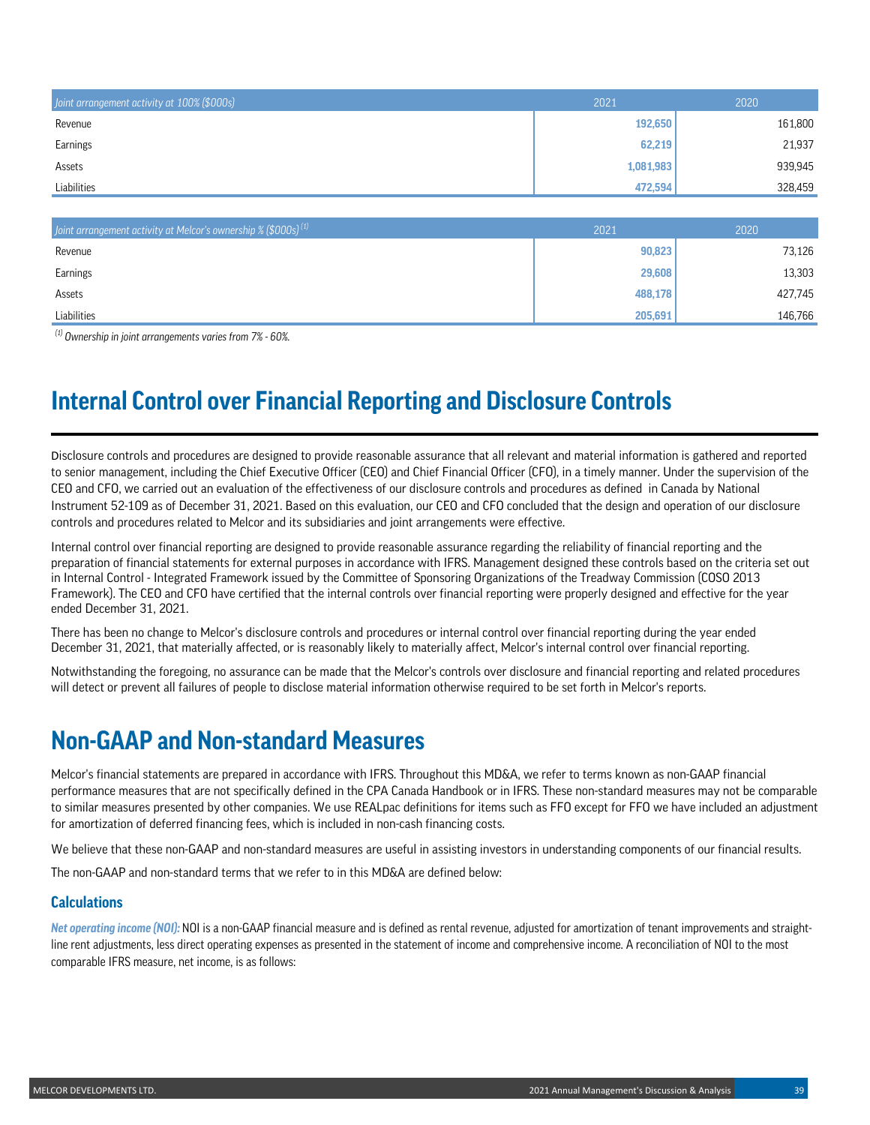| Joint arrangement activity at 100% (\$000s) | 2021      | 2020    |
|---------------------------------------------|-----------|---------|
| Revenue                                     | 192,650   | 161,800 |
| Earnings                                    | 62,219    | 21,937  |
| Assets                                      | 1,081,983 | 939,945 |
| Liabilities                                 | 472,594   | 328,459 |

| Joint arrangement activity at Melcor's ownership $\%$ (\$000s) <sup>(1)</sup> | 2021    | 2020    |
|-------------------------------------------------------------------------------|---------|---------|
| Revenue                                                                       | 90,823  | 73,126  |
| <b>Earnings</b>                                                               | 29,608  | 13,303  |
| Assets                                                                        | 488,178 | 427,745 |
| Liabilities                                                                   | 205,691 | 146.766 |

*(1) Ownership in joint arrangements varies from 7% - 60%.*

# **Internal Control over Financial Reporting and Disclosure Controls**

Disclosure controls and procedures are designed to provide reasonable assurance that all relevant and material information is gathered and reported to senior management, including the Chief Executive Officer (CEO) and Chief Financial Officer (CFO), in a timely manner. Under the supervision of the CEO and CFO, we carried out an evaluation of the effectiveness of our disclosure controls and procedures as defined in Canada by National Instrument 52-109 as of December 31, 2021. Based on this evaluation, our CEO and CFO concluded that the design and operation of our disclosure controls and procedures related to Melcor and its subsidiaries and joint arrangements were effective.

Internal control over financial reporting are designed to provide reasonable assurance regarding the reliability of financial reporting and the preparation of financial statements for external purposes in accordance with IFRS. Management designed these controls based on the criteria set out in Internal Control - Integrated Framework issued by the Committee of Sponsoring Organizations of the Treadway Commission (COSO 2013 Framework). The CEO and CFO have certified that the internal controls over financial reporting were properly designed and effective for the year ended December 31, 2021.

There has been no change to Melcor's disclosure controls and procedures or internal control over financial reporting during the year ended December 31, 2021, that materially affected, or is reasonably likely to materially affect, Melcor's internal control over financial reporting.

Notwithstanding the foregoing, no assurance can be made that the Melcor's controls over disclosure and financial reporting and related procedures will detect or prevent all failures of people to disclose material information otherwise required to be set forth in Melcor's reports.

## **Non-GAAP and Non-standard Measures**

Melcor's financial statements are prepared in accordance with IFRS. Throughout this MD&A, we refer to terms known as non-GAAP financial performance measures that are not specifically defined in the CPA Canada Handbook or in IFRS. These non-standard measures may not be comparable to similar measures presented by other companies. We use REALpac definitions for items such as FFO except for FFO we have included an adjustment for amortization of deferred financing fees, which is included in non-cash financing costs.

We believe that these non-GAAP and non-standard measures are useful in assisting investors in understanding components of our financial results.

The non-GAAP and non-standard terms that we refer to in this MD&A are defined below:

## **Calculations**

*Net operating income (NOI):* NOI is a non-GAAP financial measure and is defined as rental revenue, adjusted for amortization of tenant improvements and straightline rent adjustments, less direct operating expenses as presented in the statement of income and comprehensive income. A reconciliation of NOI to the most comparable IFRS measure, net income, is as follows: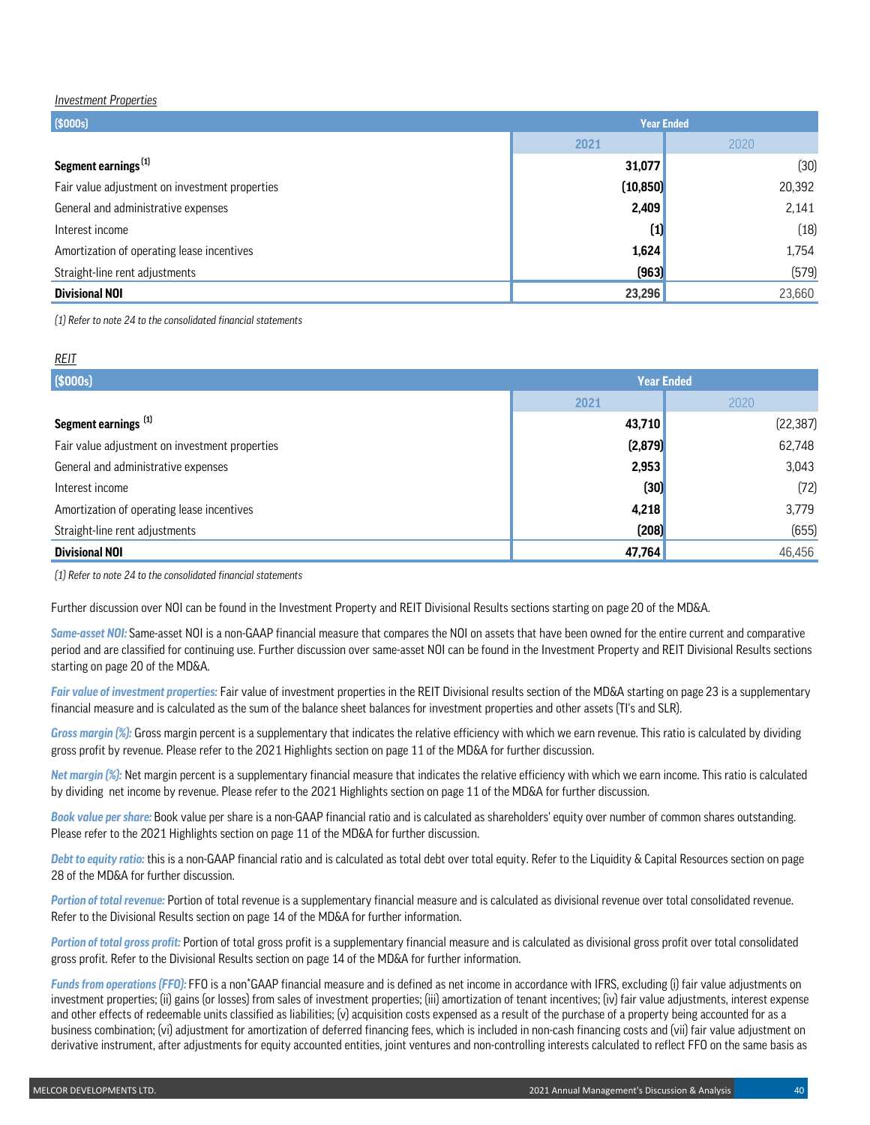#### *Investment Properties*

| \$000s]                                        | <b>Year Ended</b> |        |  |  |
|------------------------------------------------|-------------------|--------|--|--|
|                                                | 2021              | 2020   |  |  |
| Segment earnings <sup>(1)</sup>                | 31,077            | (30)   |  |  |
| Fair value adjustment on investment properties | (10, 850)         | 20,392 |  |  |
| General and administrative expenses            | 2,409             | 2,141  |  |  |
| Interest income                                | (1)               | (18)   |  |  |
| Amortization of operating lease incentives     | 1,624             | 1,754  |  |  |
| Straight-line rent adjustments                 | (963)             | (579)  |  |  |
| <b>Divisional NOI</b>                          | 23,296            | 23,660 |  |  |

*(1) Refer to note 24 to the consolidated financial statements*

### *REIT*

| (5000s)                                        | <b>Year Ended</b> |           |  |  |
|------------------------------------------------|-------------------|-----------|--|--|
|                                                | 2021              | 2020      |  |  |
| Segment earnings [1]                           | 43,710            | (22, 387) |  |  |
| Fair value adjustment on investment properties | (2, 879)          | 62,748    |  |  |
| General and administrative expenses            | 2,953             | 3,043     |  |  |
| Interest income                                | (30)              | (72)      |  |  |
| Amortization of operating lease incentives     | 4,218             | 3,779     |  |  |
| Straight-line rent adjustments                 | (208)             | (655)     |  |  |
| <b>Divisional NOI</b>                          | 47,764            | 46,456    |  |  |

*(1) Refer to note 24 to the consolidated financial statements*

Further discussion over NOI can be found in the Investment Property and REIT Divisional Results sections starting on page 20 of the MD&A.

*Same-asset NOI:* Same-asset NOI is a non-GAAP financial measure that compares the NOI on assets that have been owned for the entire current and comparative period and are classified for continuing use. Further discussion over same-asset NOI can be found in the Investment Property and REIT Divisional Results sections starting on page 20 of the MD&A.

*Fair value of investment properties:* Fair value of investment properties in the REIT Divisional results section of the MD&A starting on page 23 is a supplementary financial measure and is calculated as the sum of the balance sheet balances for investment properties and other assets (TI's and SLR).

*Gross margin (%):* Gross margin percent is a supplementary that indicates the relative efficiency with which we earn revenue. This ratio is calculated by dividing gross profit by revenue. Please refer to the 2021 Highlights section on page 11 of the MD&A for further discussion.

*Net margin (%):* Net margin percent is a supplementary financial measure that indicates the relative efficiency with which we earn income. This ratio is calculated by dividing net income by revenue. Please refer to the 2021 Highlights section on page 11 of the MD&A for further discussion.

*Book value per share:* Book value per share is a non-GAAP financial ratio and is calculated as shareholders' equity over number of common shares outstanding. Please refer to the 2021 Highlights section on page 11 of the MD&A for further discussion.

*Debt to equity ratio:* this is a non-GAAP financial ratio and is calculated as total debt over total equity. Refer to the Liquidity & Capital Resources section on page 28 of the MD&A for further discussion.

*Portion of total revenue:* Portion of total revenue is a supplementary financial measure and is calculated as divisional revenue over total consolidated revenue. Refer to the Divisional Results section on page 14 of the MD&A for further information.

*Portion of total gross profit:* Portion of total gross profit is a supplementary financial measure and is calculated as divisional gross profit over total consolidated gross profit. Refer to the Divisional Results section on page 14 of the MD&A for further information.

*Funds from operations (FFO):* FFO is a non\*GAAP financial measure and is defined as net income in accordance with IFRS, excluding (i) fair value adjustments on investment properties; (ii) gains (or losses) from sales of investment properties; (iii) amortization of tenant incentives; (iv) fair value adjustments, interest expense and other effects of redeemable units classified as liabilities; (v) acquisition costs expensed as a result of the purchase of a property being accounted for as a business combination; (vi) adjustment for amortization of deferred financing fees, which is included in non-cash financing costs and (vii) fair value adjustment on derivative instrument, after adjustments for equity accounted entities, joint ventures and non-controlling interests calculated to reflect FFO on the same basis as